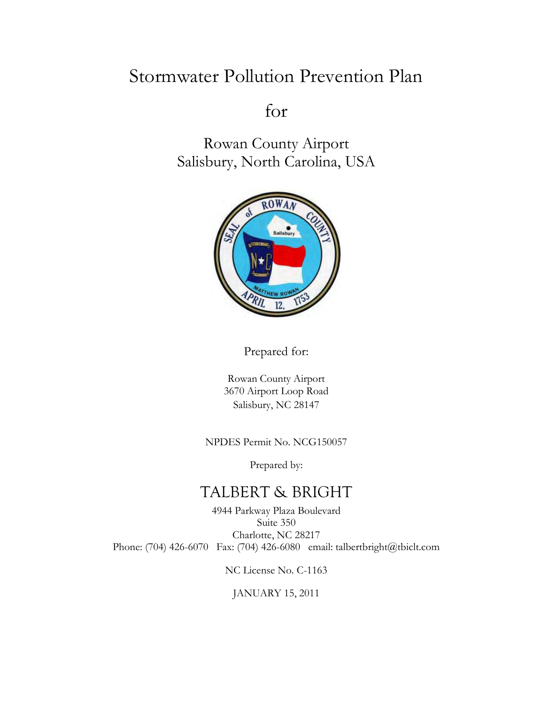# Stormwater Pollution Prevention Plan

for

Rowan County Airport Salisbury, North Carolina, USA



Prepared for:

Rowan County Airport 3670 Airport Loop Road Salisbury, NC 28147

NPDES Permit No. NCG150057

Prepared by:

# TALBERT & BRIGHT

4944 Parkway Plaza Boulevard Suite 350 Charlotte, NC 28217 Phone: (704) 426-6070 Fax: (704) 426-6080 email: talbertbright@tbiclt.com

NC License No. C-1163

JANUARY 15, 2011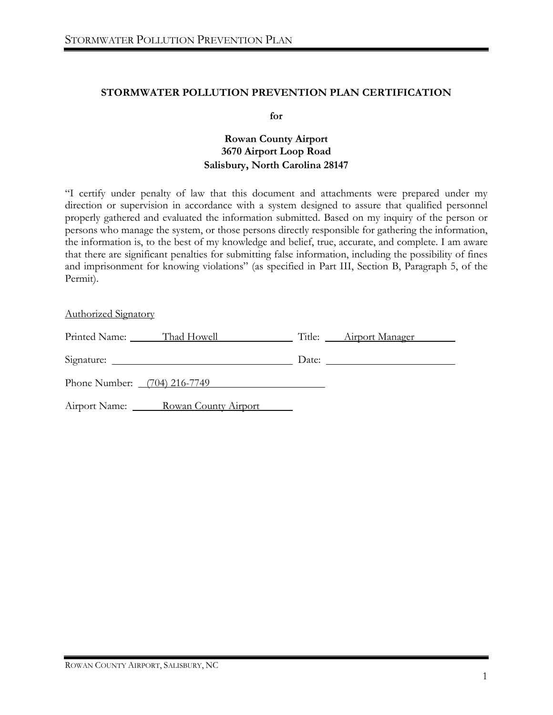#### **STORMWATER POLLUTION PREVENTION PLAN CERTIFICATION**

**for**

#### **Rowan County Airport 3670 Airport Loop Road Salisbury, North Carolina 28147**

"I certify under penalty of law that this document and attachments were prepared under my direction or supervision in accordance with a system designed to assure that qualified personnel properly gathered and evaluated the information submitted. Based on my inquiry of the person or persons who manage the system, or those persons directly responsible for gathering the information, the information is, to the best of my knowledge and belief, true, accurate, and complete. I am aware that there are significant penalties for submitting false information, including the possibility of fines and imprisonment for knowing violations" (as specified in Part III, Section B, Paragraph 5, of the Permit).

Authorized Signatory

|               | Printed Name: Thad Howell    | Title: <u>Airport Manager</u>                            |  |
|---------------|------------------------------|----------------------------------------------------------|--|
|               |                              | Date: $\frac{1}{\sqrt{1-\frac{1}{2}} \cdot \frac{1}{2}}$ |  |
|               | Phone Number: (704) 216-7749 |                                                          |  |
| Airport Name: | Rowan County Airport         |                                                          |  |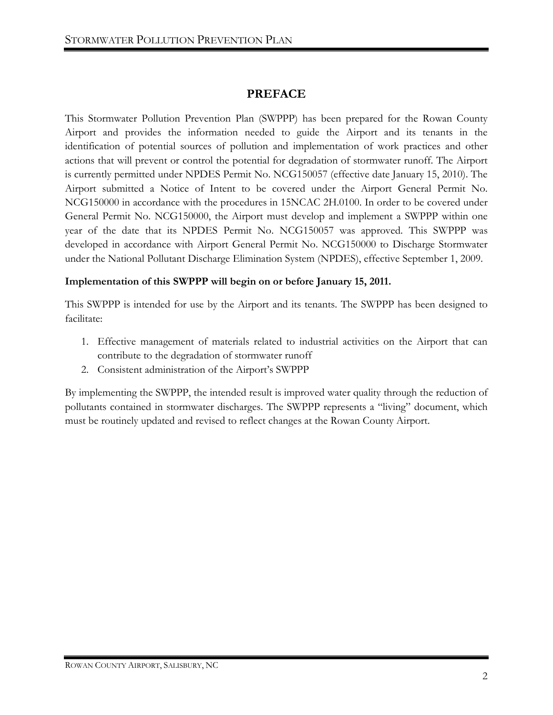# **PREFACE**

This Stormwater Pollution Prevention Plan (SWPPP) has been prepared for the Rowan County Airport and provides the information needed to guide the Airport and its tenants in the identification of potential sources of pollution and implementation of work practices and other actions that will prevent or control the potential for degradation of stormwater runoff. The Airport is currently permitted under NPDES Permit No. NCG150057 (effective date January 15, 2010). The Airport submitted a Notice of Intent to be covered under the Airport General Permit No. NCG150000 in accordance with the procedures in 15NCAC 2H.0100. In order to be covered under General Permit No. NCG150000, the Airport must develop and implement a SWPPP within one year of the date that its NPDES Permit No. NCG150057 was approved. This SWPPP was developed in accordance with Airport General Permit No. NCG150000 to Discharge Stormwater under the National Pollutant Discharge Elimination System (NPDES), effective September 1, 2009.

#### **Implementation of this SWPPP will begin on or before January 15, 2011.**

This SWPPP is intended for use by the Airport and its tenants. The SWPPP has been designed to facilitate:

- 1. Effective management of materials related to industrial activities on the Airport that can contribute to the degradation of stormwater runoff
- 2. Consistent administration of the Airport's SWPPP

By implementing the SWPPP, the intended result is improved water quality through the reduction of pollutants contained in stormwater discharges. The SWPPP represents a "living" document, which must be routinely updated and revised to reflect changes at the Rowan County Airport.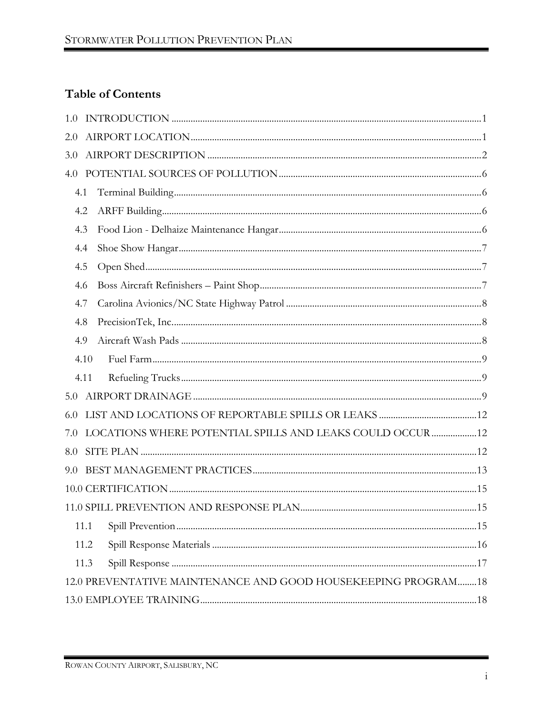# **Table of Contents**

| 1.0  |                                                               |  |
|------|---------------------------------------------------------------|--|
| 2.0  |                                                               |  |
| 3.0  |                                                               |  |
| 4.0  |                                                               |  |
| 4.1  |                                                               |  |
| 4.2  |                                                               |  |
| 4.3  |                                                               |  |
| 4.4  |                                                               |  |
| 4.5  |                                                               |  |
| 4.6  |                                                               |  |
| 4.7  |                                                               |  |
| 4.8  |                                                               |  |
| 4.9  |                                                               |  |
| 4.10 |                                                               |  |
| 4.11 |                                                               |  |
| 5.0  |                                                               |  |
| 6.0  |                                                               |  |
| 7.0  | LOCATIONS WHERE POTENTIAL SPILLS AND LEAKS COULD OCCUR  12    |  |
| 8.0  |                                                               |  |
| 9.0  |                                                               |  |
|      |                                                               |  |
|      |                                                               |  |
| 11.1 |                                                               |  |
| 11.2 |                                                               |  |
| 11.3 |                                                               |  |
|      | 12.0 PREVENTATIVE MAINTENANCE AND GOOD HOUSEKEEPING PROGRAM18 |  |
|      |                                                               |  |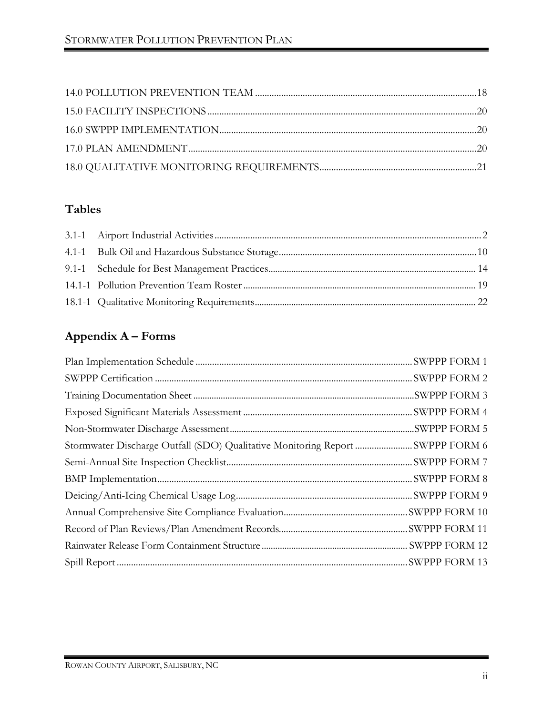# **Tables**

# **Appendix A – Forms**

| Stormwater Discharge Outfall (SDO) Qualitative Monitoring Report  SWPPP FORM 6 |
|--------------------------------------------------------------------------------|
|                                                                                |
|                                                                                |
|                                                                                |
|                                                                                |
|                                                                                |
|                                                                                |
|                                                                                |
|                                                                                |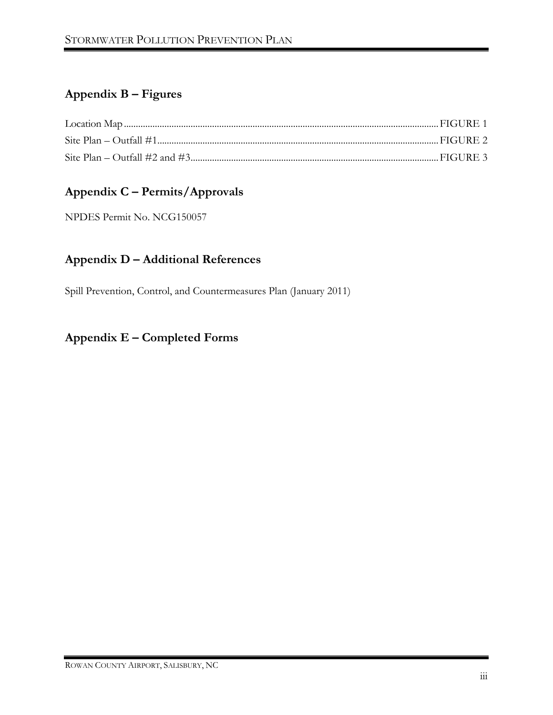# **Appendix B – Figures**

# **Appendix C – Permits/Approvals**

NPDES Permit No. NCG150057

# **Appendix D – Additional References**

Spill Prevention, Control, and Countermeasures Plan (January 2011)

# **Appendix E – Completed Forms**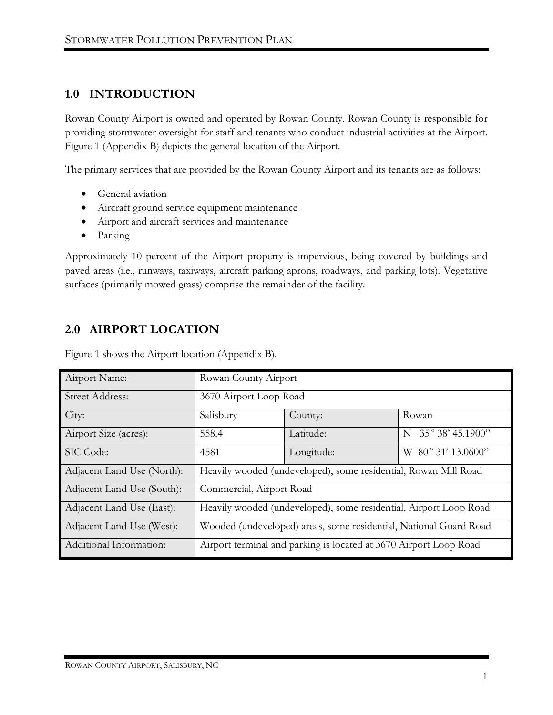# <span id="page-6-0"></span>**1.0 INTRODUCTION**

Rowan County Airport is owned and operated by Rowan County. Rowan County is responsible for providing stormwater oversight for staff and tenants who conduct industrial activities at the Airport. Figure 1 (Appendix B) depicts the general location of the Airport.

The primary services that are provided by the Rowan County Airport and its tenants are as follows:

- General aviation
- Aircraft ground service equipment maintenance
- Airport and aircraft services and maintenance
- Parking

Approximately 10 percent of the Airport property is impervious, being covered by buildings and paved areas (i.e., runways, taxiways, aircraft parking aprons, roadways, and parking lots). Vegetative surfaces (primarily mowed grass) comprise the remainder of the facility.

# <span id="page-6-1"></span>**2.0 AIRPORT LOCATION**

| Airport Name:              | Rowan County Airport                                              |                                                                   |                                |
|----------------------------|-------------------------------------------------------------------|-------------------------------------------------------------------|--------------------------------|
| <b>Street Address:</b>     | 3670 Airport Loop Road                                            |                                                                   |                                |
| City:                      | Salisbury                                                         | County:                                                           | Rowan                          |
| Airport Size (acres):      | 558.4                                                             | Latitude:                                                         | $35^{\circ} 38' 45.1900"$<br>N |
| SIC Code:                  | 4581                                                              | Longitude:                                                        | W 80° 31' 13.0600"             |
| Adjacent Land Use (North): | Heavily wooded (undeveloped), some residential, Rowan Mill Road   |                                                                   |                                |
| Adjacent Land Use (South): | Commercial, Airport Road                                          |                                                                   |                                |
| Adjacent Land Use (East):  | Heavily wooded (undeveloped), some residential, Airport Loop Road |                                                                   |                                |
| Adjacent Land Use (West):  | Wooded (undeveloped) areas, some residential, National Guard Road |                                                                   |                                |
| Additional Information:    |                                                                   | Airport terminal and parking is located at 3670 Airport Loop Road |                                |

Figure 1 shows the Airport location (Appendix B).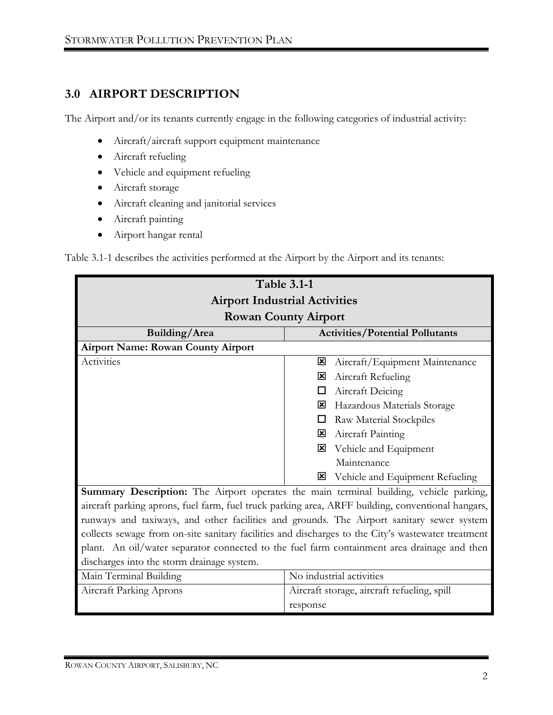# <span id="page-7-0"></span>**3.0 AIRPORT DESCRIPTION**

The Airport and/or its tenants currently engage in the following categories of industrial activity:

- Aircraft/aircraft support equipment maintenance
- Aircraft refueling
- Vehicle and equipment refueling
- Aircraft storage
- Aircraft cleaning and janitorial services
- Aircraft painting
- Airport hangar rental

Table 3.1-1 describes the activities performed at the Airport by the Airport and its tenants:

| <b>Table 3.1-1</b>                                                                                 |                                                |  |  |
|----------------------------------------------------------------------------------------------------|------------------------------------------------|--|--|
| <b>Airport Industrial Activities</b>                                                               |                                                |  |  |
| <b>Rowan County Airport</b>                                                                        |                                                |  |  |
| <b>Activities/Potential Pollutants</b><br><b>Building/Area</b>                                     |                                                |  |  |
| <b>Airport Name: Rowan County Airport</b>                                                          |                                                |  |  |
| Activities                                                                                         | Aircraft/Equipment Maintenance<br>$\mathbf{x}$ |  |  |
|                                                                                                    | Aircraft Refueling<br>⊠                        |  |  |
|                                                                                                    | Aircraft Deicing<br>□                          |  |  |
|                                                                                                    | Hazardous Materials Storage<br>⊠               |  |  |
|                                                                                                    | Raw Material Stockpiles<br>□                   |  |  |
|                                                                                                    | Aircraft Painting<br>⊠                         |  |  |
|                                                                                                    | Vehicle and Equipment<br>⊠                     |  |  |
|                                                                                                    | Maintenance                                    |  |  |
|                                                                                                    | <b>E</b> Vehicle and Equipment Refueling       |  |  |
| Summary Description: The Airport operates the main terminal building, vehicle parking,             |                                                |  |  |
| aircraft parking aprons, fuel farm, fuel truck parking area, ARFF building, conventional hangars,  |                                                |  |  |
| runways and taxiways, and other facilities and grounds. The Airport sanitary sewer system          |                                                |  |  |
| collects sewage from on-site sanitary facilities and discharges to the City's wastewater treatment |                                                |  |  |
| plant. An oil/water separator connected to the fuel farm containment area drainage and then        |                                                |  |  |
| discharges into the storm drainage system.                                                         |                                                |  |  |
| No industrial activities<br>Main Terminal Building                                                 |                                                |  |  |
| Aircraft Parking Aprons                                                                            | Aircraft storage, aircraft refueling, spill    |  |  |
| response                                                                                           |                                                |  |  |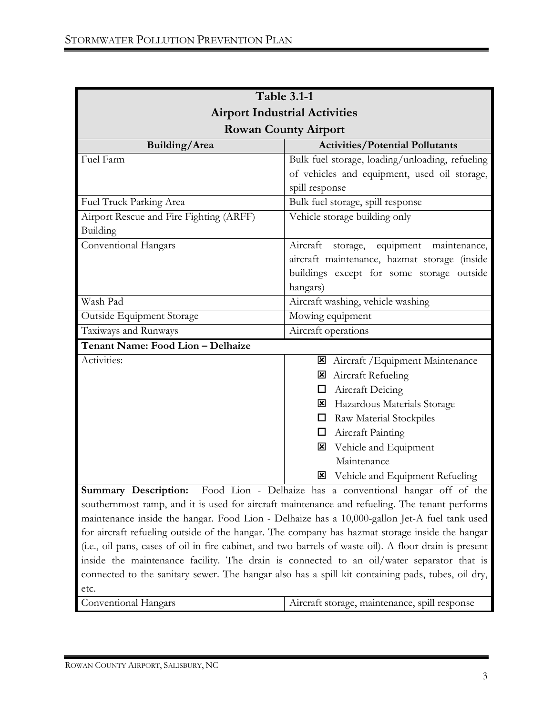| <b>Table 3.1-1</b>                      |                                                                                                        |  |
|-----------------------------------------|--------------------------------------------------------------------------------------------------------|--|
| <b>Airport Industrial Activities</b>    |                                                                                                        |  |
| <b>Rowan County Airport</b>             |                                                                                                        |  |
| Building/Area                           | <b>Activities/Potential Pollutants</b>                                                                 |  |
| Fuel Farm                               | Bulk fuel storage, loading/unloading, refueling                                                        |  |
|                                         | of vehicles and equipment, used oil storage,                                                           |  |
|                                         | spill response                                                                                         |  |
| Fuel Truck Parking Area                 | Bulk fuel storage, spill response                                                                      |  |
| Airport Rescue and Fire Fighting (ARFF) | Vehicle storage building only                                                                          |  |
| Building                                |                                                                                                        |  |
| Conventional Hangars                    | equipment<br>Aircraft<br>storage,<br>maintenance,                                                      |  |
|                                         | aircraft maintenance, hazmat storage (inside                                                           |  |
|                                         | buildings except for some storage outside                                                              |  |
|                                         | hangars)                                                                                               |  |
| Wash Pad                                | Aircraft washing, vehicle washing                                                                      |  |
| Outside Equipment Storage               | Mowing equipment                                                                                       |  |
| Taxiways and Runways                    | Aircraft operations                                                                                    |  |
| Tenant Name: Food Lion - Delhaize       |                                                                                                        |  |
| Activities:                             | Aircraft / Equipment Maintenance<br>⊠                                                                  |  |
|                                         | Aircraft Refueling<br>×                                                                                |  |
|                                         | Aircraft Deicing<br>ப                                                                                  |  |
|                                         | Hazardous Materials Storage<br>⊠                                                                       |  |
|                                         | <b>Raw Material Stockpiles</b><br>□                                                                    |  |
|                                         | Aircraft Painting<br>ப                                                                                 |  |
|                                         | Vehicle and Equipment<br>$\vert x \vert$                                                               |  |
|                                         | Maintenance                                                                                            |  |
|                                         | Vehicle and Equipment Refueling<br>$\boldsymbol{\mathsf{x}}$                                           |  |
|                                         | Summary Description: Food Lion - Delhaize has a conventional hangar off of the                         |  |
|                                         | southernmost ramp, and it is used for aircraft maintenance and refueling. The tenant performs          |  |
|                                         | maintenance inside the hangar. Food Lion - Delhaize has a 10,000-gallon Jet-A fuel tank used           |  |
|                                         | for aircraft refueling outside of the hangar. The company has hazmat storage inside the hangar         |  |
|                                         | (i.e., oil pans, cases of oil in fire cabinet, and two barrels of waste oil). A floor drain is present |  |
|                                         | inside the maintenance facility. The drain is connected to an oil/water separator that is              |  |
|                                         | connected to the sanitary sewer. The hangar also has a spill kit containing pads, tubes, oil dry,      |  |
| etc.                                    |                                                                                                        |  |
| Conventional Hangars                    | Aircraft storage, maintenance, spill response                                                          |  |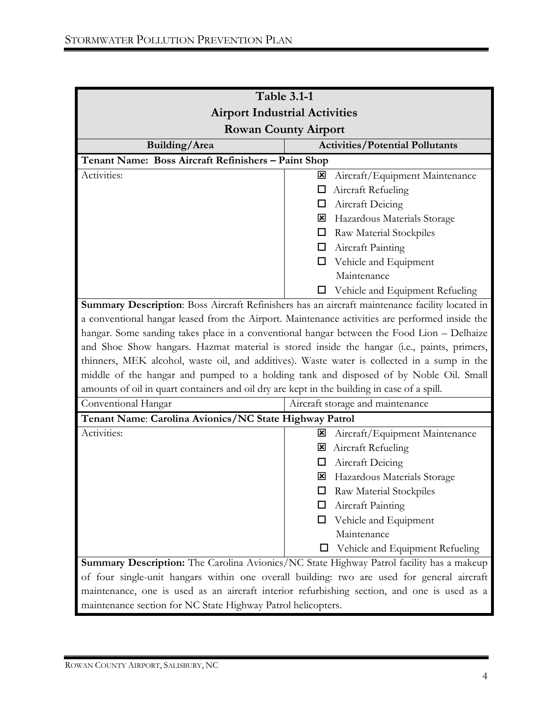| <b>Table 3.1-1</b>                                                                          |                                                                                                |  |  |
|---------------------------------------------------------------------------------------------|------------------------------------------------------------------------------------------------|--|--|
| <b>Airport Industrial Activities</b>                                                        |                                                                                                |  |  |
| <b>Rowan County Airport</b>                                                                 |                                                                                                |  |  |
| <b>Building/Area</b>                                                                        | <b>Activities/Potential Pollutants</b>                                                         |  |  |
| Tenant Name: Boss Aircraft Refinishers - Paint Shop                                         |                                                                                                |  |  |
| Activities:                                                                                 | Aircraft/Equipment Maintenance<br>図                                                            |  |  |
|                                                                                             | Aircraft Refueling<br>□                                                                        |  |  |
|                                                                                             | Aircraft Deicing<br>□                                                                          |  |  |
|                                                                                             | Hazardous Materials Storage<br>⊠                                                               |  |  |
|                                                                                             | <b>Raw Material Stockpiles</b><br>□                                                            |  |  |
|                                                                                             | $\Box$ Aircraft Painting                                                                       |  |  |
|                                                                                             | Vehicle and Equipment<br>ப                                                                     |  |  |
|                                                                                             | Maintenance                                                                                    |  |  |
|                                                                                             | □ Vehicle and Equipment Refueling                                                              |  |  |
|                                                                                             | Summary Description: Boss Aircraft Refinishers has an aircraft maintenance facility located in |  |  |
|                                                                                             | a conventional hangar leased from the Airport. Maintenance activities are performed inside the |  |  |
| hangar. Some sanding takes place in a conventional hangar between the Food Lion - Delhaize  |                                                                                                |  |  |
| and Shoe Show hangars. Hazmat material is stored inside the hangar (i.e., paints, primers,  |                                                                                                |  |  |
| thinners, MEK alcohol, waste oil, and additives). Waste water is collected in a sump in the |                                                                                                |  |  |
| middle of the hangar and pumped to a holding tank and disposed of by Noble Oil. Small       |                                                                                                |  |  |
| amounts of oil in quart containers and oil dry are kept in the building in case of a spill. |                                                                                                |  |  |
| Conventional Hangar                                                                         | Aircraft storage and maintenance                                                               |  |  |
| Tenant Name: Carolina Avionics/NC State Highway Patrol                                      |                                                                                                |  |  |
| Activities:                                                                                 | Aircraft/Equipment Maintenance<br>⊠                                                            |  |  |
|                                                                                             | <b>Aircraft Refueling</b><br>$\vert x \vert$                                                   |  |  |
|                                                                                             | Aircraft Deicing<br>ப                                                                          |  |  |
|                                                                                             | Hazardous Materials Storage<br>⊠                                                               |  |  |
|                                                                                             | Raw Material Stockpiles                                                                        |  |  |
|                                                                                             | Aircraft Painting                                                                              |  |  |
|                                                                                             | Vehicle and Equipment                                                                          |  |  |
|                                                                                             | Maintenance                                                                                    |  |  |
|                                                                                             | Vehicle and Equipment Refueling<br>Ц                                                           |  |  |
|                                                                                             | Summary Description: The Carolina Avionics/NC State Highway Patrol facility has a makeup       |  |  |
| of four single-unit hangars within one overall building: two are used for general aircraft  |                                                                                                |  |  |
| maintenance, one is used as an aircraft interior refurbishing section, and one is used as a |                                                                                                |  |  |
|                                                                                             | maintenance section for NC State Highway Patrol helicopters.                                   |  |  |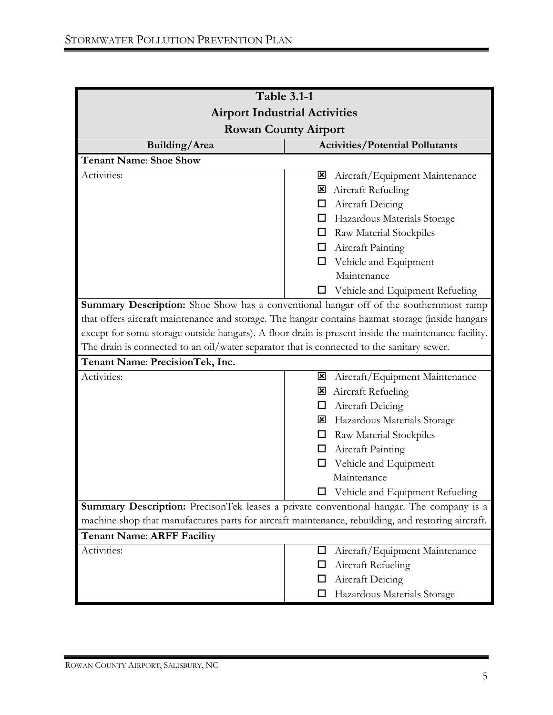| <b>Table 3.1-1</b>                                                                                  |                                                   |  |  |
|-----------------------------------------------------------------------------------------------------|---------------------------------------------------|--|--|
| <b>Airport Industrial Activities</b>                                                                |                                                   |  |  |
| <b>Rowan County Airport</b>                                                                         |                                                   |  |  |
| <b>Activities/Potential Pollutants</b><br>Building/Area                                             |                                                   |  |  |
| <b>Tenant Name: Shoe Show</b>                                                                       |                                                   |  |  |
| Activities:                                                                                         | Aircraft/Equipment Maintenance<br>⊠               |  |  |
|                                                                                                     | Aircraft Refueling<br>⊠                           |  |  |
|                                                                                                     | Aircraft Deicing<br>□                             |  |  |
|                                                                                                     | Hazardous Materials Storage                       |  |  |
|                                                                                                     | Raw Material Stockpiles                           |  |  |
|                                                                                                     | $\Box$ Aircraft Painting                          |  |  |
|                                                                                                     | $\Box$ Vehicle and Equipment                      |  |  |
|                                                                                                     | Maintenance                                       |  |  |
|                                                                                                     | $\Box$ Vehicle and Equipment Refueling            |  |  |
| Summary Description: Shoe Show has a conventional hangar off of the southernmost ramp               |                                                   |  |  |
| that offers aircraft maintenance and storage. The hangar contains hazmat storage (inside hangars    |                                                   |  |  |
| except for some storage outside hangars). A floor drain is present inside the maintenance facility. |                                                   |  |  |
| The drain is connected to an oil/water separator that is connected to the sanitary sewer.           |                                                   |  |  |
| Tenant Name: PrecisionTek, Inc.                                                                     |                                                   |  |  |
| Activities:                                                                                         | Aircraft/Equipment Maintenance<br>$\vert x \vert$ |  |  |
|                                                                                                     | Aircraft Refueling<br>⊠                           |  |  |
|                                                                                                     | Aircraft Deicing<br>□                             |  |  |
|                                                                                                     | El Hazardous Materials Storage                    |  |  |
|                                                                                                     | Raw Material Stockpiles                           |  |  |
|                                                                                                     | Aircraft Painting                                 |  |  |
|                                                                                                     | Vehicle and Equipment                             |  |  |
|                                                                                                     | Maintenance                                       |  |  |
|                                                                                                     | $\Box$ Vehicle and Equipment Refueling            |  |  |
| Summary Description: PrecisonTek leases a private conventional hangar. The company is a             |                                                   |  |  |
| machine shop that manufactures parts for aircraft maintenance, rebuilding, and restoring aircraft.  |                                                   |  |  |
| <b>Tenant Name: ARFF Facility</b>                                                                   |                                                   |  |  |
| Activities:                                                                                         | Aircraft/Equipment Maintenance<br>◻               |  |  |
|                                                                                                     | Aircraft Refueling<br>ப                           |  |  |
|                                                                                                     | Aircraft Deicing<br>ப                             |  |  |
|                                                                                                     | Hazardous Materials Storage                       |  |  |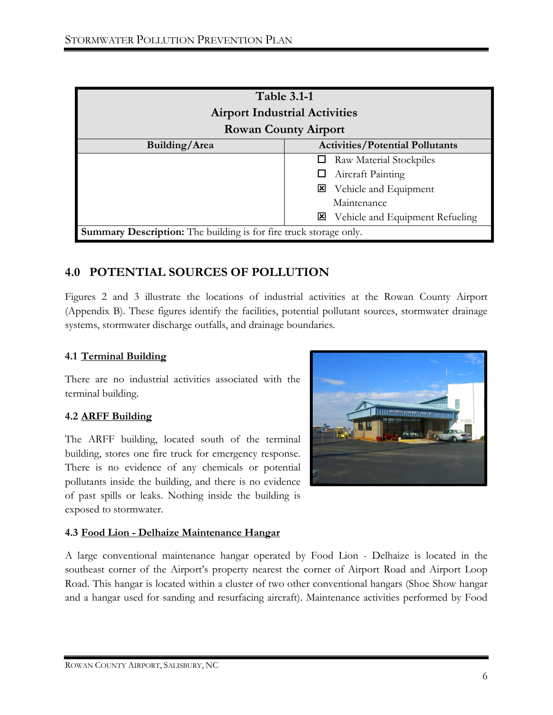| <b>Table 3.1-1</b><br><b>Airport Industrial Activities</b><br><b>Rowan County Airport</b> |                                          |  |
|-------------------------------------------------------------------------------------------|------------------------------------------|--|
| <b>Building/Area</b>                                                                      | <b>Activities/Potential Pollutants</b>   |  |
|                                                                                           | Raw Material Stockpiles                  |  |
|                                                                                           | Aircraft Painting                        |  |
|                                                                                           | Vehicle and Equipment<br>$\vert x \vert$ |  |
|                                                                                           | Maintenance                              |  |
|                                                                                           | Vehicle and Equipment Refueling<br>⊠     |  |
| <b>Summary Description:</b> The building is for fire truck storage only.                  |                                          |  |

# <span id="page-11-0"></span>**4.0 POTENTIAL SOURCES OF POLLUTION**

Figures 2 and 3 illustrate the locations of industrial activities at the Rowan County Airport (Appendix B). These figures identify the facilities, potential pollutant sources, stormwater drainage systems, stormwater discharge outfalls, and drainage boundaries.

### <span id="page-11-1"></span>**4.1 Terminal Building**

There are no industrial activities associated with the terminal building.

#### <span id="page-11-2"></span>**4.2 ARFF Building**

The ARFF building, located south of the terminal building, stores one fire truck for emergency response. There is no evidence of any chemicals or potential pollutants inside the building, and there is no evidence of past spills or leaks. Nothing inside the building is exposed to stormwater.



#### <span id="page-11-3"></span>**4.3 Food Lion - Delhaize Maintenance Hangar**

A large conventional maintenance hangar operated by Food Lion - Delhaize is located in the southeast corner of the Airport's property nearest the corner of Airport Road and Airport Loop Road. This hangar is located within a cluster of two other conventional hangars (Shoe Show hangar and a hangar used for sanding and resurfacing aircraft). Maintenance activities performed by Food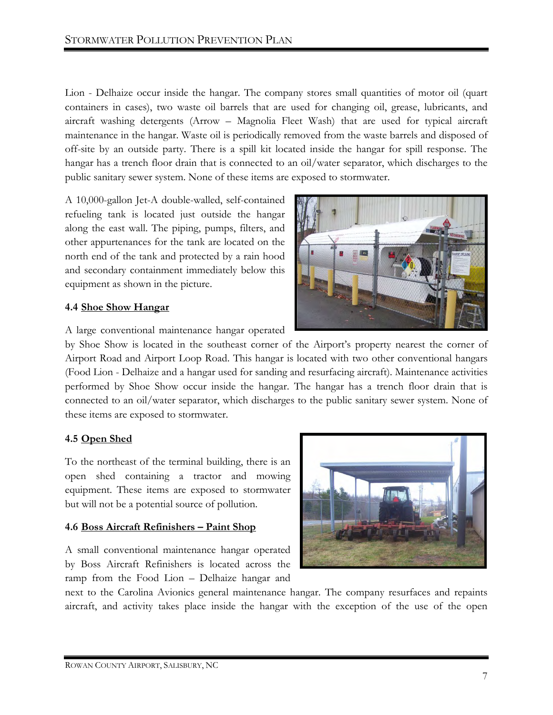Lion - Delhaize occur inside the hangar. The company stores small quantities of motor oil (quart containers in cases), two waste oil barrels that are used for changing oil, grease, lubricants, and aircraft washing detergents (Arrow – Magnolia Fleet Wash) that are used for typical aircraft maintenance in the hangar. Waste oil is periodically removed from the waste barrels and disposed of off-site by an outside party. There is a spill kit located inside the hangar for spill response. The hangar has a trench floor drain that is connected to an oil/water separator, which discharges to the public sanitary sewer system. None of these items are exposed to stormwater.

A 10,000-gallon Jet-A double-walled, self-contained refueling tank is located just outside the hangar along the east wall. The piping, pumps, filters, and other appurtenances for the tank are located on the north end of the tank and protected by a rain hood and secondary containment immediately below this equipment as shown in the picture.

#### <span id="page-12-0"></span>**4.4 Shoe Show Hangar**

A large conventional maintenance hangar operated

by Shoe Show is located in the southeast corner of the Airport's property nearest the corner of Airport Road and Airport Loop Road. This hangar is located with two other conventional hangars (Food Lion - Delhaize and a hangar used for sanding and resurfacing aircraft). Maintenance activities performed by Shoe Show occur inside the hangar. The hangar has a trench floor drain that is connected to an oil/water separator, which discharges to the public sanitary sewer system. None of these items are exposed to stormwater.

#### <span id="page-12-1"></span>**4.5 Open Shed**

To the northeast of the terminal building, there is an open shed containing a tractor and mowing equipment. These items are exposed to stormwater but will not be a potential source of pollution.

#### <span id="page-12-2"></span>**4.6 Boss Aircraft Refinishers – Paint Shop**

A small conventional maintenance hangar operated by Boss Aircraft Refinishers is located across the ramp from the Food Lion – Delhaize hangar and

next to the Carolina Avionics general maintenance hangar. The company resurfaces and repaints aircraft, and activity takes place inside the hangar with the exception of the use of the open



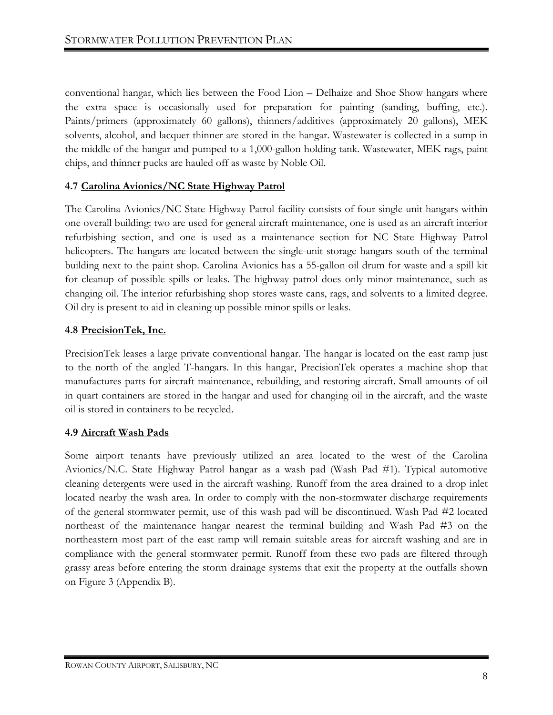conventional hangar, which lies between the Food Lion – Delhaize and Shoe Show hangars where the extra space is occasionally used for preparation for painting (sanding, buffing, etc.). Paints/primers (approximately 60 gallons), thinners/additives (approximately 20 gallons), MEK solvents, alcohol, and lacquer thinner are stored in the hangar. Wastewater is collected in a sump in the middle of the hangar and pumped to a 1,000-gallon holding tank. Wastewater, MEK rags, paint chips, and thinner pucks are hauled off as waste by Noble Oil.

#### <span id="page-13-0"></span>**4.7 Carolina Avionics/NC State Highway Patrol**

The Carolina Avionics/NC State Highway Patrol facility consists of four single-unit hangars within one overall building: two are used for general aircraft maintenance, one is used as an aircraft interior refurbishing section, and one is used as a maintenance section for NC State Highway Patrol helicopters. The hangars are located between the single-unit storage hangars south of the terminal building next to the paint shop. Carolina Avionics has a 55-gallon oil drum for waste and a spill kit for cleanup of possible spills or leaks. The highway patrol does only minor maintenance, such as changing oil. The interior refurbishing shop stores waste cans, rags, and solvents to a limited degree. Oil dry is present to aid in cleaning up possible minor spills or leaks.

#### <span id="page-13-1"></span>**4.8 PrecisionTek, Inc.**

PrecisionTek leases a large private conventional hangar. The hangar is located on the east ramp just to the north of the angled T-hangars. In this hangar, PrecisionTek operates a machine shop that manufactures parts for aircraft maintenance, rebuilding, and restoring aircraft. Small amounts of oil in quart containers are stored in the hangar and used for changing oil in the aircraft, and the waste oil is stored in containers to be recycled.

#### <span id="page-13-2"></span>**4.9 Aircraft Wash Pads**

Some airport tenants have previously utilized an area located to the west of the Carolina Avionics/N.C. State Highway Patrol hangar as a wash pad (Wash Pad #1). Typical automotive cleaning detergents were used in the aircraft washing. Runoff from the area drained to a drop inlet located nearby the wash area. In order to comply with the non-stormwater discharge requirements of the general stormwater permit, use of this wash pad will be discontinued. Wash Pad #2 located northeast of the maintenance hangar nearest the terminal building and Wash Pad #3 on the northeastern most part of the east ramp will remain suitable areas for aircraft washing and are in compliance with the general stormwater permit. Runoff from these two pads are filtered through grassy areas before entering the storm drainage systems that exit the property at the outfalls shown on Figure 3 (Appendix B).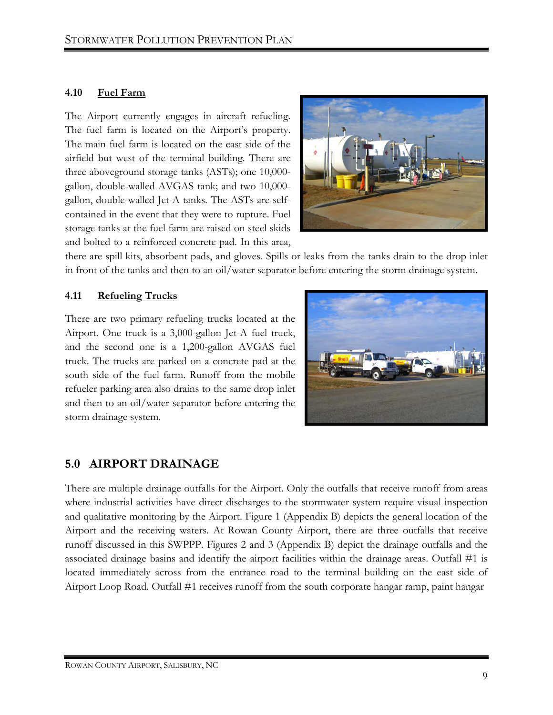#### <span id="page-14-0"></span>**4.10 Fuel Farm**

The Airport currently engages in aircraft refueling. The fuel farm is located on the Airport's property. The main fuel farm is located on the east side of the airfield but west of the terminal building. There are three aboveground storage tanks (ASTs); one 10,000 gallon, double-walled AVGAS tank; and two 10,000 gallon, double-walled Jet-A tanks. The ASTs are selfcontained in the event that they were to rupture. Fuel storage tanks at the fuel farm are raised on steel skids and bolted to a reinforced concrete pad. In this area,



there are spill kits, absorbent pads, and gloves. Spills or leaks from the tanks drain to the drop inlet in front of the tanks and then to an oil/water separator before entering the storm drainage system.

#### <span id="page-14-1"></span>**4.11 Refueling Trucks**

There are two primary refueling trucks located at the Airport. One truck is a 3,000-gallon Jet-A fuel truck, and the second one is a 1,200-gallon AVGAS fuel truck. The trucks are parked on a concrete pad at the south side of the fuel farm. Runoff from the mobile refueler parking area also drains to the same drop inlet and then to an oil/water separator before entering the storm drainage system.



# <span id="page-14-2"></span>**5.0 AIRPORT DRAINAGE**

There are multiple drainage outfalls for the Airport. Only the outfalls that receive runoff from areas where industrial activities have direct discharges to the stormwater system require visual inspection and qualitative monitoring by the Airport. Figure 1 (Appendix B) depicts the general location of the Airport and the receiving waters. At Rowan County Airport, there are three outfalls that receive runoff discussed in this SWPPP. Figures 2 and 3 (Appendix B) depict the drainage outfalls and the associated drainage basins and identify the airport facilities within the drainage areas. Outfall #1 is located immediately across from the entrance road to the terminal building on the east side of Airport Loop Road. Outfall #1 receives runoff from the south corporate hangar ramp, paint hangar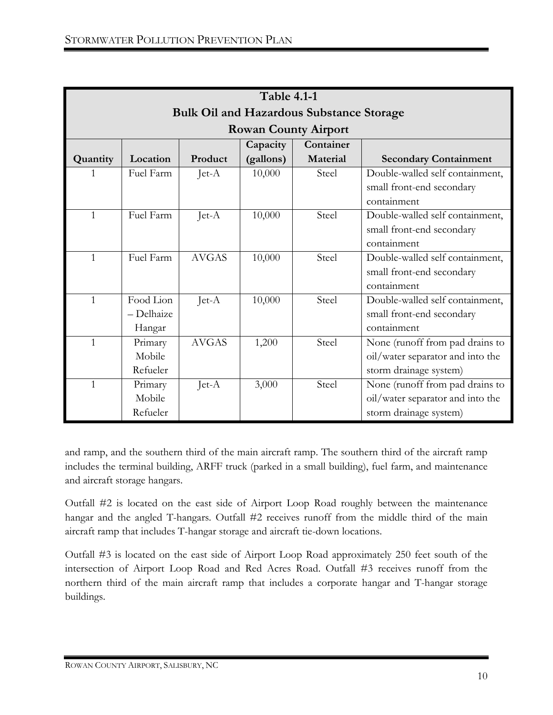| <b>Table 4.1-1</b>                              |                             |              |           |           |                                  |  |  |
|-------------------------------------------------|-----------------------------|--------------|-----------|-----------|----------------------------------|--|--|
| <b>Bulk Oil and Hazardous Substance Storage</b> |                             |              |           |           |                                  |  |  |
|                                                 | <b>Rowan County Airport</b> |              |           |           |                                  |  |  |
|                                                 |                             |              | Capacity  | Container |                                  |  |  |
| Quantity                                        | Location                    | Product      | (gallons) | Material  | <b>Secondary Containment</b>     |  |  |
|                                                 | Fuel Farm                   | Jet- $A$     | 10,000    | Steel     | Double-walled self containment,  |  |  |
|                                                 |                             |              |           |           | small front-end secondary        |  |  |
|                                                 |                             |              |           |           | containment                      |  |  |
| $\mathbf{1}$                                    | Fuel Farm                   | Jet-A        | 10,000    | Steel     | Double-walled self containment,  |  |  |
|                                                 |                             |              |           |           | small front-end secondary        |  |  |
|                                                 |                             |              |           |           | containment                      |  |  |
| $\mathbf{1}$                                    | Fuel Farm                   | <b>AVGAS</b> | 10,000    | Steel     | Double-walled self containment,  |  |  |
|                                                 |                             |              |           |           | small front-end secondary        |  |  |
|                                                 |                             |              |           |           | containment                      |  |  |
| $\mathbf{1}$                                    | Food Lion                   | Jet- $A$     | 10,000    | Steel     | Double-walled self containment,  |  |  |
|                                                 | - Delhaize                  |              |           |           | small front-end secondary        |  |  |
|                                                 | Hangar                      |              |           |           | containment                      |  |  |
| $\mathbf{1}$                                    | Primary                     | <b>AVGAS</b> | 1,200     | Steel     | None (runoff from pad drains to  |  |  |
|                                                 | Mobile                      |              |           |           | oil/water separator and into the |  |  |
|                                                 | Refueler                    |              |           |           | storm drainage system)           |  |  |
| $\mathbf{1}$                                    | Primary                     | Jet- $A$     | 3,000     | Steel     | None (runoff from pad drains to  |  |  |
|                                                 | Mobile                      |              |           |           | oil/water separator and into the |  |  |
|                                                 | Refueler                    |              |           |           | storm drainage system)           |  |  |

and ramp, and the southern third of the main aircraft ramp. The southern third of the aircraft ramp includes the terminal building, ARFF truck (parked in a small building), fuel farm, and maintenance and aircraft storage hangars.

Outfall #2 is located on the east side of Airport Loop Road roughly between the maintenance hangar and the angled T-hangars. Outfall #2 receives runoff from the middle third of the main aircraft ramp that includes T-hangar storage and aircraft tie-down locations.

Outfall #3 is located on the east side of Airport Loop Road approximately 250 feet south of the intersection of Airport Loop Road and Red Acres Road. Outfall #3 receives runoff from the northern third of the main aircraft ramp that includes a corporate hangar and T-hangar storage buildings.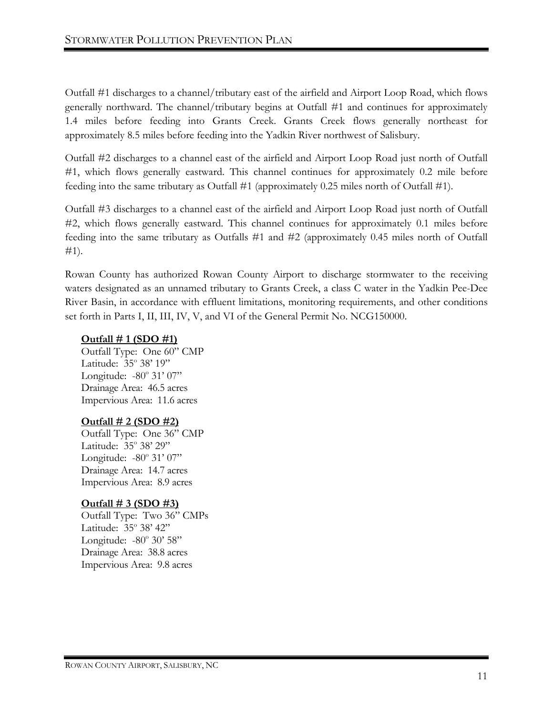Outfall #1 discharges to a channel/tributary east of the airfield and Airport Loop Road, which flows generally northward. The channel/tributary begins at Outfall #1 and continues for approximately 1.4 miles before feeding into Grants Creek. Grants Creek flows generally northeast for approximately 8.5 miles before feeding into the Yadkin River northwest of Salisbury.

Outfall #2 discharges to a channel east of the airfield and Airport Loop Road just north of Outfall #1, which flows generally eastward. This channel continues for approximately 0.2 mile before feeding into the same tributary as Outfall #1 (approximately 0.25 miles north of Outfall #1).

Outfall #3 discharges to a channel east of the airfield and Airport Loop Road just north of Outfall #2, which flows generally eastward. This channel continues for approximately 0.1 miles before feeding into the same tributary as Outfalls #1 and #2 (approximately 0.45 miles north of Outfall  $#1$ ).

Rowan County has authorized Rowan County Airport to discharge stormwater to the receiving waters designated as an unnamed tributary to Grants Creek, a class C water in the Yadkin Pee-Dee River Basin, in accordance with effluent limitations, monitoring requirements, and other conditions set forth in Parts I, II, III, IV, V, and VI of the General Permit No. NCG150000.

#### **Outfall # 1 (SDO #1)**

Outfall Type: One 60" CMP Latitude: 35° 38' 19" Longitude:  $-80^\circ$  31' 07" Drainage Area: 46.5 acres Impervious Area: 11.6 acres

#### **Outfall # 2 (SDO #2)**

Outfall Type: One 36" CMP Latitude: 35° 38' 29" Longitude:  $-80^\circ$  31' 07" Drainage Area: 14.7 acres Impervious Area: 8.9 acres

#### **Outfall # 3 (SDO #3)**

Outfall Type: Two 36" CMPs Latitude: 35° 38' 42" Longitude:  $-80^\circ$  30' 58" Drainage Area: 38.8 acres Impervious Area: 9.8 acres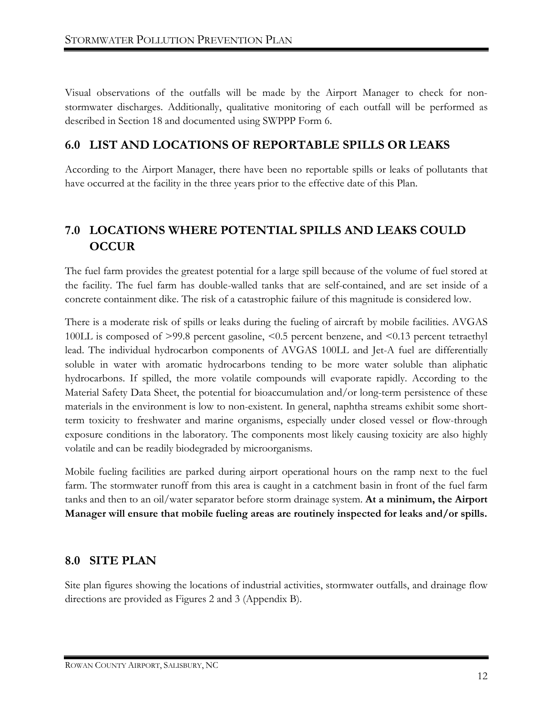Visual observations of the outfalls will be made by the Airport Manager to check for nonstormwater discharges. Additionally, qualitative monitoring of each outfall will be performed as described in Section 18 and documented using SWPPP Form 6.

### <span id="page-17-0"></span>**6.0 LIST AND LOCATIONS OF REPORTABLE SPILLS OR LEAKS**

According to the Airport Manager, there have been no reportable spills or leaks of pollutants that have occurred at the facility in the three years prior to the effective date of this Plan.

# <span id="page-17-1"></span>**7.0 LOCATIONS WHERE POTENTIAL SPILLS AND LEAKS COULD OCCUR**

The fuel farm provides the greatest potential for a large spill because of the volume of fuel stored at the facility. The fuel farm has double-walled tanks that are self-contained, and are set inside of a concrete containment dike. The risk of a catastrophic failure of this magnitude is considered low.

There is a moderate risk of spills or leaks during the fueling of aircraft by mobile facilities. AVGAS 100LL is composed of >99.8 percent gasoline, <0.5 percent benzene, and <0.13 percent tetraethyl lead. The individual hydrocarbon components of AVGAS 100LL and Jet-A fuel are differentially soluble in water with aromatic hydrocarbons tending to be more water soluble than aliphatic hydrocarbons. If spilled, the more volatile compounds will evaporate rapidly. According to the Material Safety Data Sheet, the potential for bioaccumulation and/or long-term persistence of these materials in the environment is low to non-existent. In general, naphtha streams exhibit some shortterm toxicity to freshwater and marine organisms, especially under closed vessel or flow-through exposure conditions in the laboratory. The components most likely causing toxicity are also highly volatile and can be readily biodegraded by microorganisms.

Mobile fueling facilities are parked during airport operational hours on the ramp next to the fuel farm. The stormwater runoff from this area is caught in a catchment basin in front of the fuel farm tanks and then to an oil/water separator before storm drainage system. **At a minimum, the Airport Manager will ensure that mobile fueling areas are routinely inspected for leaks and/or spills.**

#### <span id="page-17-2"></span>**8.0 SITE PLAN**

Site plan figures showing the locations of industrial activities, stormwater outfalls, and drainage flow directions are provided as Figures 2 and 3 (Appendix B).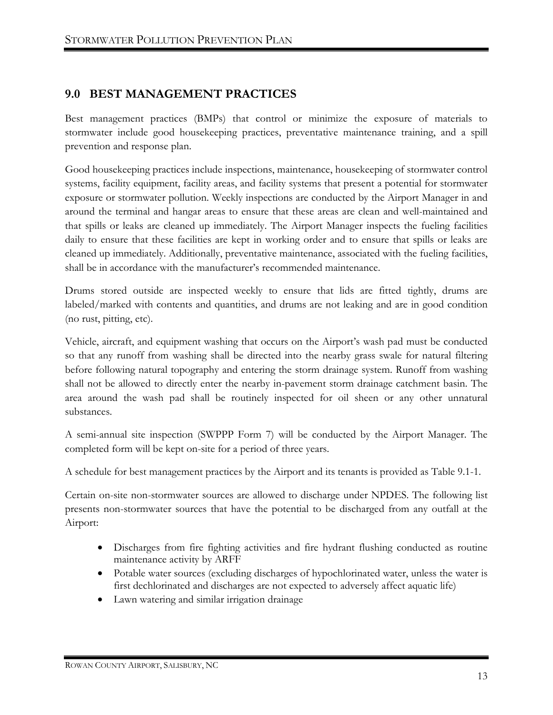# <span id="page-18-0"></span>**9.0 BEST MANAGEMENT PRACTICES**

Best management practices (BMPs) that control or minimize the exposure of materials to stormwater include good housekeeping practices, preventative maintenance training, and a spill prevention and response plan.

Good housekeeping practices include inspections, maintenance, housekeeping of stormwater control systems, facility equipment, facility areas, and facility systems that present a potential for stormwater exposure or stormwater pollution. Weekly inspections are conducted by the Airport Manager in and around the terminal and hangar areas to ensure that these areas are clean and well-maintained and that spills or leaks are cleaned up immediately. The Airport Manager inspects the fueling facilities daily to ensure that these facilities are kept in working order and to ensure that spills or leaks are cleaned up immediately. Additionally, preventative maintenance, associated with the fueling facilities, shall be in accordance with the manufacturer's recommended maintenance.

Drums stored outside are inspected weekly to ensure that lids are fitted tightly, drums are labeled/marked with contents and quantities, and drums are not leaking and are in good condition (no rust, pitting, etc).

Vehicle, aircraft, and equipment washing that occurs on the Airport's wash pad must be conducted so that any runoff from washing shall be directed into the nearby grass swale for natural filtering before following natural topography and entering the storm drainage system. Runoff from washing shall not be allowed to directly enter the nearby in-pavement storm drainage catchment basin. The area around the wash pad shall be routinely inspected for oil sheen or any other unnatural substances.

A semi-annual site inspection (SWPPP Form 7) will be conducted by the Airport Manager. The completed form will be kept on-site for a period of three years.

A schedule for best management practices by the Airport and its tenants is provided as Table 9.1-1.

Certain on-site non-stormwater sources are allowed to discharge under NPDES. The following list presents non-stormwater sources that have the potential to be discharged from any outfall at the Airport:

- Discharges from fire fighting activities and fire hydrant flushing conducted as routine maintenance activity by ARFF
- Potable water sources (excluding discharges of hypochlorinated water, unless the water is first dechlorinated and discharges are not expected to adversely affect aquatic life)
- Lawn watering and similar irrigation drainage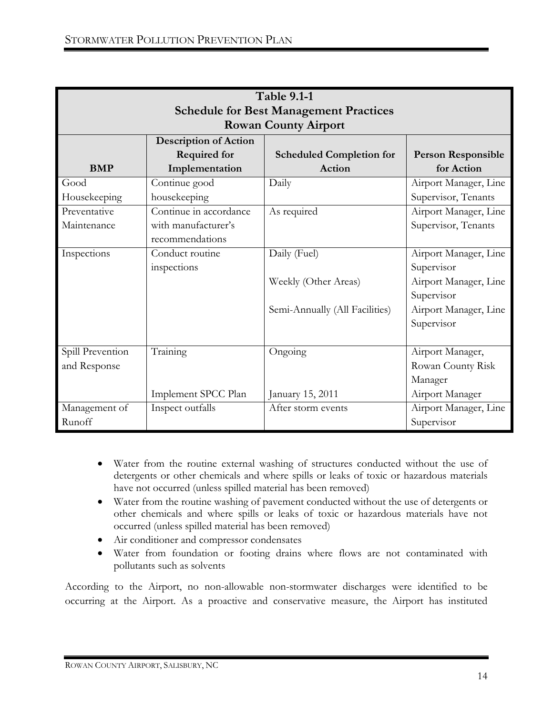| <b>Table 9.1-1</b><br><b>Schedule for Best Management Practices</b><br><b>Rowan County Airport</b> |                                                                       |                                                                        |                                                                                                                   |  |
|----------------------------------------------------------------------------------------------------|-----------------------------------------------------------------------|------------------------------------------------------------------------|-------------------------------------------------------------------------------------------------------------------|--|
| <b>BMP</b>                                                                                         | <b>Description of Action</b><br><b>Required for</b><br>Implementation | <b>Scheduled Completion for</b><br>Action                              | <b>Person Responsible</b><br>for Action                                                                           |  |
| Good<br>Housekeeping                                                                               | Continue good<br>housekeeping                                         | Daily                                                                  | Airport Manager, Line<br>Supervisor, Tenants                                                                      |  |
| Preventative<br>Maintenance                                                                        | Continue in accordance<br>with manufacturer's<br>recommendations      | As required                                                            | Airport Manager, Line<br>Supervisor, Tenants                                                                      |  |
| Inspections                                                                                        | Conduct routine<br>inspections                                        | Daily (Fuel)<br>Weekly (Other Areas)<br>Semi-Annually (All Facilities) | Airport Manager, Line<br>Supervisor<br>Airport Manager, Line<br>Supervisor<br>Airport Manager, Line<br>Supervisor |  |
| Spill Prevention<br>and Response                                                                   | Training<br>Implement SPCC Plan                                       | Ongoing<br>January 15, 2011                                            | Airport Manager,<br>Rowan County Risk<br>Manager<br>Airport Manager                                               |  |
| Management of<br>Runoff                                                                            | Inspect outfalls                                                      | After storm events                                                     | Airport Manager, Line<br>Supervisor                                                                               |  |

- Water from the routine external washing of structures conducted without the use of detergents or other chemicals and where spills or leaks of toxic or hazardous materials have not occurred (unless spilled material has been removed)
- Water from the routine washing of pavement conducted without the use of detergents or other chemicals and where spills or leaks of toxic or hazardous materials have not occurred (unless spilled material has been removed)
- Air conditioner and compressor condensates
- Water from foundation or footing drains where flows are not contaminated with pollutants such as solvents

According to the Airport, no non-allowable non-stormwater discharges were identified to be occurring at the Airport. As a proactive and conservative measure, the Airport has instituted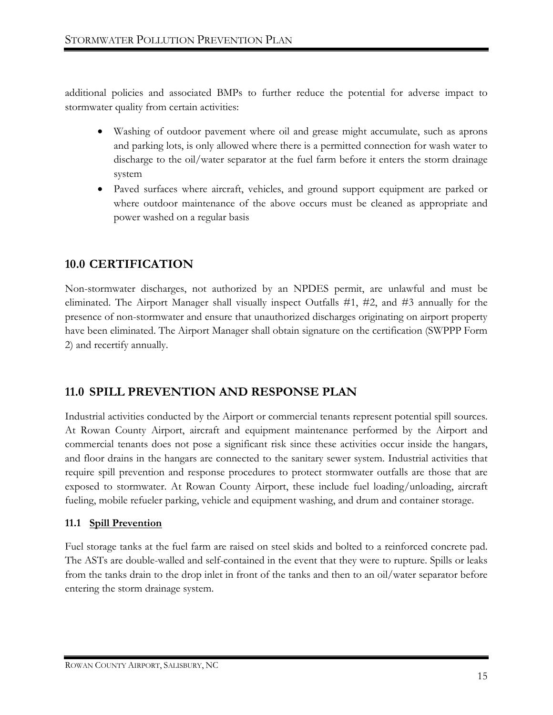additional policies and associated BMPs to further reduce the potential for adverse impact to stormwater quality from certain activities:

- Washing of outdoor pavement where oil and grease might accumulate, such as aprons and parking lots, is only allowed where there is a permitted connection for wash water to discharge to the oil/water separator at the fuel farm before it enters the storm drainage system
- Paved surfaces where aircraft, vehicles, and ground support equipment are parked or where outdoor maintenance of the above occurs must be cleaned as appropriate and power washed on a regular basis

# <span id="page-20-0"></span>**10.0 CERTIFICATION**

Non-stormwater discharges, not authorized by an NPDES permit, are unlawful and must be eliminated. The Airport Manager shall visually inspect Outfalls  $#1, #2,$  and  $#3$  annually for the presence of non-stormwater and ensure that unauthorized discharges originating on airport property have been eliminated. The Airport Manager shall obtain signature on the certification (SWPPP Form 2) and recertify annually.

# <span id="page-20-1"></span>**11.0 SPILL PREVENTION AND RESPONSE PLAN**

Industrial activities conducted by the Airport or commercial tenants represent potential spill sources. At Rowan County Airport, aircraft and equipment maintenance performed by the Airport and commercial tenants does not pose a significant risk since these activities occur inside the hangars, and floor drains in the hangars are connected to the sanitary sewer system. Industrial activities that require spill prevention and response procedures to protect stormwater outfalls are those that are exposed to stormwater. At Rowan County Airport, these include fuel loading/unloading, aircraft fueling, mobile refueler parking, vehicle and equipment washing, and drum and container storage.

#### <span id="page-20-2"></span>**11.1 Spill Prevention**

Fuel storage tanks at the fuel farm are raised on steel skids and bolted to a reinforced concrete pad. The ASTs are double-walled and self-contained in the event that they were to rupture. Spills or leaks from the tanks drain to the drop inlet in front of the tanks and then to an oil/water separator before entering the storm drainage system.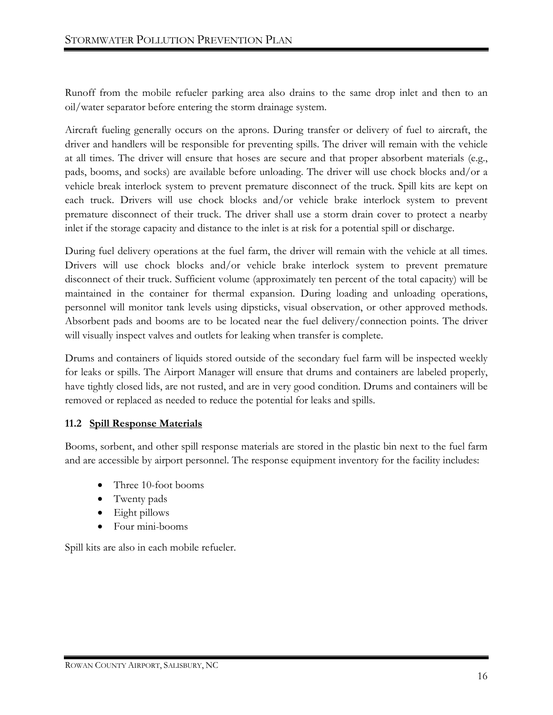Runoff from the mobile refueler parking area also drains to the same drop inlet and then to an oil/water separator before entering the storm drainage system.

Aircraft fueling generally occurs on the aprons. During transfer or delivery of fuel to aircraft, the driver and handlers will be responsible for preventing spills. The driver will remain with the vehicle at all times. The driver will ensure that hoses are secure and that proper absorbent materials (e.g., pads, booms, and socks) are available before unloading. The driver will use chock blocks and/or a vehicle break interlock system to prevent premature disconnect of the truck. Spill kits are kept on each truck. Drivers will use chock blocks and/or vehicle brake interlock system to prevent premature disconnect of their truck. The driver shall use a storm drain cover to protect a nearby inlet if the storage capacity and distance to the inlet is at risk for a potential spill or discharge.

During fuel delivery operations at the fuel farm, the driver will remain with the vehicle at all times. Drivers will use chock blocks and/or vehicle brake interlock system to prevent premature disconnect of their truck. Sufficient volume (approximately ten percent of the total capacity) will be maintained in the container for thermal expansion. During loading and unloading operations, personnel will monitor tank levels using dipsticks, visual observation, or other approved methods. Absorbent pads and booms are to be located near the fuel delivery/connection points. The driver will visually inspect valves and outlets for leaking when transfer is complete.

Drums and containers of liquids stored outside of the secondary fuel farm will be inspected weekly for leaks or spills. The Airport Manager will ensure that drums and containers are labeled properly, have tightly closed lids, are not rusted, and are in very good condition. Drums and containers will be removed or replaced as needed to reduce the potential for leaks and spills.

#### <span id="page-21-0"></span>**11.2 Spill Response Materials**

Booms, sorbent, and other spill response materials are stored in the plastic bin next to the fuel farm and are accessible by airport personnel. The response equipment inventory for the facility includes:

- Three 10-foot booms
- Twenty pads
- Eight pillows
- Four mini-booms

Spill kits are also in each mobile refueler.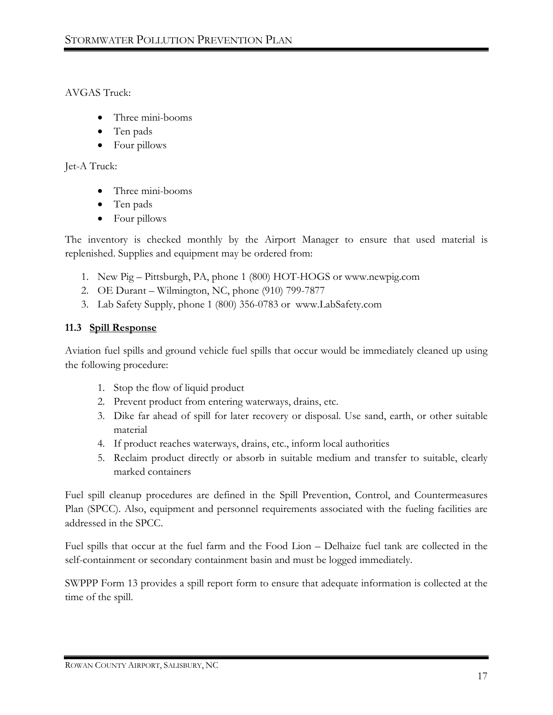AVGAS Truck:

- Three mini-booms
- Ten pads
- Four pillows

Jet-A Truck:

- Three mini-booms
- Ten pads
- Four pillows

The inventory is checked monthly by the Airport Manager to ensure that used material is replenished. Supplies and equipment may be ordered from:

- 1. New Pig Pittsburgh, PA, phone 1 (800) HOT-HOGS or [www.newpig.com](http://www.newpig.com/)
- 2. OE Durant Wilmington, NC, phone (910) 799-7877
- 3. Lab Safety Supply, phone 1 (800) 356-0783 or [www.LabSafety.com](http://www.labsafety.com/)

#### <span id="page-22-0"></span>**11.3 Spill Response**

Aviation fuel spills and ground vehicle fuel spills that occur would be immediately cleaned up using the following procedure:

- 1. Stop the flow of liquid product
- 2. Prevent product from entering waterways, drains, etc.
- 3. Dike far ahead of spill for later recovery or disposal. Use sand, earth, or other suitable material
- 4. If product reaches waterways, drains, etc., inform local authorities
- 5. Reclaim product directly or absorb in suitable medium and transfer to suitable, clearly marked containers

Fuel spill cleanup procedures are defined in the Spill Prevention, Control, and Countermeasures Plan (SPCC). Also, equipment and personnel requirements associated with the fueling facilities are addressed in the SPCC.

Fuel spills that occur at the fuel farm and the Food Lion – Delhaize fuel tank are collected in the self-containment or secondary containment basin and must be logged immediately.

SWPPP Form 13 provides a spill report form to ensure that adequate information is collected at the time of the spill.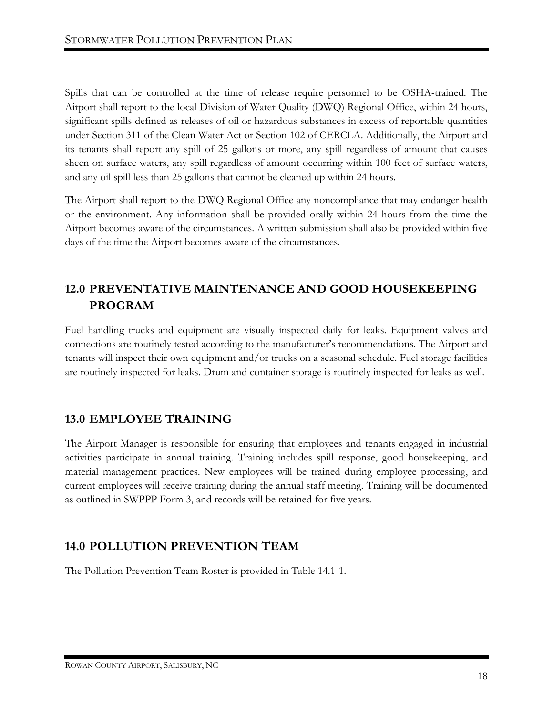Spills that can be controlled at the time of release require personnel to be OSHA-trained. The Airport shall report to the local Division of Water Quality (DWQ) Regional Office, within 24 hours, significant spills defined as releases of oil or hazardous substances in excess of reportable quantities under Section 311 of the Clean Water Act or Section 102 of CERCLA. Additionally, the Airport and its tenants shall report any spill of 25 gallons or more, any spill regardless of amount that causes sheen on surface waters, any spill regardless of amount occurring within 100 feet of surface waters, and any oil spill less than 25 gallons that cannot be cleaned up within 24 hours.

The Airport shall report to the DWQ Regional Office any noncompliance that may endanger health or the environment. Any information shall be provided orally within 24 hours from the time the Airport becomes aware of the circumstances. A written submission shall also be provided within five days of the time the Airport becomes aware of the circumstances.

# <span id="page-23-0"></span>**12.0 PREVENTATIVE MAINTENANCE AND GOOD HOUSEKEEPING PROGRAM**

Fuel handling trucks and equipment are visually inspected daily for leaks. Equipment valves and connections are routinely tested according to the manufacturer's recommendations. The Airport and tenants will inspect their own equipment and/or trucks on a seasonal schedule. Fuel storage facilities are routinely inspected for leaks. Drum and container storage is routinely inspected for leaks as well.

# <span id="page-23-1"></span>**13.0 EMPLOYEE TRAINING**

The Airport Manager is responsible for ensuring that employees and tenants engaged in industrial activities participate in annual training. Training includes spill response, good housekeeping, and material management practices. New employees will be trained during employee processing, and current employees will receive training during the annual staff meeting. Training will be documented as outlined in SWPPP Form 3, and records will be retained for five years.

# <span id="page-23-2"></span>**14.0 POLLUTION PREVENTION TEAM**

The Pollution Prevention Team Roster is provided in Table 14.1-1.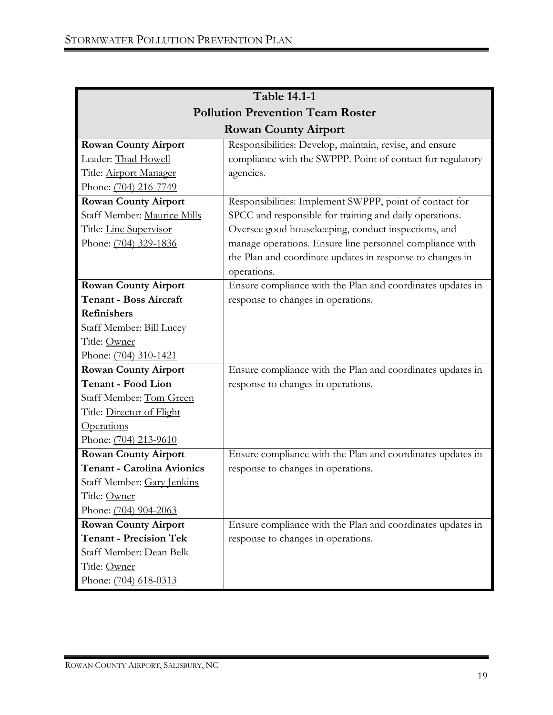| <b>Table 14.1-1</b>                     |                                                                          |  |  |
|-----------------------------------------|--------------------------------------------------------------------------|--|--|
| <b>Pollution Prevention Team Roster</b> |                                                                          |  |  |
| <b>Rowan County Airport</b>             |                                                                          |  |  |
| <b>Rowan County Airport</b>             | Responsibilities: Develop, maintain, revise, and ensure                  |  |  |
| Leader: Thad Howell                     | compliance with the SWPPP. Point of contact for regulatory               |  |  |
| Title: Airport Manager                  | agencies.                                                                |  |  |
| Phone: (704) 216-7749                   |                                                                          |  |  |
| <b>Rowan County Airport</b>             | Responsibilities: Implement SWPPP, point of contact for                  |  |  |
| Staff Member: Maurice Mills             | SPCC and responsible for training and daily operations.                  |  |  |
| Title: Line Supervisor                  | Oversee good housekeeping, conduct inspections, and                      |  |  |
| Phone: (704) 329-1836                   | manage operations. Ensure line personnel compliance with                 |  |  |
|                                         | the Plan and coordinate updates in response to changes in<br>operations. |  |  |
| <b>Rowan County Airport</b>             | Ensure compliance with the Plan and coordinates updates in               |  |  |
| <b>Tenant - Boss Aircraft</b>           | response to changes in operations.                                       |  |  |
| <b>Refinishers</b>                      |                                                                          |  |  |
| Staff Member: Bill Lucey                |                                                                          |  |  |
| Title: Owner                            |                                                                          |  |  |
| Phone: (704) 310-1421                   |                                                                          |  |  |
| <b>Rowan County Airport</b>             | Ensure compliance with the Plan and coordinates updates in               |  |  |
| Tenant - Food Lion                      | response to changes in operations.                                       |  |  |
| Staff Member: Tom Green                 |                                                                          |  |  |
| Title: Director of Flight               |                                                                          |  |  |
| Operations                              |                                                                          |  |  |
| Phone: (704) 213-9610                   |                                                                          |  |  |
| <b>Rowan County Airport</b>             | Ensure compliance with the Plan and coordinates updates in               |  |  |
| <b>Tenant - Carolina Avionics</b>       | response to changes in operations.                                       |  |  |
| Staff Member: Gary Jenkins              |                                                                          |  |  |
| Title: Owner                            |                                                                          |  |  |
| Phone: (704) 904-2063                   |                                                                          |  |  |
| <b>Rowan County Airport</b>             | Ensure compliance with the Plan and coordinates updates in               |  |  |
| <b>Tenant - Precision Tek</b>           | response to changes in operations.                                       |  |  |
| Staff Member: Dean Belk                 |                                                                          |  |  |
| Title: Owner                            |                                                                          |  |  |
| Phone: (704) 618-0313                   |                                                                          |  |  |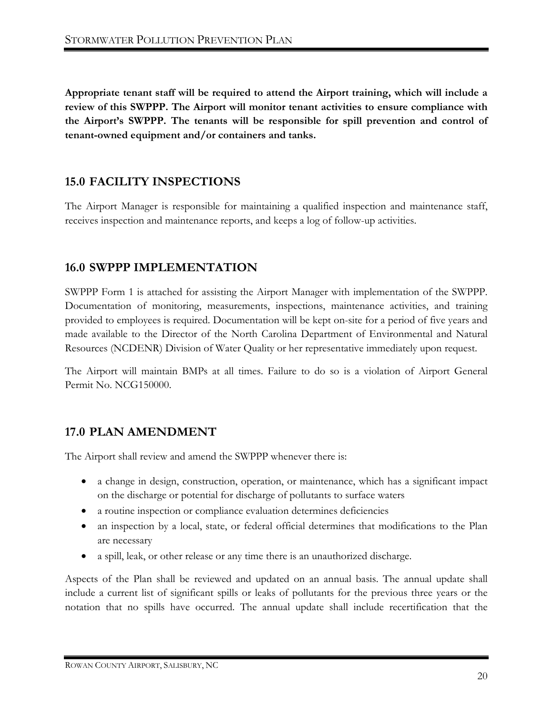**Appropriate tenant staff will be required to attend the Airport training, which will include a review of this SWPPP. The Airport will monitor tenant activities to ensure compliance with the Airport's SWPPP. The tenants will be responsible for spill prevention and control of tenant-owned equipment and/or containers and tanks.**

### <span id="page-25-0"></span>**15.0 FACILITY INSPECTIONS**

The Airport Manager is responsible for maintaining a qualified inspection and maintenance staff, receives inspection and maintenance reports, and keeps a log of follow-up activities.

### <span id="page-25-1"></span>**16.0 SWPPP IMPLEMENTATION**

SWPPP Form 1 is attached for assisting the Airport Manager with implementation of the SWPPP. Documentation of monitoring, measurements, inspections, maintenance activities, and training provided to employees is required. Documentation will be kept on-site for a period of five years and made available to the Director of the North Carolina Department of Environmental and Natural Resources (NCDENR) Division of Water Quality or her representative immediately upon request.

The Airport will maintain BMPs at all times. Failure to do so is a violation of Airport General Permit No. NCG150000.

# <span id="page-25-2"></span>**17.0 PLAN AMENDMENT**

The Airport shall review and amend the SWPPP whenever there is:

- a change in design, construction, operation, or maintenance, which has a significant impact on the discharge or potential for discharge of pollutants to surface waters
- a routine inspection or compliance evaluation determines deficiencies
- an inspection by a local, state, or federal official determines that modifications to the Plan are necessary
- a spill, leak, or other release or any time there is an unauthorized discharge.

Aspects of the Plan shall be reviewed and updated on an annual basis. The annual update shall include a current list of significant spills or leaks of pollutants for the previous three years or the notation that no spills have occurred. The annual update shall include recertification that the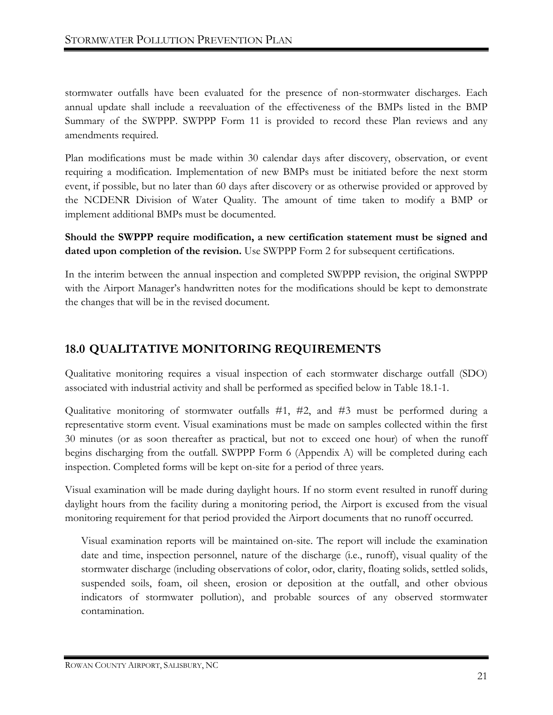stormwater outfalls have been evaluated for the presence of non-stormwater discharges. Each annual update shall include a reevaluation of the effectiveness of the BMPs listed in the BMP Summary of the SWPPP. SWPPP Form 11 is provided to record these Plan reviews and any amendments required.

Plan modifications must be made within 30 calendar days after discovery, observation, or event requiring a modification. Implementation of new BMPs must be initiated before the next storm event, if possible, but no later than 60 days after discovery or as otherwise provided or approved by the NCDENR Division of Water Quality. The amount of time taken to modify a BMP or implement additional BMPs must be documented.

**Should the SWPPP require modification, a new certification statement must be signed and dated upon completion of the revision.** Use SWPPP Form 2 for subsequent certifications.

In the interim between the annual inspection and completed SWPPP revision, the original SWPPP with the Airport Manager's handwritten notes for the modifications should be kept to demonstrate the changes that will be in the revised document.

# <span id="page-26-0"></span>**18.0 QUALITATIVE MONITORING REQUIREMENTS**

Qualitative monitoring requires a visual inspection of each stormwater discharge outfall (SDO) associated with industrial activity and shall be performed as specified below in Table 18.1-1.

Qualitative monitoring of stormwater outfalls #1, #2, and #3 must be performed during a representative storm event. Visual examinations must be made on samples collected within the first 30 minutes (or as soon thereafter as practical, but not to exceed one hour) of when the runoff begins discharging from the outfall. SWPPP Form 6 (Appendix A) will be completed during each inspection. Completed forms will be kept on-site for a period of three years.

Visual examination will be made during daylight hours. If no storm event resulted in runoff during daylight hours from the facility during a monitoring period, the Airport is excused from the visual monitoring requirement for that period provided the Airport documents that no runoff occurred.

Visual examination reports will be maintained on-site. The report will include the examination date and time, inspection personnel, nature of the discharge (i.e., runoff), visual quality of the stormwater discharge (including observations of color, odor, clarity, floating solids, settled solids, suspended soils, foam, oil sheen, erosion or deposition at the outfall, and other obvious indicators of stormwater pollution), and probable sources of any observed stormwater contamination.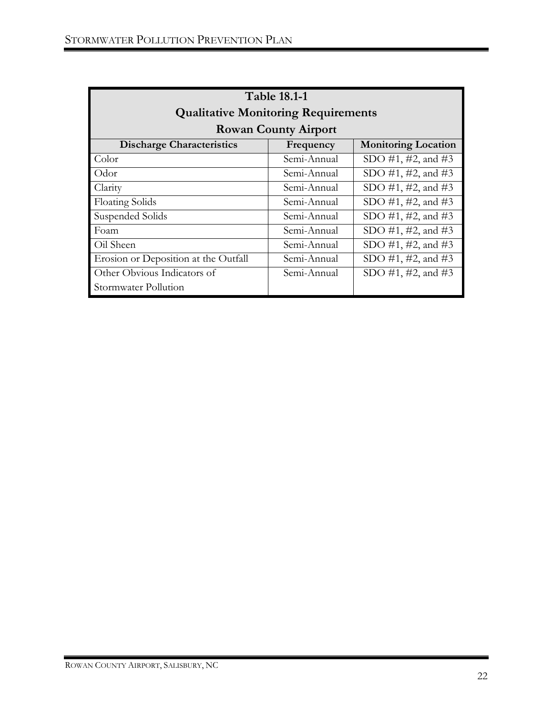| <b>Table 18.1-1</b><br><b>Qualitative Monitoring Requirements</b> |                             |                            |  |  |
|-------------------------------------------------------------------|-----------------------------|----------------------------|--|--|
|                                                                   | <b>Rowan County Airport</b> |                            |  |  |
| <b>Discharge Characteristics</b>                                  | Frequency                   | <b>Monitoring Location</b> |  |  |
| Color                                                             | Semi-Annual                 | SDO #1, #2, and #3         |  |  |
| Odor                                                              | Semi-Annual                 | SDO #1, #2, and #3         |  |  |
| Clarity                                                           | Semi-Annual                 | SDO #1, #2, and #3         |  |  |
| <b>Floating Solids</b>                                            | Semi-Annual                 | SDO #1, #2, and #3         |  |  |
| Suspended Solids                                                  | Semi-Annual                 | SDO #1, #2, and #3         |  |  |
| Foam                                                              | Semi-Annual                 | SDO #1, #2, and #3         |  |  |
| Oil Sheen                                                         | Semi-Annual                 | SDO #1, #2, and #3         |  |  |
| Erosion or Deposition at the Outfall                              | Semi-Annual                 | SDO #1, #2, and #3         |  |  |
| Other Obvious Indicators of                                       | Semi-Annual                 | SDO #1, #2, and #3         |  |  |
| Stormwater Pollution                                              |                             |                            |  |  |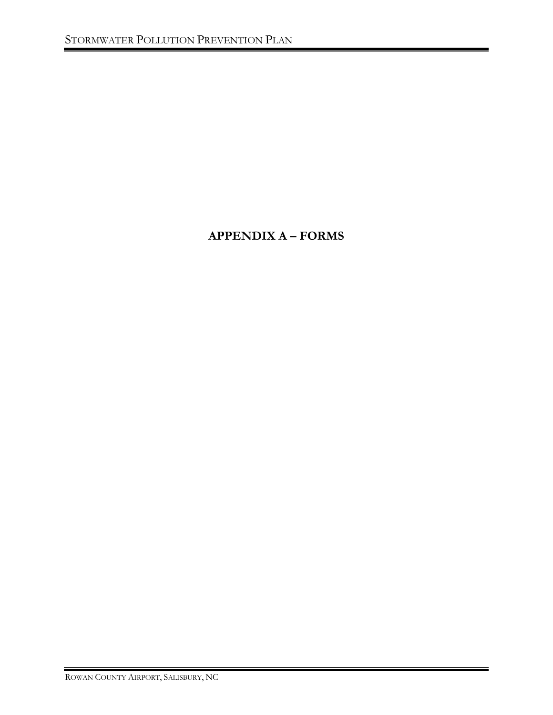# **APPENDIX A – FORMS**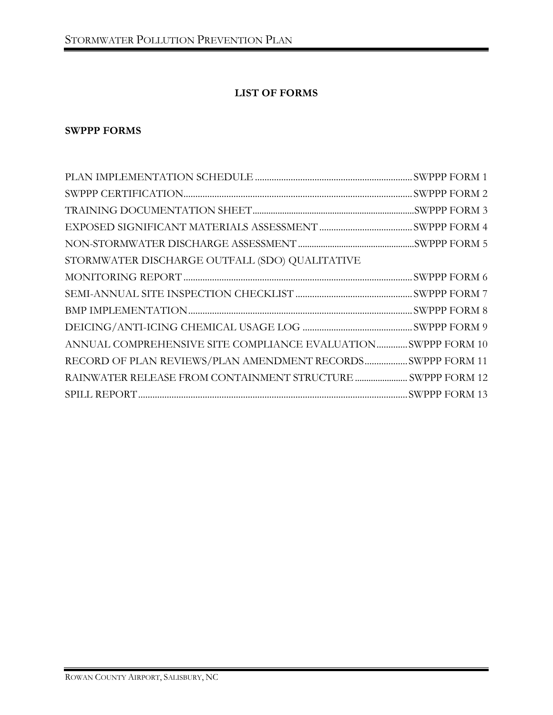### **LIST OF FORMS**

#### **SWPPP FORMS**

| STORMWATER DISCHARGE OUTFALL (SDO) QUALITATIVE               |  |
|--------------------------------------------------------------|--|
|                                                              |  |
|                                                              |  |
|                                                              |  |
|                                                              |  |
| ANNUAL COMPREHENSIVE SITE COMPLIANCE EVALUATIONSWPPP FORM 10 |  |
| RECORD OF PLAN REVIEWS/PLAN AMENDMENT RECORDS SWPPP FORM 11  |  |
| RAINWATER RELEASE FROM CONTAINMENT STRUCTURE  SWPPP FORM 12  |  |
|                                                              |  |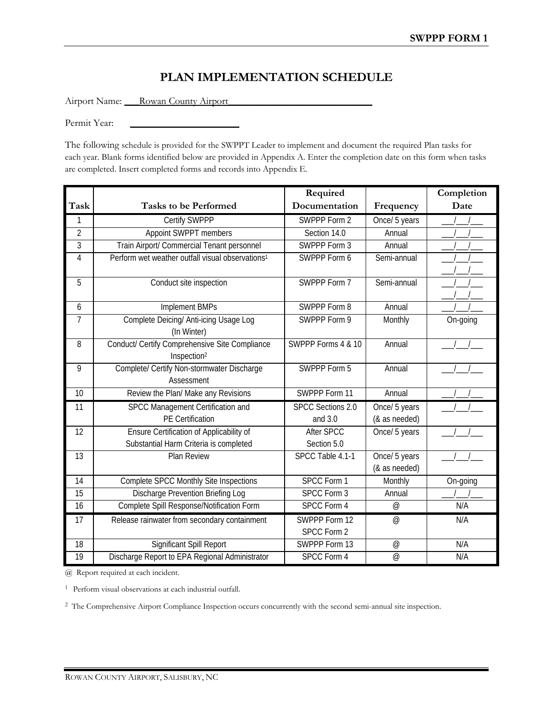### **PLAN IMPLEMENTATION SCHEDULE**

Airport Name: **\_\_\_\_\_Rowan County Airport** 

Permit Year:

The following schedule is provided for the SWPPT Leader to implement and document the required Plan tasks for each year. Blank forms identified below are provided in Appendix A. Enter the completion date on this form when tasks are completed. Insert completed forms and records into Appendix E.

|                |                                                                                    | Required                         |                                | Completion |
|----------------|------------------------------------------------------------------------------------|----------------------------------|--------------------------------|------------|
| <b>Task</b>    | <b>Tasks to be Performed</b>                                                       | Documentation                    | Frequency                      | Date       |
| 1              | <b>Certify SWPPP</b>                                                               | SWPPP Form 2                     | Once/ 5 years                  |            |
| $\overline{2}$ | <b>Appoint SWPPT members</b>                                                       | Section 14.0                     | Annual                         |            |
| 3              | Train Airport/ Commercial Tenant personnel                                         | SWPPP Form 3                     | Annual                         |            |
| 4              | Perform wet weather outfall visual observations <sup>1</sup>                       | SWPPP Form 6                     | Semi-annual                    |            |
| 5              | Conduct site inspection                                                            | SWPPP Form 7                     | Semi-annual                    |            |
| 6              | <b>Implement BMPs</b>                                                              | SWPPP Form 8                     | Annual                         |            |
| $\overline{7}$ | Complete Deicing/ Anti-icing Usage Log<br>(In Winter)                              | SWPPP Form 9                     | Monthly                        | On-going   |
| 8              | Conduct/ Certify Comprehensive Site Compliance<br>Inspection <sup>2</sup>          | SWPPP Forms 4 & 10               | Annual                         |            |
| 9              | Complete/ Certify Non-stormwater Discharge<br>Assessment                           | SWPPP Form 5                     | Annual                         |            |
| 10             | Review the Plan/ Make any Revisions                                                | SWPPP Form 11                    | Annual                         |            |
| 11             | SPCC Management Certification and<br><b>PE</b> Certification                       | SPCC Sections 2.0<br>and 3.0     | Once/ 5 years<br>(& as needed) |            |
| 12             | Ensure Certification of Applicability of<br>Substantial Harm Criteria is completed | <b>After SPCC</b><br>Section 5.0 | Once/ 5 years                  |            |
| 13             | <b>Plan Review</b>                                                                 | SPCC Table 4.1-1                 | Once/ 5 years<br>(& as needed) |            |
| 14             | <b>Complete SPCC Monthly Site Inspections</b>                                      | SPCC Form 1                      | Monthly                        | On-going   |
| 15             | <b>Discharge Prevention Briefing Log</b>                                           | SPCC Form 3                      | Annual                         |            |
| 16             | Complete Spill Response/Notification Form                                          | SPCC Form 4                      | @                              | N/A        |
| 17             | Release rainwater from secondary containment                                       | SWPPP Form 12<br>SPCC Form 2     | $\varnothing$                  | N/A        |
| 18             | <b>Significant Spill Report</b>                                                    | SWPPP Form 13                    | $\oslash$                      | N/A        |
| 19             | Discharge Report to EPA Regional Administrator                                     | SPCC Form 4                      | @                              | N/A        |

@ Report required at each incident.

1 Perform visual observations at each industrial outfall.

<sup>2</sup> The Comprehensive Airport Compliance Inspection occurs concurrently with the second semi-annual site inspection.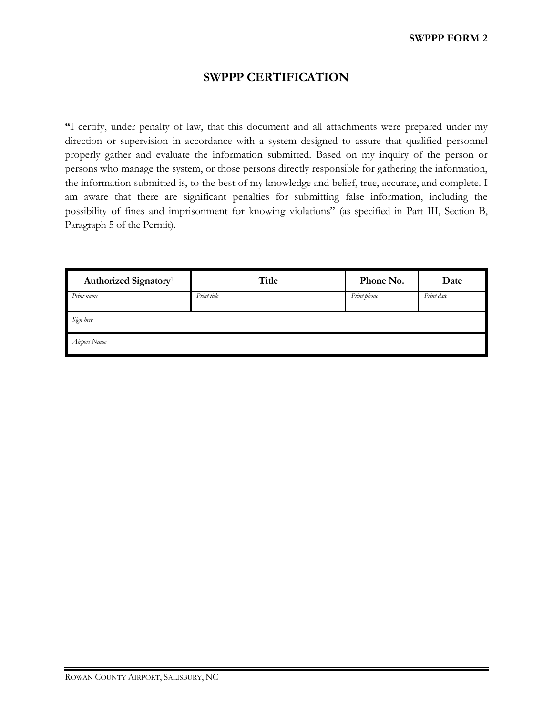### **SWPPP CERTIFICATION**

**"**I certify, under penalty of law, that this document and all attachments were prepared under my direction or supervision in accordance with a system designed to assure that qualified personnel properly gather and evaluate the information submitted. Based on my inquiry of the person or persons who manage the system, or those persons directly responsible for gathering the information, the information submitted is, to the best of my knowledge and belief, true, accurate, and complete. I am aware that there are significant penalties for submitting false information, including the possibility of fines and imprisonment for knowing violations" (as specified in Part III, Section B, Paragraph 5 of the Permit).

| Authorized Signatory <sup>1</sup> | Title       | Phone No.   | Date       |
|-----------------------------------|-------------|-------------|------------|
| Print name                        | Print title | Print phone | Print date |
| Sign here                         |             |             |            |
| Airport Name                      |             |             |            |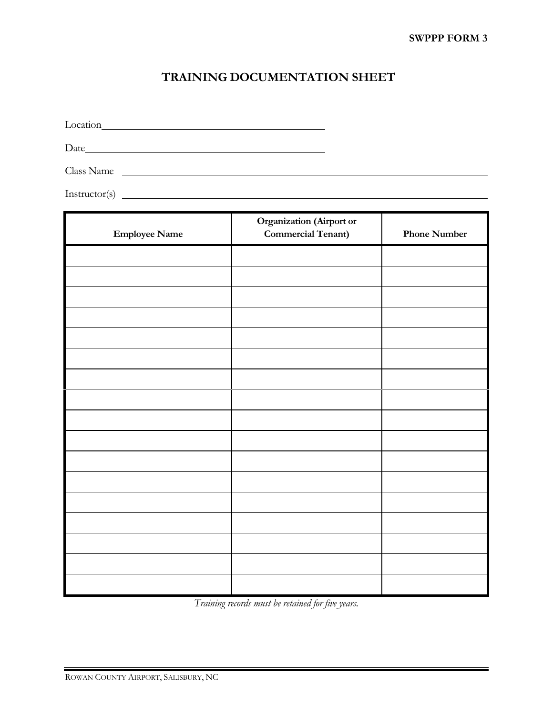# **TRAINING DOCUMENTATION SHEET**

Location <u>example and the set of the set of the set of the set of the set of the set of the set of the set of the set of the set of the set of the set of the set of the set of the set of the set of the set of the set of th</u>

Date

Class Name

Instructor(s)  $\qquad \qquad$ 

| <b>Employee Name</b> | Organization (Airport or<br><b>Commercial Tenant)</b> | <b>Phone Number</b> |
|----------------------|-------------------------------------------------------|---------------------|
|                      |                                                       |                     |
|                      |                                                       |                     |
|                      |                                                       |                     |
|                      |                                                       |                     |
|                      |                                                       |                     |
|                      |                                                       |                     |
|                      |                                                       |                     |
|                      |                                                       |                     |
|                      |                                                       |                     |
|                      |                                                       |                     |
|                      |                                                       |                     |
|                      |                                                       |                     |
|                      |                                                       |                     |
|                      |                                                       |                     |
|                      |                                                       |                     |
|                      |                                                       |                     |
|                      |                                                       |                     |

*Training records must be retained for five years.*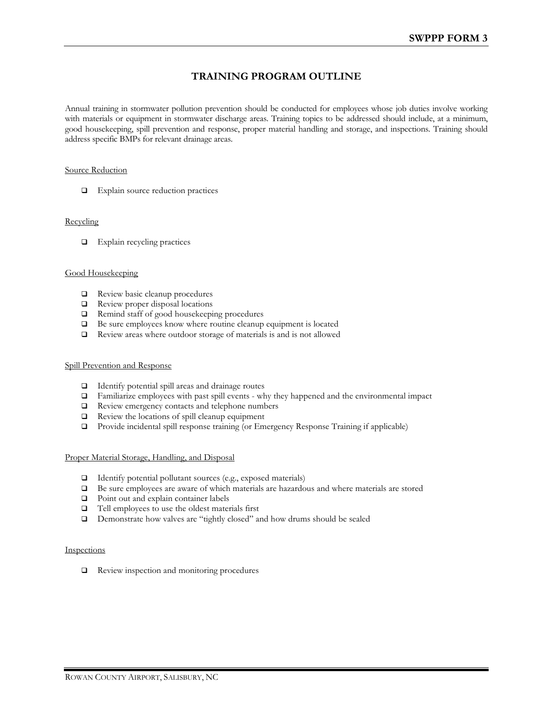#### **TRAINING PROGRAM OUTLINE**

Annual training in stormwater pollution prevention should be conducted for employees whose job duties involve working with materials or equipment in stormwater discharge areas. Training topics to be addressed should include, at a minimum, good housekeeping, spill prevention and response, proper material handling and storage, and inspections. Training should address specific BMPs for relevant drainage areas.

#### Source Reduction

**Explain source reduction practices** 

#### Recycling

**Explain recycling practices** 

#### Good Housekeeping

- Review basic cleanup procedures
- Review proper disposal locations
- Remind staff of good housekeeping procedures
- Be sure employees know where routine cleanup equipment is located
- Review areas where outdoor storage of materials is and is not allowed

#### Spill Prevention and Response

- Identify potential spill areas and drainage routes
- Familiarize employees with past spill events why they happened and the environmental impact
- Review emergency contacts and telephone numbers
- $\Box$  Review the locations of spill cleanup equipment
- Provide incidental spill response training (or Emergency Response Training if applicable)

#### Proper Material Storage, Handling, and Disposal

- $\Box$  Identify potential pollutant sources (e.g., exposed materials)
- $\Box$  Be sure employees are aware of which materials are hazardous and where materials are stored
- □ Point out and explain container labels
- $\Box$  Tell employees to use the oldest materials first
- Demonstrate how valves are "tightly closed" and how drums should be sealed

#### **Inspections**

Review inspection and monitoring procedures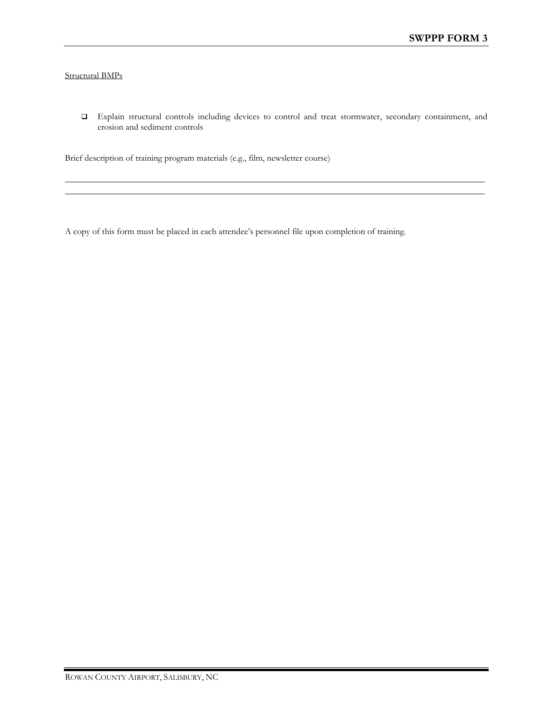#### Structural BMPs

 Explain structural controls including devices to control and treat stormwater, secondary containment, and erosion and sediment controls

\_\_\_\_\_\_\_\_\_\_\_\_\_\_\_\_\_\_\_\_\_\_\_\_\_\_\_\_\_\_\_\_\_\_\_\_\_\_\_\_\_\_\_\_\_\_\_\_\_\_\_\_\_\_\_\_\_\_\_\_\_\_\_\_\_\_\_\_\_\_\_\_\_\_\_\_\_\_\_\_\_\_\_\_\_\_\_\_\_\_\_\_\_  $\mathcal{L}_\mathcal{L} = \mathcal{L}_\mathcal{L} = \mathcal{L}_\mathcal{L} = \mathcal{L}_\mathcal{L} = \mathcal{L}_\mathcal{L} = \mathcal{L}_\mathcal{L} = \mathcal{L}_\mathcal{L} = \mathcal{L}_\mathcal{L} = \mathcal{L}_\mathcal{L} = \mathcal{L}_\mathcal{L} = \mathcal{L}_\mathcal{L} = \mathcal{L}_\mathcal{L} = \mathcal{L}_\mathcal{L} = \mathcal{L}_\mathcal{L} = \mathcal{L}_\mathcal{L} = \mathcal{L}_\mathcal{L} = \mathcal{L}_\mathcal{L}$ 

Brief description of training program materials (e.g., film, newsletter course)

A copy of this form must be placed in each attendee's personnel file upon completion of training.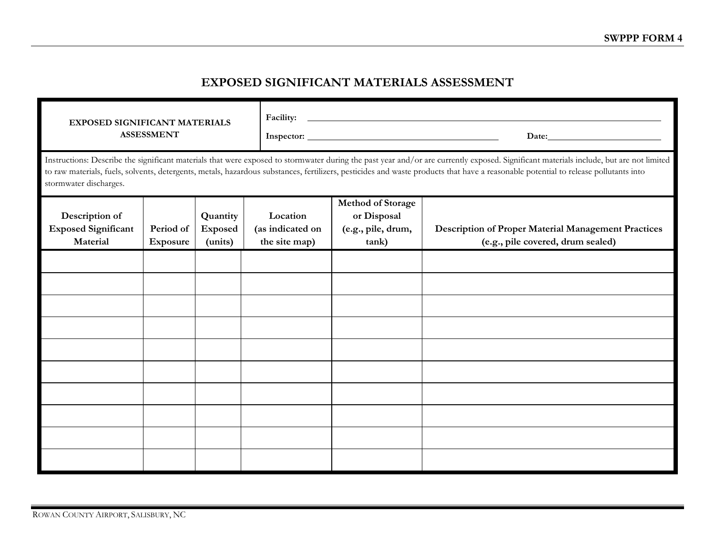### **EXPOSED SIGNIFICANT MATERIALS ASSESSMENT**

| <b>EXPOSED SIGNIFICANT MATERIALS</b><br><b>ASSESSMENT</b>                                                                                                                                                                                                                                                                                                                                               |                              |                                |                                               |                                                                 |                                                                                                 |
|---------------------------------------------------------------------------------------------------------------------------------------------------------------------------------------------------------------------------------------------------------------------------------------------------------------------------------------------------------------------------------------------------------|------------------------------|--------------------------------|-----------------------------------------------|-----------------------------------------------------------------|-------------------------------------------------------------------------------------------------|
| Instructions: Describe the significant materials that were exposed to stormwater during the past year and/or are currently exposed. Significant materials include, but are not limited<br>to raw materials, fuels, solvents, detergents, metals, hazardous substances, fertilizers, pesticides and waste products that have a reasonable potential to release pollutants into<br>stormwater discharges. |                              |                                |                                               |                                                                 |                                                                                                 |
| Description of<br><b>Exposed Significant</b><br>Material                                                                                                                                                                                                                                                                                                                                                | Period of<br><b>Exposure</b> | Quantity<br>Exposed<br>(units) | Location<br>(as indicated on<br>the site map) | Method of Storage<br>or Disposal<br>(e.g., pile, drum,<br>tank) | <b>Description of Proper Material Management Practices</b><br>(e.g., pile covered, drum sealed) |
|                                                                                                                                                                                                                                                                                                                                                                                                         |                              |                                |                                               |                                                                 |                                                                                                 |
|                                                                                                                                                                                                                                                                                                                                                                                                         |                              |                                |                                               |                                                                 |                                                                                                 |
|                                                                                                                                                                                                                                                                                                                                                                                                         |                              |                                |                                               |                                                                 |                                                                                                 |
|                                                                                                                                                                                                                                                                                                                                                                                                         |                              |                                |                                               |                                                                 |                                                                                                 |
|                                                                                                                                                                                                                                                                                                                                                                                                         |                              |                                |                                               |                                                                 |                                                                                                 |
|                                                                                                                                                                                                                                                                                                                                                                                                         |                              |                                |                                               |                                                                 |                                                                                                 |
|                                                                                                                                                                                                                                                                                                                                                                                                         |                              |                                |                                               |                                                                 |                                                                                                 |
|                                                                                                                                                                                                                                                                                                                                                                                                         |                              |                                |                                               |                                                                 |                                                                                                 |
|                                                                                                                                                                                                                                                                                                                                                                                                         |                              |                                |                                               |                                                                 |                                                                                                 |
|                                                                                                                                                                                                                                                                                                                                                                                                         |                              |                                |                                               |                                                                 |                                                                                                 |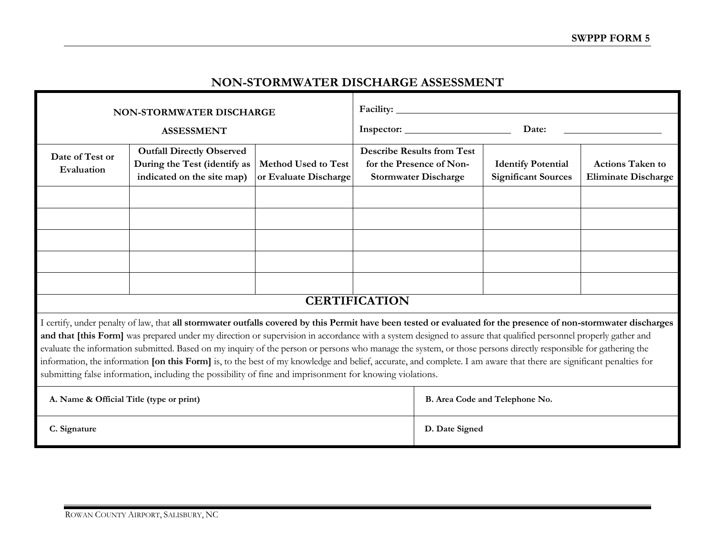### **NON-STORMWATER DISCHARGE ASSESSMENT**

| NON-STORMWATER DISCHARGE                                                                                                                                                                                                                                                                                                                                                                                                                                                                                                                                                                                                                                                                                                                                                                  |                                                                                                |                                                     |                      |                                                                                              |                                                         |                                                       |
|-------------------------------------------------------------------------------------------------------------------------------------------------------------------------------------------------------------------------------------------------------------------------------------------------------------------------------------------------------------------------------------------------------------------------------------------------------------------------------------------------------------------------------------------------------------------------------------------------------------------------------------------------------------------------------------------------------------------------------------------------------------------------------------------|------------------------------------------------------------------------------------------------|-----------------------------------------------------|----------------------|----------------------------------------------------------------------------------------------|---------------------------------------------------------|-------------------------------------------------------|
|                                                                                                                                                                                                                                                                                                                                                                                                                                                                                                                                                                                                                                                                                                                                                                                           | <b>ASSESSMENT</b>                                                                              |                                                     |                      | Inspector:                                                                                   | Date:                                                   |                                                       |
| Date of Test or<br>Evaluation                                                                                                                                                                                                                                                                                                                                                                                                                                                                                                                                                                                                                                                                                                                                                             | <b>Outfall Directly Observed</b><br>During the Test (identify as<br>indicated on the site map) | <b>Method Used to Test</b><br>or Evaluate Discharge |                      | <b>Describe Results from Test</b><br>for the Presence of Non-<br><b>Stormwater Discharge</b> | <b>Identify Potential</b><br><b>Significant Sources</b> | <b>Actions Taken to</b><br><b>Eliminate Discharge</b> |
|                                                                                                                                                                                                                                                                                                                                                                                                                                                                                                                                                                                                                                                                                                                                                                                           |                                                                                                |                                                     |                      |                                                                                              |                                                         |                                                       |
|                                                                                                                                                                                                                                                                                                                                                                                                                                                                                                                                                                                                                                                                                                                                                                                           |                                                                                                |                                                     |                      |                                                                                              |                                                         |                                                       |
|                                                                                                                                                                                                                                                                                                                                                                                                                                                                                                                                                                                                                                                                                                                                                                                           |                                                                                                |                                                     |                      |                                                                                              |                                                         |                                                       |
|                                                                                                                                                                                                                                                                                                                                                                                                                                                                                                                                                                                                                                                                                                                                                                                           |                                                                                                |                                                     |                      |                                                                                              |                                                         |                                                       |
|                                                                                                                                                                                                                                                                                                                                                                                                                                                                                                                                                                                                                                                                                                                                                                                           |                                                                                                |                                                     | <b>CERTIFICATION</b> |                                                                                              |                                                         |                                                       |
| I certify, under penalty of law, that all stormwater outfalls covered by this Permit have been tested or evaluated for the presence of non-stormwater discharges<br>and that [this Form] was prepared under my direction or supervision in accordance with a system designed to assure that qualified personnel properly gather and<br>evaluate the information submitted. Based on my inquiry of the person or persons who manage the system, or those persons directly responsible for gathering the<br>information, the information [on this Form] is, to the best of my knowledge and belief, accurate, and complete. I am aware that there are significant penalties for<br>submitting false information, including the possibility of fine and imprisonment for knowing violations. |                                                                                                |                                                     |                      |                                                                                              |                                                         |                                                       |
| A. Name & Official Title (type or print)                                                                                                                                                                                                                                                                                                                                                                                                                                                                                                                                                                                                                                                                                                                                                  |                                                                                                |                                                     |                      | B. Area Code and Telephone No.                                                               |                                                         |                                                       |
| C. Signature                                                                                                                                                                                                                                                                                                                                                                                                                                                                                                                                                                                                                                                                                                                                                                              |                                                                                                |                                                     |                      | D. Date Signed                                                                               |                                                         |                                                       |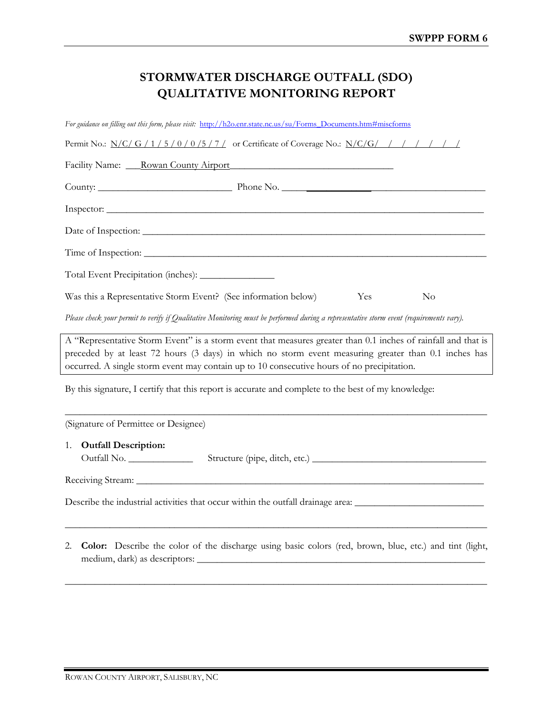## **STORMWATER DISCHARGE OUTFALL (SDO) QUALITATIVE MONITORING REPORT**

*For guidance on filling out this form, please visit:* [http://h2o.enr.state.nc.us/su/Forms\\_Documents.htm#miscforms](http://h2o.enr.state.nc.us/su/Forms_Documents.htm#miscforms) 

|  |  | Permit No.: $N/C/G/1/5/0/0/5/7/$ or Certificate of Coverage No.: $N/C/G/7/7/7/7/7$ |
|--|--|------------------------------------------------------------------------------------|
|  |  |                                                                                    |

| Facility Name: ____ Rowan County Airport                       |            |                |
|----------------------------------------------------------------|------------|----------------|
|                                                                |            |                |
|                                                                |            |                |
|                                                                |            |                |
|                                                                |            |                |
| Total Event Precipitation (inches): __________________         |            |                |
| Was this a Representative Storm Event? (See information below) | <b>Yes</b> | N <sub>o</sub> |

*Please check your permit to verify if Qualitative Monitoring must be performed during a representative storm event (requirements vary).*

A "Representative Storm Event" is a storm event that measures greater than 0.1 inches of rainfall and that is preceded by at least 72 hours (3 days) in which no storm event measuring greater than 0.1 inches has occurred. A single storm event may contain up to 10 consecutive hours of no precipitation.

\_\_\_\_\_\_\_\_\_\_\_\_\_\_\_\_\_\_\_\_\_\_\_\_\_\_\_\_\_\_\_\_\_\_\_\_\_\_\_\_\_\_\_\_\_\_\_\_\_\_\_\_\_\_\_\_\_\_\_\_\_\_\_\_\_\_\_\_\_\_\_\_\_\_\_\_\_\_\_\_\_\_\_\_\_

By this signature, I certify that this report is accurate and complete to the best of my knowledge:

(Signature of Permittee or Designee)

#### 1. **Outfall Description:**

Outfall No. \_\_\_\_\_\_\_\_\_\_\_\_\_ Structure (pipe, ditch, etc.) \_\_\_\_\_\_\_\_\_\_\_\_\_\_\_\_\_\_\_\_\_\_\_\_\_\_\_\_\_\_\_\_\_\_\_

Receiving Stream: \_\_\_\_\_\_\_\_\_\_\_\_\_\_\_\_\_\_\_\_\_\_\_\_\_\_\_\_\_\_\_\_\_\_\_\_\_\_\_\_\_\_\_\_\_\_\_\_\_\_\_\_\_\_\_\_\_\_\_\_\_\_\_\_\_\_\_\_\_\_

Describe the industrial activities that occur within the outfall drainage area: \_\_\_\_\_\_\_\_\_\_\_\_\_\_\_\_\_\_\_\_\_\_\_\_\_\_\_\_\_\_\_\_

2. **Color:** Describe the color of the discharge using basic colors (red, brown, blue, etc.) and tint (light, medium, dark) as descriptors: \_\_\_\_\_\_\_\_\_\_\_\_\_\_\_\_\_\_\_\_\_\_\_\_\_\_\_\_\_\_\_\_\_\_\_\_\_\_\_\_\_\_\_\_\_\_\_\_\_\_\_\_\_\_\_\_\_\_

\_\_\_\_\_\_\_\_\_\_\_\_\_\_\_\_\_\_\_\_\_\_\_\_\_\_\_\_\_\_\_\_\_\_\_\_\_\_\_\_\_\_\_\_\_\_\_\_\_\_\_\_\_\_\_\_\_\_\_\_\_\_\_\_\_\_\_\_\_\_\_\_\_\_\_\_\_\_\_\_\_\_\_\_\_

\_\_\_\_\_\_\_\_\_\_\_\_\_\_\_\_\_\_\_\_\_\_\_\_\_\_\_\_\_\_\_\_\_\_\_\_\_\_\_\_\_\_\_\_\_\_\_\_\_\_\_\_\_\_\_\_\_\_\_\_\_\_\_\_\_\_\_\_\_\_\_\_\_\_\_\_\_\_\_\_\_\_\_\_\_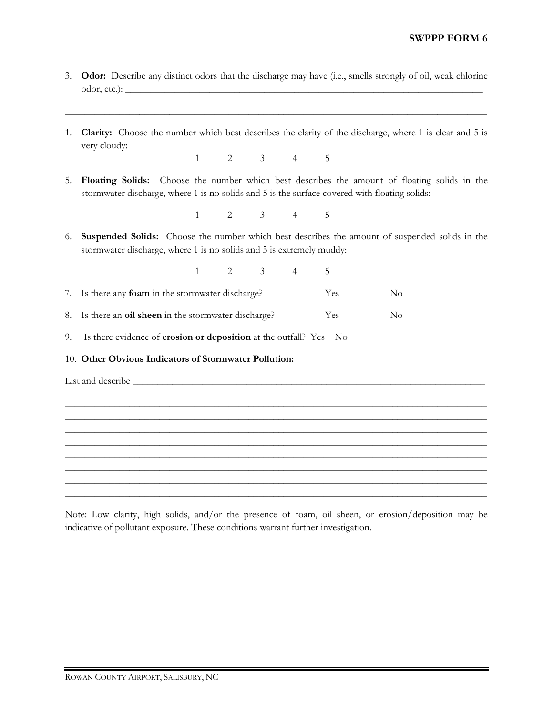- 3. **Odor:** Describe any distinct odors that the discharge may have (i.e., smells strongly of oil, weak chlorine odor, etc. $): \_$
- 1. **Clarity:** Choose the number which best describes the clarity of the discharge, where 1 is clear and 5 is very cloudy:

\_\_\_\_\_\_\_\_\_\_\_\_\_\_\_\_\_\_\_\_\_\_\_\_\_\_\_\_\_\_\_\_\_\_\_\_\_\_\_\_\_\_\_\_\_\_\_\_\_\_\_\_\_\_\_\_\_\_\_\_\_\_\_\_\_\_\_\_\_\_\_\_\_\_\_\_\_\_\_\_\_\_\_\_\_

1 2 3 4 5

5. **Floating Solids:** Choose the number which best describes the amount of floating solids in the stormwater discharge, where 1 is no solids and 5 is the surface covered with floating solids:

1 2 3 4 5

6. **Suspended Solids:** Choose the number which best describes the amount of suspended solids in the stormwater discharge, where 1 is no solids and 5 is extremely muddy:

1 2 3 4 5

- 7. Is there any **foam** in the stormwater discharge? Yes No
- 8. Is there an **oil sheen** in the stormwater discharge? Yes No
- 9. Is there evidence of **erosion or deposition** at the outfall? Yes No

#### 10. **Other Obvious Indicators of Stormwater Pollution:**

List and describe \_\_\_\_\_\_\_\_\_\_\_\_\_\_\_\_\_\_\_\_\_\_\_\_\_\_\_\_\_\_\_\_\_\_\_\_\_\_\_\_\_\_\_\_\_\_\_\_\_\_\_\_\_\_\_\_\_\_\_\_\_\_\_\_\_\_\_\_\_\_\_

Note: Low clarity, high solids, and/or the presence of foam, oil sheen, or erosion/deposition may be indicative of pollutant exposure. These conditions warrant further investigation.

\_\_\_\_\_\_\_\_\_\_\_\_\_\_\_\_\_\_\_\_\_\_\_\_\_\_\_\_\_\_\_\_\_\_\_\_\_\_\_\_\_\_\_\_\_\_\_\_\_\_\_\_\_\_\_\_\_\_\_\_\_\_\_\_\_\_\_\_\_\_\_\_\_\_\_\_\_\_\_\_\_\_\_\_\_ \_\_\_\_\_\_\_\_\_\_\_\_\_\_\_\_\_\_\_\_\_\_\_\_\_\_\_\_\_\_\_\_\_\_\_\_\_\_\_\_\_\_\_\_\_\_\_\_\_\_\_\_\_\_\_\_\_\_\_\_\_\_\_\_\_\_\_\_\_\_\_\_\_\_\_\_\_\_\_\_\_\_\_\_\_ \_\_\_\_\_\_\_\_\_\_\_\_\_\_\_\_\_\_\_\_\_\_\_\_\_\_\_\_\_\_\_\_\_\_\_\_\_\_\_\_\_\_\_\_\_\_\_\_\_\_\_\_\_\_\_\_\_\_\_\_\_\_\_\_\_\_\_\_\_\_\_\_\_\_\_\_\_\_\_\_\_\_\_\_\_ \_\_\_\_\_\_\_\_\_\_\_\_\_\_\_\_\_\_\_\_\_\_\_\_\_\_\_\_\_\_\_\_\_\_\_\_\_\_\_\_\_\_\_\_\_\_\_\_\_\_\_\_\_\_\_\_\_\_\_\_\_\_\_\_\_\_\_\_\_\_\_\_\_\_\_\_\_\_\_\_\_\_\_\_\_ \_\_\_\_\_\_\_\_\_\_\_\_\_\_\_\_\_\_\_\_\_\_\_\_\_\_\_\_\_\_\_\_\_\_\_\_\_\_\_\_\_\_\_\_\_\_\_\_\_\_\_\_\_\_\_\_\_\_\_\_\_\_\_\_\_\_\_\_\_\_\_\_\_\_\_\_\_\_\_\_\_\_\_\_\_ \_\_\_\_\_\_\_\_\_\_\_\_\_\_\_\_\_\_\_\_\_\_\_\_\_\_\_\_\_\_\_\_\_\_\_\_\_\_\_\_\_\_\_\_\_\_\_\_\_\_\_\_\_\_\_\_\_\_\_\_\_\_\_\_\_\_\_\_\_\_\_\_\_\_\_\_\_\_\_\_\_\_\_\_\_ \_\_\_\_\_\_\_\_\_\_\_\_\_\_\_\_\_\_\_\_\_\_\_\_\_\_\_\_\_\_\_\_\_\_\_\_\_\_\_\_\_\_\_\_\_\_\_\_\_\_\_\_\_\_\_\_\_\_\_\_\_\_\_\_\_\_\_\_\_\_\_\_\_\_\_\_\_\_\_\_\_\_\_\_\_ \_\_\_\_\_\_\_\_\_\_\_\_\_\_\_\_\_\_\_\_\_\_\_\_\_\_\_\_\_\_\_\_\_\_\_\_\_\_\_\_\_\_\_\_\_\_\_\_\_\_\_\_\_\_\_\_\_\_\_\_\_\_\_\_\_\_\_\_\_\_\_\_\_\_\_\_\_\_\_\_\_\_\_\_\_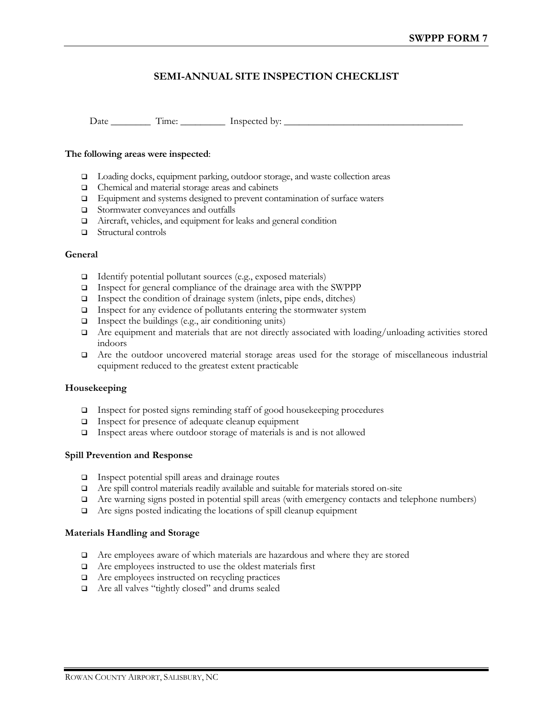#### **SEMI-ANNUAL SITE INSPECTION CHECKLIST**

Date Time: Inspected by:

#### **The following areas were inspected**:

- □ Loading docks, equipment parking, outdoor storage, and waste collection areas
- □ Chemical and material storage areas and cabinets
- Equipment and systems designed to prevent contamination of surface waters
- □ Stormwater conveyances and outfalls
- Aircraft, vehicles, and equipment for leaks and general condition
- □ Structural controls

#### **General**

- Identify potential pollutant sources (e.g., exposed materials)
- Inspect for general compliance of the drainage area with the SWPPP
- Inspect the condition of drainage system (inlets, pipe ends, ditches)
- $\Box$  Inspect for any evidence of pollutants entering the stormwater system
- $\Box$  Inspect the buildings (e.g., air conditioning units)
- $\Box$  Are equipment and materials that are not directly associated with loading/unloading activities stored indoors
- Are the outdoor uncovered material storage areas used for the storage of miscellaneous industrial equipment reduced to the greatest extent practicable

#### **Housekeeping**

- Inspect for posted signs reminding staff of good housekeeping procedures
- □ Inspect for presence of adequate cleanup equipment
- $\Box$  Inspect areas where outdoor storage of materials is and is not allowed

#### **Spill Prevention and Response**

- $\Box$  Inspect potential spill areas and drainage routes
- Are spill control materials readily available and suitable for materials stored on-site
- Are warning signs posted in potential spill areas (with emergency contacts and telephone numbers)
- $\Box$  Are signs posted indicating the locations of spill cleanup equipment

#### **Materials Handling and Storage**

- Are employees aware of which materials are hazardous and where they are stored
- Are employees instructed to use the oldest materials first
- $\Box$  Are employees instructed on recycling practices
- Are all valves "tightly closed" and drums sealed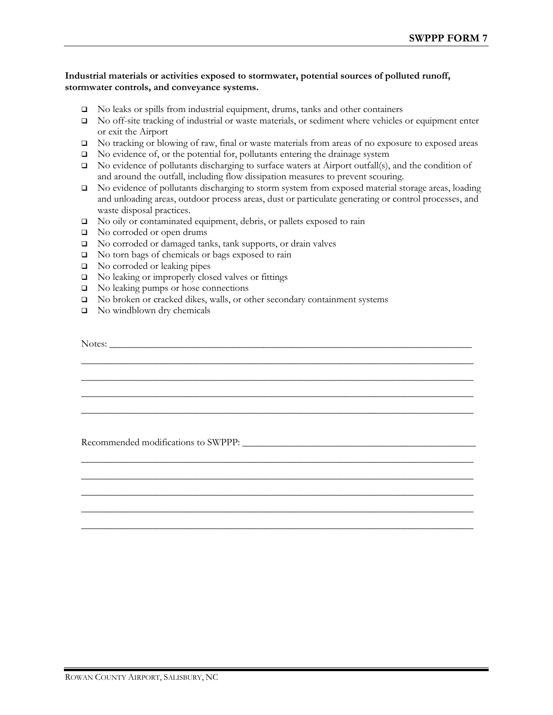#### **Industrial materials or activities exposed to stormwater, potential sources of polluted runoff, stormwater controls, and conveyance systems.**

- No leaks or spills from industrial equipment, drums, tanks and other containers
- No off-site tracking of industrial or waste materials, or sediment where vehicles or equipment enter or exit the Airport
- No tracking or blowing of raw, final or waste materials from areas of no exposure to exposed areas
- No evidence of, or the potential for, pollutants entering the drainage system
- No evidence of pollutants discharging to surface waters at Airport outfall(s), and the condition of and around the outfall, including flow dissipation measures to prevent scouring.
- No evidence of pollutants discharging to storm system from exposed material storage areas, loading and unloading areas, outdoor process areas, dust or particulate generating or control processes, and waste disposal practices.

\_\_\_\_\_\_\_\_\_\_\_\_\_\_\_\_\_\_\_\_\_\_\_\_\_\_\_\_\_\_\_\_\_\_\_\_\_\_\_\_\_\_\_\_\_\_\_\_\_\_\_\_\_\_\_\_\_\_\_\_\_\_\_\_\_\_\_\_\_\_\_\_\_\_\_\_\_\_\_ \_\_\_\_\_\_\_\_\_\_\_\_\_\_\_\_\_\_\_\_\_\_\_\_\_\_\_\_\_\_\_\_\_\_\_\_\_\_\_\_\_\_\_\_\_\_\_\_\_\_\_\_\_\_\_\_\_\_\_\_\_\_\_\_\_\_\_\_\_\_\_\_\_\_\_\_\_\_\_ \_\_\_\_\_\_\_\_\_\_\_\_\_\_\_\_\_\_\_\_\_\_\_\_\_\_\_\_\_\_\_\_\_\_\_\_\_\_\_\_\_\_\_\_\_\_\_\_\_\_\_\_\_\_\_\_\_\_\_\_\_\_\_\_\_\_\_\_\_\_\_\_\_\_\_\_\_\_\_ \_\_\_\_\_\_\_\_\_\_\_\_\_\_\_\_\_\_\_\_\_\_\_\_\_\_\_\_\_\_\_\_\_\_\_\_\_\_\_\_\_\_\_\_\_\_\_\_\_\_\_\_\_\_\_\_\_\_\_\_\_\_\_\_\_\_\_\_\_\_\_\_\_\_\_\_\_\_\_

\_\_\_\_\_\_\_\_\_\_\_\_\_\_\_\_\_\_\_\_\_\_\_\_\_\_\_\_\_\_\_\_\_\_\_\_\_\_\_\_\_\_\_\_\_\_\_\_\_\_\_\_\_\_\_\_\_\_\_\_\_\_\_\_\_\_\_\_\_\_\_\_\_\_\_\_\_\_\_ \_\_\_\_\_\_\_\_\_\_\_\_\_\_\_\_\_\_\_\_\_\_\_\_\_\_\_\_\_\_\_\_\_\_\_\_\_\_\_\_\_\_\_\_\_\_\_\_\_\_\_\_\_\_\_\_\_\_\_\_\_\_\_\_\_\_\_\_\_\_\_\_\_\_\_\_\_\_\_ \_\_\_\_\_\_\_\_\_\_\_\_\_\_\_\_\_\_\_\_\_\_\_\_\_\_\_\_\_\_\_\_\_\_\_\_\_\_\_\_\_\_\_\_\_\_\_\_\_\_\_\_\_\_\_\_\_\_\_\_\_\_\_\_\_\_\_\_\_\_\_\_\_\_\_\_\_\_\_ \_\_\_\_\_\_\_\_\_\_\_\_\_\_\_\_\_\_\_\_\_\_\_\_\_\_\_\_\_\_\_\_\_\_\_\_\_\_\_\_\_\_\_\_\_\_\_\_\_\_\_\_\_\_\_\_\_\_\_\_\_\_\_\_\_\_\_\_\_\_\_\_\_\_\_\_\_\_\_ \_\_\_\_\_\_\_\_\_\_\_\_\_\_\_\_\_\_\_\_\_\_\_\_\_\_\_\_\_\_\_\_\_\_\_\_\_\_\_\_\_\_\_\_\_\_\_\_\_\_\_\_\_\_\_\_\_\_\_\_\_\_\_\_\_\_\_\_\_\_\_\_\_\_\_\_\_\_\_

- $\square$  No oily or contaminated equipment, debris, or pallets exposed to rain
- No corroded or open drums
- □ No corroded or damaged tanks, tank supports, or drain valves
- □ No torn bags of chemicals or bags exposed to rain
- $\Box$  No corroded or leaking pipes
- □ No leaking or improperly closed valves or fittings

Notes:

- $\Box$  No leaking pumps or hose connections
- $\square$  No broken or cracked dikes, walls, or other secondary containment systems
- No windblown dry chemicals

Recommended modifications to SWPPP: \_\_\_\_\_\_\_\_\_\_\_\_\_\_\_\_\_\_\_\_\_\_\_\_\_\_\_\_\_\_\_\_\_\_\_\_\_\_\_\_\_\_\_\_\_\_\_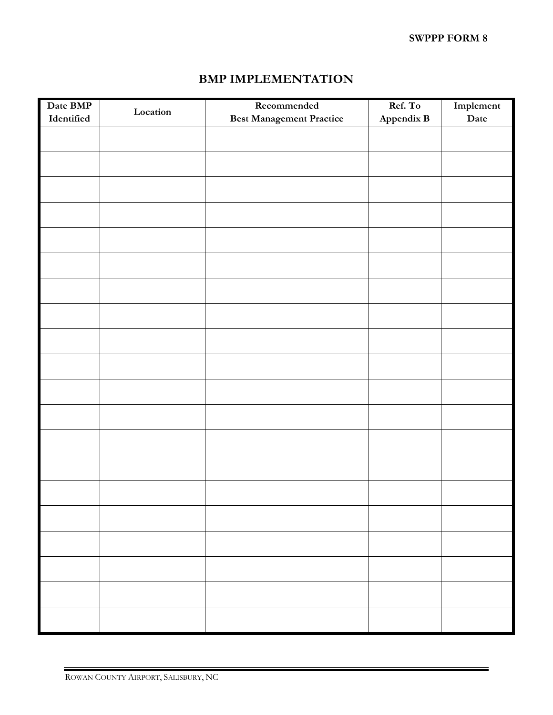### **BMP IMPLEMENTATION**

| Date BMP   | Location | Recommended                     | Ref. To    | $\bold{Implement}$ |
|------------|----------|---------------------------------|------------|--------------------|
| Identified |          | <b>Best Management Practice</b> | Appendix B | Date               |
|            |          |                                 |            |                    |
|            |          |                                 |            |                    |
|            |          |                                 |            |                    |
|            |          |                                 |            |                    |
|            |          |                                 |            |                    |
|            |          |                                 |            |                    |
|            |          |                                 |            |                    |
|            |          |                                 |            |                    |
|            |          |                                 |            |                    |
|            |          |                                 |            |                    |
|            |          |                                 |            |                    |
|            |          |                                 |            |                    |
|            |          |                                 |            |                    |
|            |          |                                 |            |                    |
|            |          |                                 |            |                    |
|            |          |                                 |            |                    |
|            |          |                                 |            |                    |
|            |          |                                 |            |                    |
|            |          |                                 |            |                    |
|            |          |                                 |            |                    |
|            |          |                                 |            |                    |
|            |          |                                 |            |                    |
|            |          |                                 |            |                    |
|            |          |                                 |            |                    |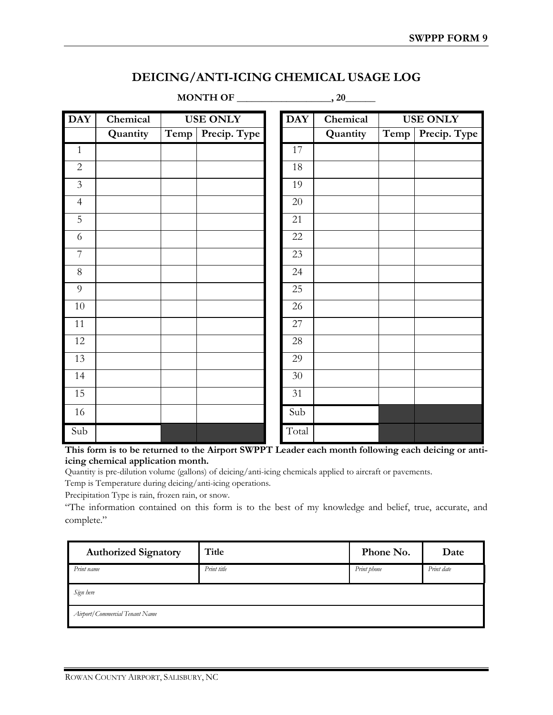### **DEICING/ANTI-ICING CHEMICAL USAGE LOG**

**MONTH OF \_\_\_\_\_\_\_\_\_\_\_\_\_\_\_\_\_\_\_, 20\_\_\_\_\_\_**

| $\overline{DAY}$ | Chemical |      | <b>USE ONLY</b> | <b>DAY</b> | Chemical |      | <b>USE ONLY</b> |
|------------------|----------|------|-----------------|------------|----------|------|-----------------|
|                  | Quantity | Temp | Precip. Type    |            | Quantity | Temp | Precip. Type    |
| $\mathbf{1}$     |          |      |                 | 17         |          |      |                 |
| $\overline{2}$   |          |      |                 | 18         |          |      |                 |
| 3                |          |      |                 | 19         |          |      |                 |
| $\overline{4}$   |          |      |                 | $20\,$     |          |      |                 |
| $\overline{5}$   |          |      |                 | 21         |          |      |                 |
| 6                |          |      |                 | 22         |          |      |                 |
| $\overline{7}$   |          |      |                 | 23         |          |      |                 |
| $8\,$            |          |      |                 | 24         |          |      |                 |
| 9                |          |      |                 | 25         |          |      |                 |
| $10\,$           |          |      |                 | 26         |          |      |                 |
| 11               |          |      |                 | 27         |          |      |                 |
| 12               |          |      |                 | 28         |          |      |                 |
| 13               |          |      |                 | 29         |          |      |                 |
| 14               |          |      |                 | $30\,$     |          |      |                 |
| 15               |          |      |                 | 31         |          |      |                 |
| 16               |          |      |                 | Sub        |          |      |                 |
| Sub              |          |      |                 | Total      |          |      |                 |

**This form is to be returned to the Airport SWPPT Leader each month following each deicing or antiicing chemical application month.**

Quantity is pre-dilution volume (gallons) of deicing/anti-icing chemicals applied to aircraft or pavements.

Temp is Temperature during deicing/anti-icing operations.

Precipitation Type is rain, frozen rain, or snow.

"The information contained on this form is to the best of my knowledge and belief, true, accurate, and complete."

| <b>Authorized Signatory</b>    | <b>Title</b> | Phone No.   | Date       |  |
|--------------------------------|--------------|-------------|------------|--|
| Print name                     | Print title  | Print phone | Print date |  |
| Sign here                      |              |             |            |  |
| Airport/Commercial Tenant Name |              |             |            |  |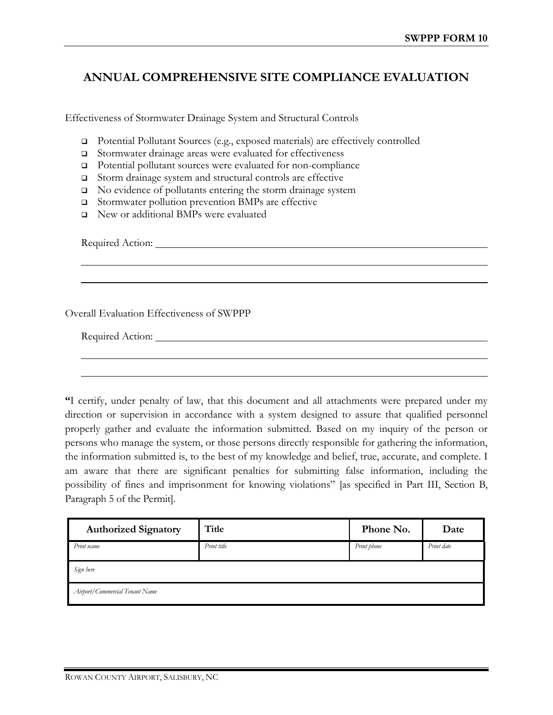### **ANNUAL COMPREHENSIVE SITE COMPLIANCE EVALUATION**

Effectiveness of Stormwater Drainage System and Structural Controls

- Potential Pollutant Sources (e.g., exposed materials) are effectively controlled
- □ Stormwater drainage areas were evaluated for effectiveness
- □ Potential pollutant sources were evaluated for non-compliance
- □ Storm drainage system and structural controls are effective
- $\Box$  No evidence of pollutants entering the storm drainage system
- Stormwater pollution prevention BMPs are effective
- New or additional BMPs were evaluated

Required Action:

Overall Evaluation Effectiveness of SWPPP

Required Action:

**"**I certify, under penalty of law, that this document and all attachments were prepared under my direction or supervision in accordance with a system designed to assure that qualified personnel properly gather and evaluate the information submitted. Based on my inquiry of the person or persons who manage the system, or those persons directly responsible for gathering the information, the information submitted is, to the best of my knowledge and belief, true, accurate, and complete. I am aware that there are significant penalties for submitting false information, including the possibility of fines and imprisonment for knowing violations" [as specified in Part III, Section B, Paragraph 5 of the Permit].

| <b>Authorized Signatory</b>    | Title       | Phone No.   | Date       |
|--------------------------------|-------------|-------------|------------|
| Print name                     | Print title | Print phone | Print date |
| Sign here                      |             |             |            |
| Airport/Commercial Tenant Name |             |             |            |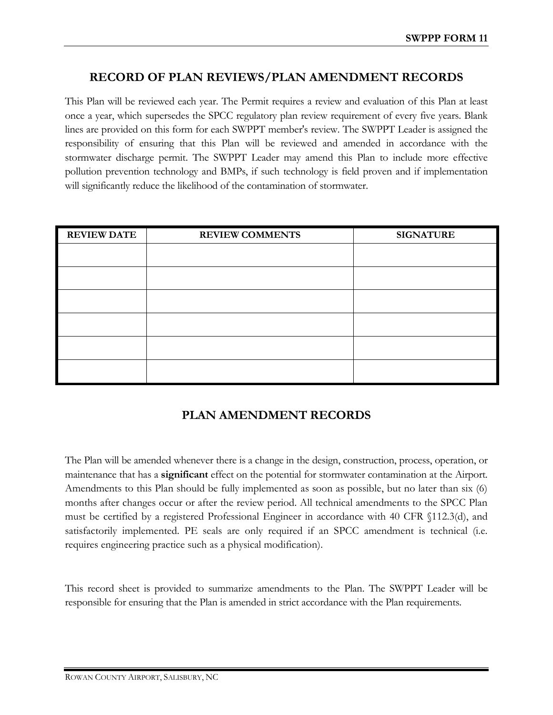#### **RECORD OF PLAN REVIEWS/PLAN AMENDMENT RECORDS**

This Plan will be reviewed each year. The Permit requires a review and evaluation of this Plan at least once a year, which supersedes the SPCC regulatory plan review requirement of every five years. Blank lines are provided on this form for each SWPPT member's review. The SWPPT Leader is assigned the responsibility of ensuring that this Plan will be reviewed and amended in accordance with the stormwater discharge permit. The SWPPT Leader may amend this Plan to include more effective pollution prevention technology and BMPs, if such technology is field proven and if implementation will significantly reduce the likelihood of the contamination of stormwater.

| <b>REVIEW DATE</b> | <b>REVIEW COMMENTS</b> | <b>SIGNATURE</b> |
|--------------------|------------------------|------------------|
|                    |                        |                  |
|                    |                        |                  |
|                    |                        |                  |
|                    |                        |                  |
|                    |                        |                  |
|                    |                        |                  |

### **PLAN AMENDMENT RECORDS**

The Plan will be amended whenever there is a change in the design, construction, process, operation, or maintenance that has a **significant** effect on the potential for stormwater contamination at the Airport. Amendments to this Plan should be fully implemented as soon as possible, but no later than six (6) months after changes occur or after the review period. All technical amendments to the SPCC Plan must be certified by a registered Professional Engineer in accordance with 40 CFR §112.3(d), and satisfactorily implemented. PE seals are only required if an SPCC amendment is technical (i.e. requires engineering practice such as a physical modification).

This record sheet is provided to summarize amendments to the Plan. The SWPPT Leader will be responsible for ensuring that the Plan is amended in strict accordance with the Plan requirements.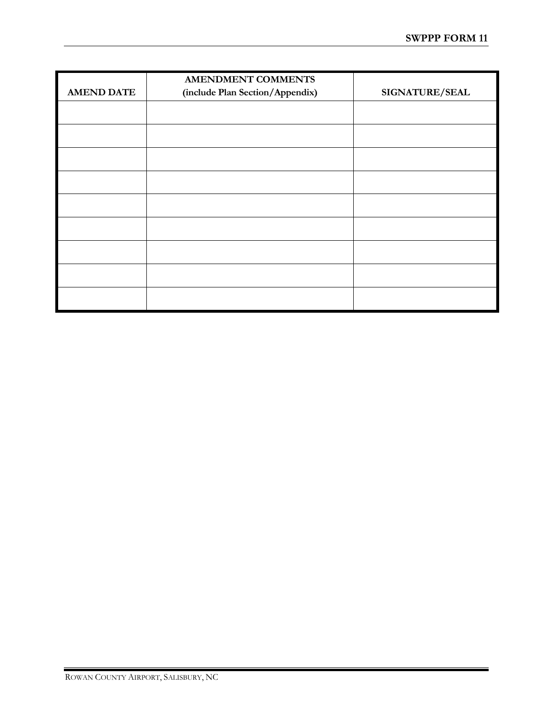|                   | <b>AMENDMENT COMMENTS</b>       |                |
|-------------------|---------------------------------|----------------|
| <b>AMEND DATE</b> | (include Plan Section/Appendix) | SIGNATURE/SEAL |
|                   |                                 |                |
|                   |                                 |                |
|                   |                                 |                |
|                   |                                 |                |
|                   |                                 |                |
|                   |                                 |                |
|                   |                                 |                |
|                   |                                 |                |
|                   |                                 |                |
|                   |                                 |                |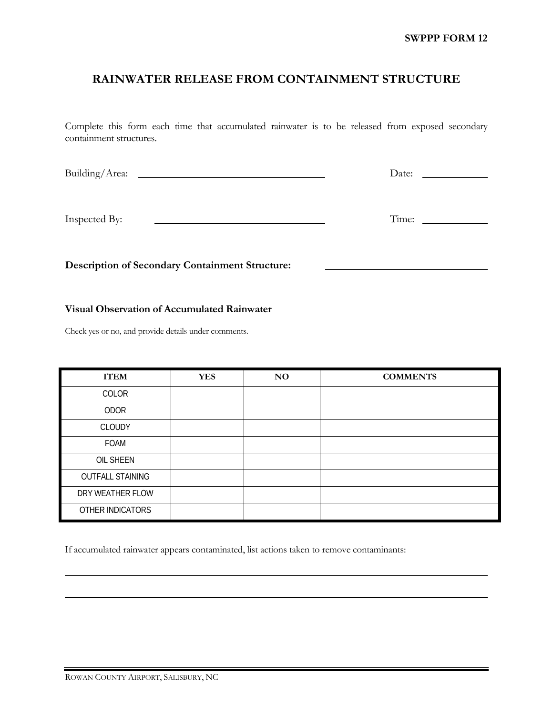### **RAINWATER RELEASE FROM CONTAINMENT STRUCTURE**

Complete this form each time that accumulated rainwater is to be released from exposed secondary containment structures.

Building/Area: Date: Date: Date: Date: Date: Date: Date: Date: Date: Date: Date: Date: Date: Date: Date: Date: Date: Date: Date: Date: Date: Date: Date: Date: Date: Date: Date: Date: Date: Date: Date: Date: Date: Date: Dat

Inspected By: Time:

**Description of Secondary Containment Structure:**

#### **Visual Observation of Accumulated Rainwater**

Check yes or no, and provide details under comments.

| <b>ITEM</b>             | <b>YES</b> | NO | <b>COMMENTS</b> |
|-------------------------|------------|----|-----------------|
| COLOR                   |            |    |                 |
| ODOR                    |            |    |                 |
| <b>CLOUDY</b>           |            |    |                 |
| <b>FOAM</b>             |            |    |                 |
| OIL SHEEN               |            |    |                 |
| <b>OUTFALL STAINING</b> |            |    |                 |
| DRY WEATHER FLOW        |            |    |                 |
| OTHER INDICATORS        |            |    |                 |

If accumulated rainwater appears contaminated, list actions taken to remove contaminants:

ROWAN COUNTY AIRPORT, SALISBURY, NC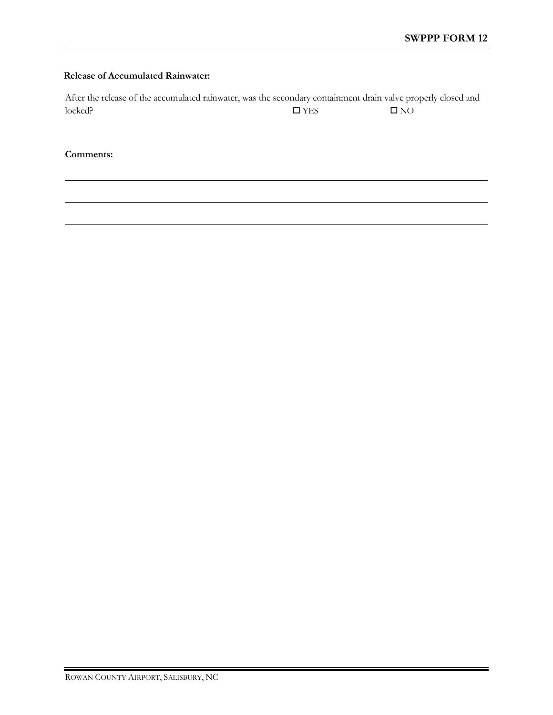#### **Release of Accumulated Rainwater:**

After the release of the accumulated rainwater, was the secondary containment drain valve properly closed and locked?  $\Box$  YES  $\Box$  NO

**Comments:**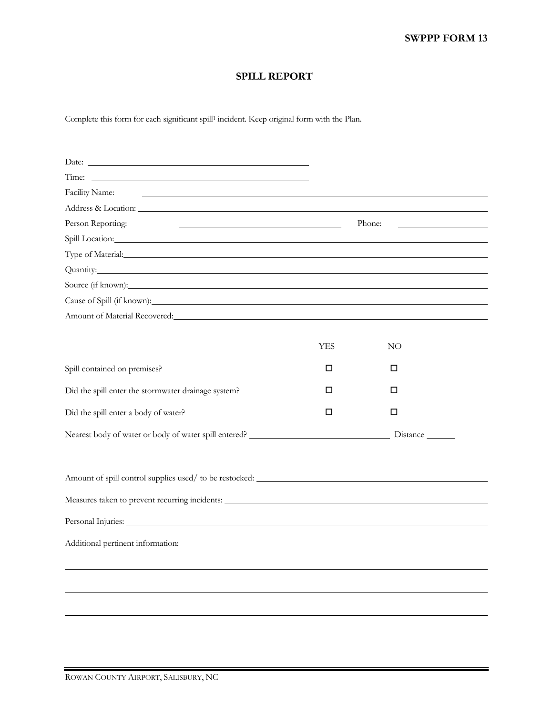#### **SPILL REPORT**

Complete this form for each significant spill<sup>1</sup> incident. Keep original form with the Plan.

| Date:                                                                                                                                                                                                                         |     |          |  |
|-------------------------------------------------------------------------------------------------------------------------------------------------------------------------------------------------------------------------------|-----|----------|--|
| Time:                                                                                                                                                                                                                         |     |          |  |
| Facility Name:                                                                                                                                                                                                                |     |          |  |
| Address & Location: Note that the contract of the contract of the contract of the contract of the contract of the contract of the contract of the contract of the contract of the contract of the contract of the contract of |     |          |  |
| Person Reporting:                                                                                                                                                                                                             |     | Phone:   |  |
| Spill Location:                                                                                                                                                                                                               |     |          |  |
| Type of Material: Type of Material:                                                                                                                                                                                           |     |          |  |
| Quantity: Quantity:                                                                                                                                                                                                           |     |          |  |
| Source (if known): Notice that the same state of the state of the state of the state of the state of the state of the state of the state of the state of the state of the state of the state of the state of the state of the |     |          |  |
|                                                                                                                                                                                                                               |     |          |  |
| Amount of Material Recovered: Cambridge Communication of Material Recovered:                                                                                                                                                  |     |          |  |
|                                                                                                                                                                                                                               |     |          |  |
|                                                                                                                                                                                                                               | YES | NO.      |  |
| Spill contained on premises?                                                                                                                                                                                                  | □   | □        |  |
| Did the spill enter the stormwater drainage system?                                                                                                                                                                           | □   | □        |  |
| Did the spill enter a body of water?                                                                                                                                                                                          | □   | □        |  |
| Nearest body of water or body of water spill entered?                                                                                                                                                                         |     | Distance |  |
|                                                                                                                                                                                                                               |     |          |  |
| Measures taken to prevent recurring incidents: __________________________________                                                                                                                                             |     |          |  |
| Personal Injuries: National Accords 2014                                                                                                                                                                                      |     |          |  |
|                                                                                                                                                                                                                               |     |          |  |
|                                                                                                                                                                                                                               |     |          |  |
|                                                                                                                                                                                                                               |     |          |  |
|                                                                                                                                                                                                                               |     |          |  |
|                                                                                                                                                                                                                               |     |          |  |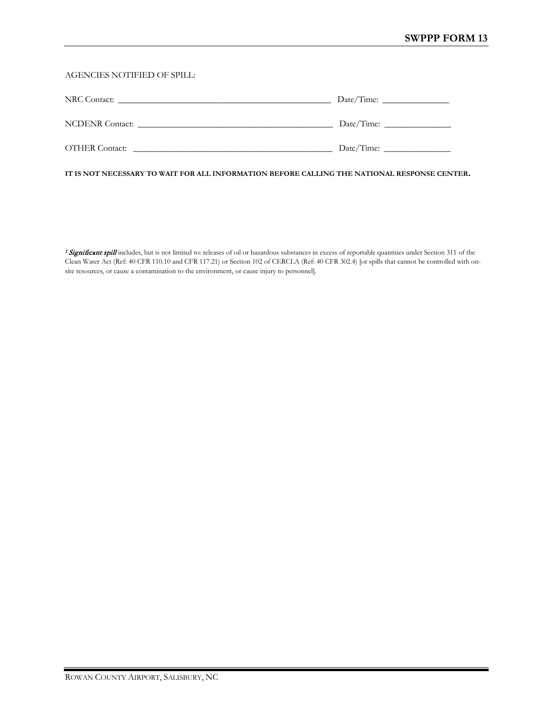#### AGENCIES NOTIFIED OF SPILL:

| NRC Contact:<br><u> 1980 - Jan Barat, margaret ar brezhon eo ar brezhon evel a skrivañ a skrivañ a skrivañ a skrivañ a skrivañ a</u> |  |
|--------------------------------------------------------------------------------------------------------------------------------------|--|
|                                                                                                                                      |  |
| OTHER Contact:                                                                                                                       |  |

**IT IS NOT NECESSARY TO WAIT FOR ALL INFORMATION BEFORE CALLING THE NATIONAL RESPONSE CENTER.** 

<sup>1</sup> Significant spill includes, but is not limited to: releases of oil or hazardous substances in excess of reportable quantities under Section 311 of the Clean Water Act (Ref: 40 CFR 110.10 and CFR 117.21) or Section 102 of CERCLA (Ref: 40 CFR 302.4) [or spills that cannot be controlled with onsite resources, or cause a contamination to the environment, or cause injury to personnel].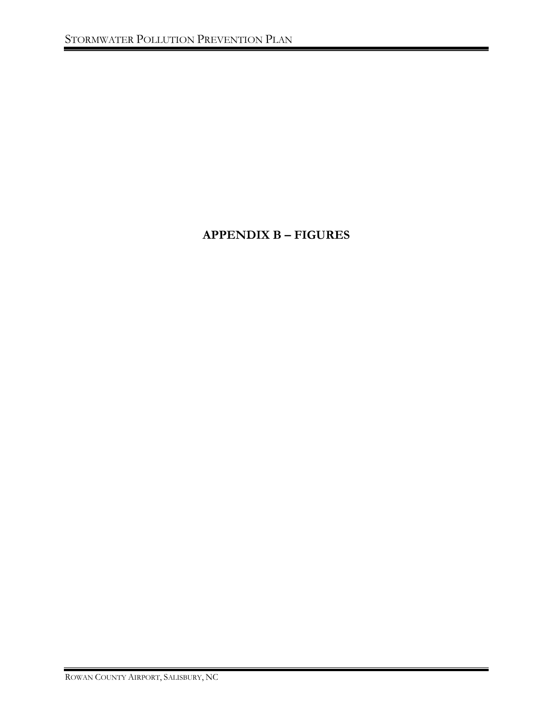## **APPENDIX B – FIGURES**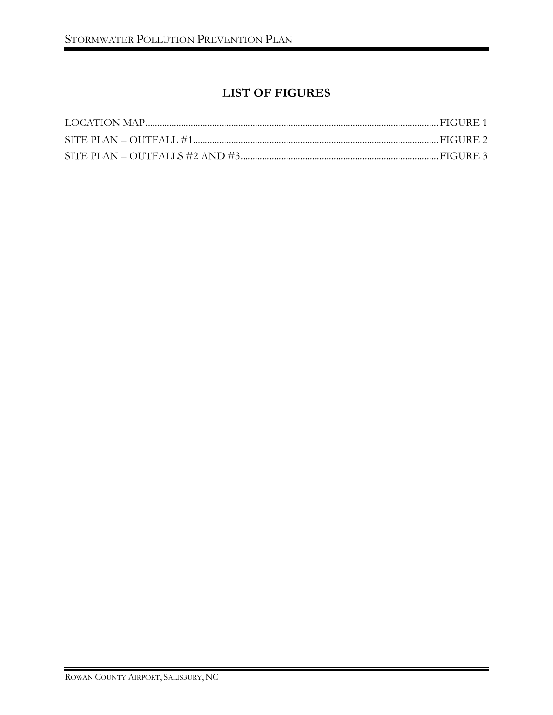## **LIST OF FIGURES**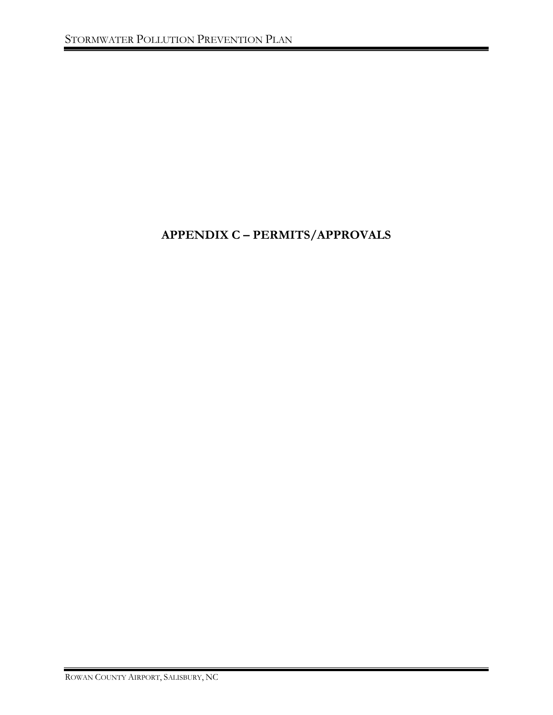## **APPENDIX C – PERMITS/APPROVALS**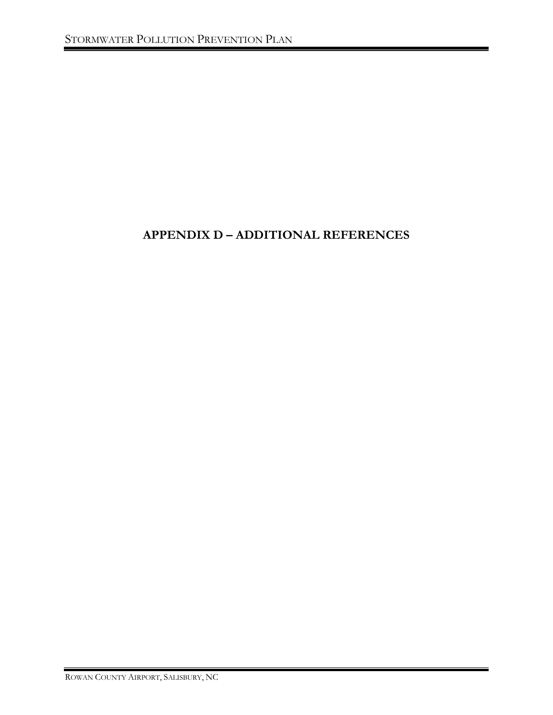## **APPENDIX D – ADDITIONAL REFERENCES**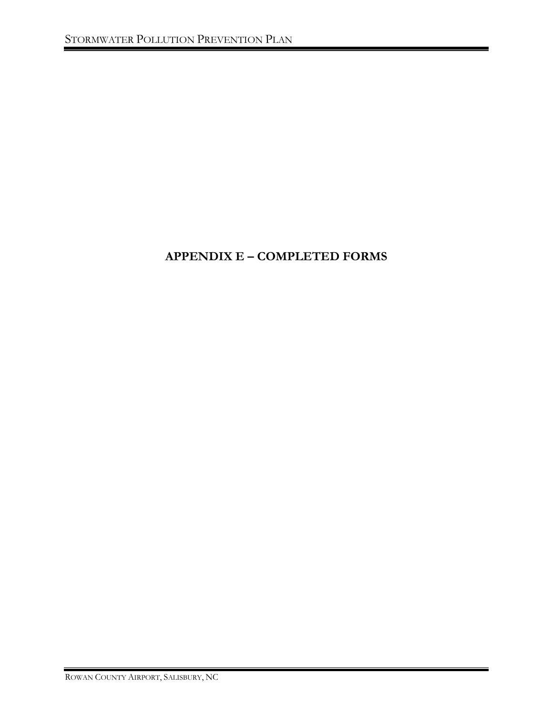## **APPENDIX E – COMPLETED FORMS**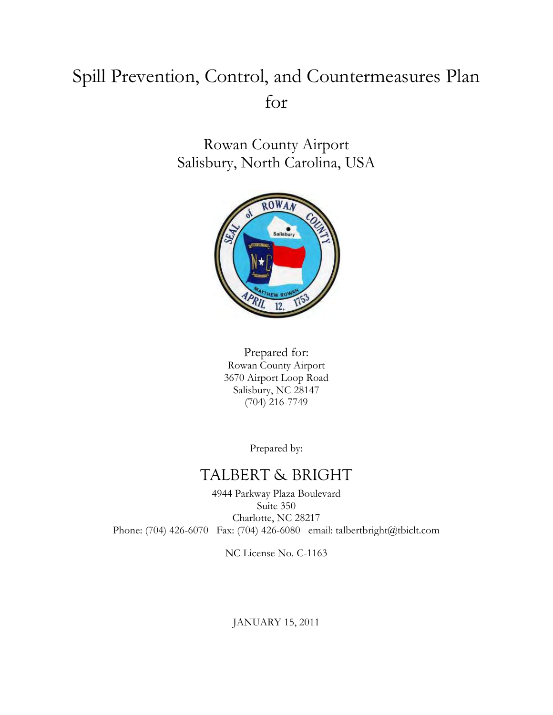# Spill Prevention, Control, and Countermeasures Plan for

Rowan County Airport Salisbury, North Carolina, USA



Prepared for: Rowan County Airport 3670 Airport Loop Road Salisbury, NC 28147 (704) 216-7749

Prepared by:

## TALBERT & BRIGHT

4944 Parkway Plaza Boulevard Suite 350 Charlotte, NC 28217 Phone: (704) 426-6070 Fax: (704) 426-6080 email: talbertbright@tbiclt.com

NC License No. C-1163

JANUARY 15, 2011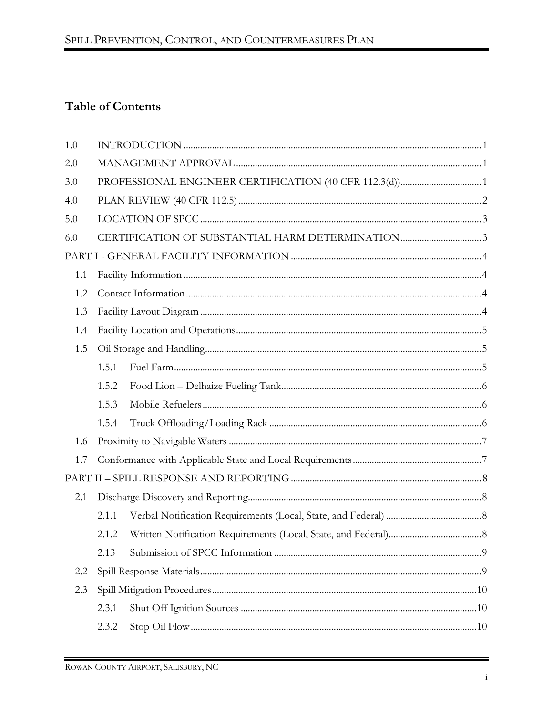## **Table of Contents**

| 1.0 |       |  |
|-----|-------|--|
| 2.0 |       |  |
| 3.0 |       |  |
| 4.0 |       |  |
| 5.0 |       |  |
| 6.0 |       |  |
|     |       |  |
| 1.1 |       |  |
| 1.2 |       |  |
| 1.3 |       |  |
| 1.4 |       |  |
| 1.5 |       |  |
|     | 1.5.1 |  |
|     | 1.5.2 |  |
|     | 1.5.3 |  |
|     | 1.5.4 |  |
| 1.6 |       |  |
| 1.7 |       |  |
|     |       |  |
| 2.1 |       |  |
|     | 2.1.1 |  |
|     | 2.1.2 |  |
|     | 2.13  |  |
| 2.2 |       |  |
| 2.3 |       |  |
|     | 2.3.1 |  |
|     | 2.3.2 |  |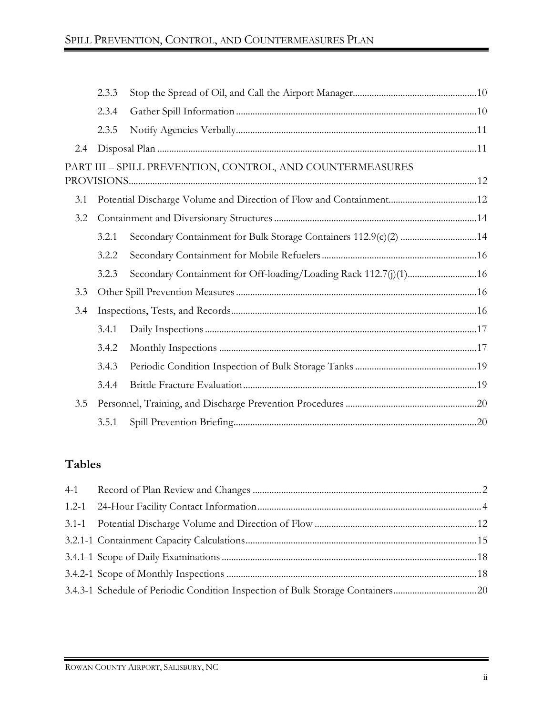|     | 2.3.3 |                                                                  |  |
|-----|-------|------------------------------------------------------------------|--|
|     | 2.3.4 |                                                                  |  |
|     | 2.3.5 |                                                                  |  |
| 2.4 |       |                                                                  |  |
|     |       | PART III - SPILL PREVENTION, CONTROL, AND COUNTERMEASURES        |  |
| 3.1 |       |                                                                  |  |
| 3.2 |       |                                                                  |  |
|     | 3.2.1 | Secondary Containment for Bulk Storage Containers 112.9(c)(2) 14 |  |
|     | 3.2.2 |                                                                  |  |
|     | 3.2.3 |                                                                  |  |
| 3.3 |       |                                                                  |  |
| 3.4 |       |                                                                  |  |
|     | 3.4.1 |                                                                  |  |
|     | 3.4.2 |                                                                  |  |
|     | 3.4.3 |                                                                  |  |
|     | 3.4.4 |                                                                  |  |
| 3.5 |       |                                                                  |  |
|     | 3.5.1 |                                                                  |  |

## **Tables**

| 3.4.3-1 Schedule of Periodic Condition Inspection of Bulk Storage Containers20 |  |
|--------------------------------------------------------------------------------|--|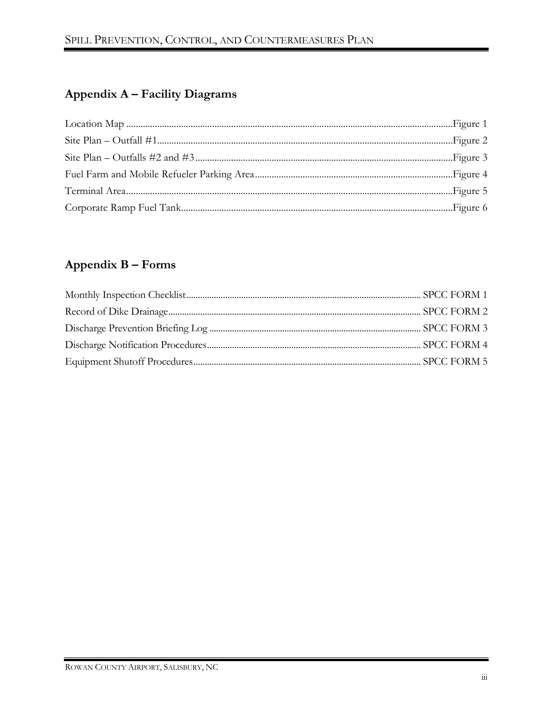## Appendix A - Facility Diagrams

## Appendix B - Forms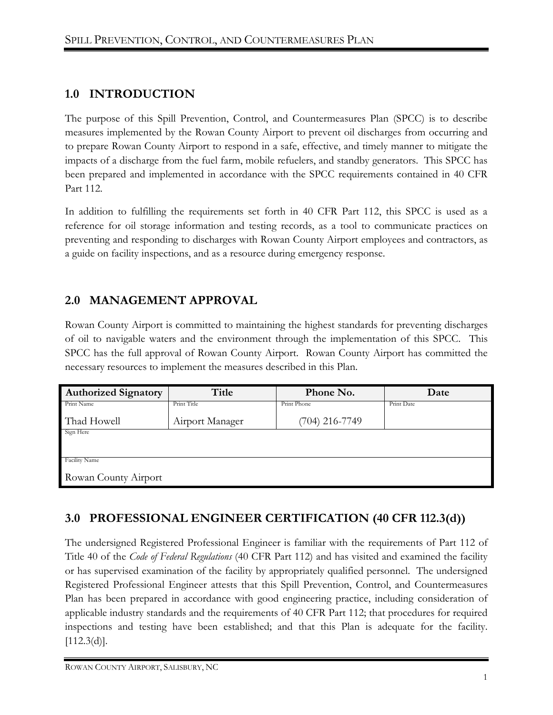## <span id="page-60-0"></span>**1.0 INTRODUCTION**

The purpose of this Spill Prevention, Control, and Countermeasures Plan (SPCC) is to describe measures implemented by the Rowan County Airport to prevent oil discharges from occurring and to prepare Rowan County Airport to respond in a safe, effective, and timely manner to mitigate the impacts of a discharge from the fuel farm, mobile refuelers, and standby generators. This SPCC has been prepared and implemented in accordance with the SPCC requirements contained in 40 CFR Part 112.

In addition to fulfilling the requirements set forth in 40 CFR Part 112, this SPCC is used as a reference for oil storage information and testing records, as a tool to communicate practices on preventing and responding to discharges with Rowan County Airport employees and contractors, as a guide on facility inspections, and as a resource during emergency response.

### <span id="page-60-1"></span>**2.0 MANAGEMENT APPROVAL**

Rowan County Airport is committed to maintaining the highest standards for preventing discharges of oil to navigable waters and the environment through the implementation of this SPCC. This SPCC has the full approval of Rowan County Airport. Rowan County Airport has committed the necessary resources to implement the measures described in this Plan.

| <b>Authorized Signatory</b> | Title           | Phone No.      | Date       |
|-----------------------------|-----------------|----------------|------------|
| Print Name                  | Print Title     | Print Phone    | Print Date |
| Thad Howell                 | Airport Manager | (704) 216-7749 |            |
| Sign Here                   |                 |                |            |
|                             |                 |                |            |
| <b>Facility Name</b>        |                 |                |            |
| Rowan County Airport        |                 |                |            |

## <span id="page-60-2"></span>**3.0 PROFESSIONAL ENGINEER CERTIFICATION (40 CFR 112.3(d))**

The undersigned Registered Professional Engineer is familiar with the requirements of Part 112 of Title 40 of the *Code of Federal Regulations* (40 CFR Part 112) and has visited and examined the facility or has supervised examination of the facility by appropriately qualified personnel. The undersigned Registered Professional Engineer attests that this Spill Prevention, Control, and Countermeasures Plan has been prepared in accordance with good engineering practice, including consideration of applicable industry standards and the requirements of 40 CFR Part 112; that procedures for required inspections and testing have been established; and that this Plan is adequate for the facility.  $[112.3(d)].$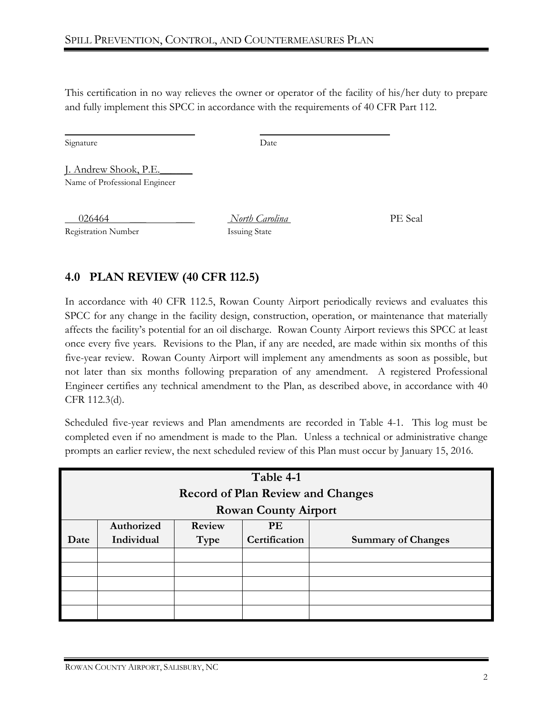This certification in no way relieves the owner or operator of the facility of his/her duty to prepare and fully implement this SPCC in accordance with the requirements of 40 CFR Part 112.

Signature Date

J. Andrew Shook, P.E. Name of Professional Engineer

 026464 \_\_\_ *\_\_\_ North Carolina* PE Seal Registration Number Issuing State

## <span id="page-61-0"></span>**4.0 PLAN REVIEW (40 CFR 112.5)**

In accordance with 40 CFR 112.5, Rowan County Airport periodically reviews and evaluates this SPCC for any change in the facility design, construction, operation, or maintenance that materially affects the facility's potential for an oil discharge. Rowan County Airport reviews this SPCC at least once every five years. Revisions to the Plan, if any are needed, are made within six months of this five-year review. Rowan County Airport will implement any amendments as soon as possible, but not later than six months following preparation of any amendment. A registered Professional Engineer certifies any technical amendment to the Plan, as described above, in accordance with 40 CFR 112.3(d).

Scheduled five-year reviews and Plan amendments are recorded in Table 4-1. This log must be completed even if no amendment is made to the Plan. Unless a technical or administrative change prompts an earlier review, the next scheduled review of this Plan must occur by January 15, 2016.

| Table 4-1 |            |             |                                          |                           |
|-----------|------------|-------------|------------------------------------------|---------------------------|
|           |            |             | <b>Record of Plan Review and Changes</b> |                           |
|           |            |             | <b>Rowan County Airport</b>              |                           |
|           | Authorized | Review      | PE                                       |                           |
| Date      | Individual | <b>Type</b> | Certification                            | <b>Summary of Changes</b> |
|           |            |             |                                          |                           |
|           |            |             |                                          |                           |
|           |            |             |                                          |                           |
|           |            |             |                                          |                           |
|           |            |             |                                          |                           |

ROWAN COUNTY AIRPORT, SALISBURY, NC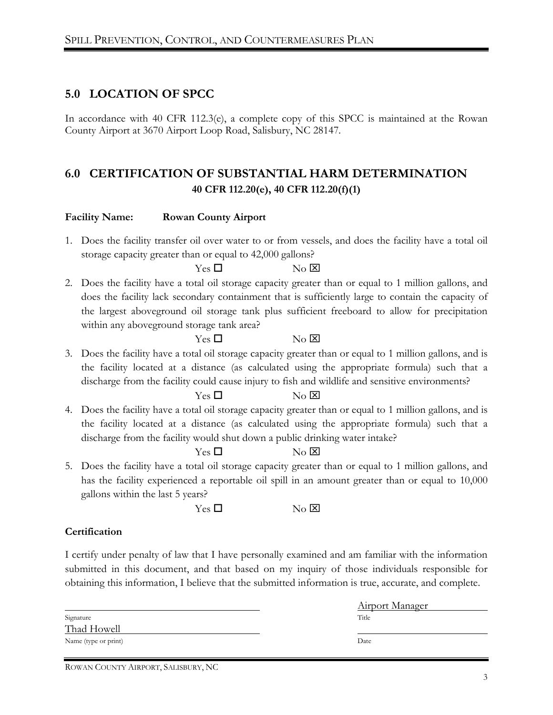#### <span id="page-62-0"></span>**5.0 LOCATION OF SPCC**

In accordance with 40 CFR 112.3(e), a complete copy of this SPCC is maintained at the Rowan County Airport at 3670 Airport Loop Road, Salisbury, NC 28147.

#### <span id="page-62-1"></span>**6.0 CERTIFICATION OF SUBSTANTIAL HARM DETERMINATION 40 CFR 112.20(e), 40 CFR 112.20(f)(1)**

#### **Facility Name: Rowan County Airport**

1. Does the facility transfer oil over water to or from vessels, and does the facility have a total oil storage capacity greater than or equal to 42,000 gallons?

 $Yes \Box$  No  $X$ 

2. Does the facility have a total oil storage capacity greater than or equal to 1 million gallons, and does the facility lack secondary containment that is sufficiently large to contain the capacity of the largest aboveground oil storage tank plus sufficient freeboard to allow for precipitation within any aboveground storage tank area?

$$
Yes\ \blacksquare
$$

3. Does the facility have a total oil storage capacity greater than or equal to 1 million gallons, and is the facility located at a distance (as calculated using the appropriate formula) such that a discharge from the facility could cause injury to fish and wildlife and sensitive environments?

 $N<sub>0</sub>$   $\overline{X}$ 

### $Yes \Box$  No  $X$

4. Does the facility have a total oil storage capacity greater than or equal to 1 million gallons, and is the facility located at a distance (as calculated using the appropriate formula) such that a discharge from the facility would shut down a public drinking water intake?

 $Yes \Box$  No  $X$ 

5. Does the facility have a total oil storage capacity greater than or equal to 1 million gallons, and has the facility experienced a reportable oil spill in an amount greater than or equal to 10,000 gallons within the last 5 years?

 $Yes \Box$  No  $X$ 

#### **Certification**

I certify under penalty of law that I have personally examined and am familiar with the information submitted in this document, and that based on my inquiry of those individuals responsible for obtaining this information, I believe that the submitted information is true, accurate, and complete.

Signature Title Thad Howell Name (type or print) Date

| Airport Manager |
|-----------------|
| Title           |
|                 |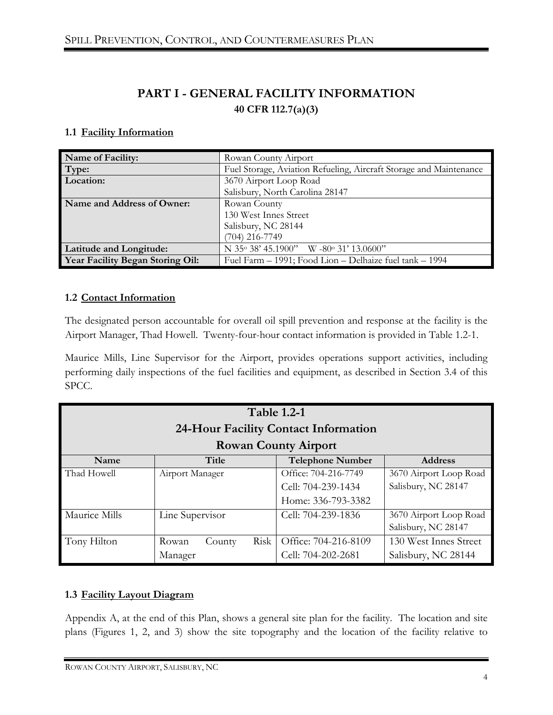## **PART I - GENERAL FACILITY INFORMATION 40 CFR 112.7(a)(3)**

#### <span id="page-63-1"></span><span id="page-63-0"></span>**1.1 Facility Information**

| Name of Facility:                       | Rowan County Airport                                               |  |
|-----------------------------------------|--------------------------------------------------------------------|--|
| Type:                                   | Fuel Storage, Aviation Refueling, Aircraft Storage and Maintenance |  |
| Location:                               | 3670 Airport Loop Road                                             |  |
|                                         | Salisbury, North Carolina 28147                                    |  |
| Name and Address of Owner:              | Rowan County                                                       |  |
|                                         | 130 West Innes Street                                              |  |
|                                         | Salisbury, NC 28144                                                |  |
|                                         | $(704)$ 216-7749                                                   |  |
| Latitude and Longitude:                 | N 35° 38' 45.1900" W -80° 31' 13.0600"                             |  |
| <b>Year Facility Began Storing Oil:</b> | Fuel Farm - 1991; Food Lion - Delhaize fuel tank - 1994            |  |

#### <span id="page-63-2"></span>**1.2 Contact Information**

The designated person accountable for overall oil spill prevention and response at the facility is the Airport Manager, Thad Howell. Twenty-four-hour contact information is provided in Table 1.2-1.

Maurice Mills, Line Supervisor for the Airport, provides operations support activities, including performing daily inspections of the fuel facilities and equipment, as described in Section 3.4 of this SPCC.

| <b>Table 1.2-1</b><br>24-Hour Facility Contact Information |                         |                             |                        |
|------------------------------------------------------------|-------------------------|-----------------------------|------------------------|
|                                                            |                         | <b>Rowan County Airport</b> |                        |
| Name                                                       | Title                   | <b>Telephone Number</b>     | <b>Address</b>         |
| Thad Howell                                                | Airport Manager         | Office: 704-216-7749        | 3670 Airport Loop Road |
|                                                            |                         | Cell: 704-239-1434          | Salisbury, NC 28147    |
|                                                            |                         | Home: 336-793-3382          |                        |
| Maurice Mills                                              | Line Supervisor         | Cell: 704-239-1836          | 3670 Airport Loop Road |
|                                                            |                         |                             | Salisbury, NC 28147    |
| Tony Hilton                                                | Risk<br>Rowan<br>County | Office: 704-216-8109        | 130 West Innes Street  |
|                                                            | Manager                 | Cell: 704-202-2681          | Salisbury, NC 28144    |

#### <span id="page-63-3"></span>**1.3 Facility Layout Diagram**

Appendix A, at the end of this Plan, shows a general site plan for the facility. The location and site plans (Figures 1, 2, and 3) show the site topography and the location of the facility relative to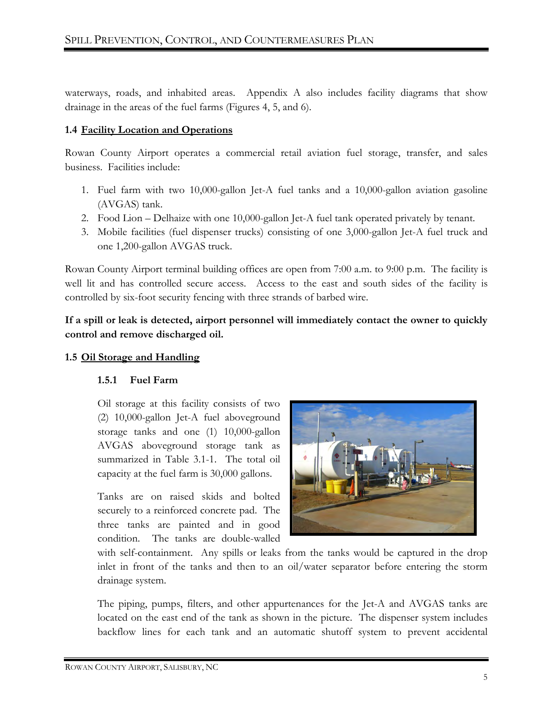waterways, roads, and inhabited areas. Appendix A also includes facility diagrams that show drainage in the areas of the fuel farms (Figures 4, 5, and 6).

#### <span id="page-64-0"></span>**1.4 Facility Location and Operations**

Rowan County Airport operates a commercial retail aviation fuel storage, transfer, and sales business. Facilities include:

- 1. Fuel farm with two 10,000-gallon Jet-A fuel tanks and a 10,000-gallon aviation gasoline (AVGAS) tank.
- 2. Food Lion Delhaize with one 10,000-gallon Jet-A fuel tank operated privately by tenant.
- 3. Mobile facilities (fuel dispenser trucks) consisting of one 3,000-gallon Jet-A fuel truck and one 1,200-gallon AVGAS truck.

Rowan County Airport terminal building offices are open from 7:00 a.m. to 9:00 p.m. The facility is well lit and has controlled secure access. Access to the east and south sides of the facility is controlled by six-foot security fencing with three strands of barbed wire.

**If a spill or leak is detected, airport personnel will immediately contact the owner to quickly control and remove discharged oil.**

#### <span id="page-64-2"></span><span id="page-64-1"></span>**1.5 Oil Storage and Handling**

#### **1.5.1 Fuel Farm**

Oil storage at this facility consists of two (2) 10,000-gallon Jet-A fuel aboveground storage tanks and one (1) 10,000-gallon AVGAS aboveground storage tank as summarized in Table 3.1-1. The total oil capacity at the fuel farm is 30,000 gallons.

Tanks are on raised skids and bolted securely to a reinforced concrete pad. The three tanks are painted and in good condition. The tanks are double-walled



with self-containment. Any spills or leaks from the tanks would be captured in the drop inlet in front of the tanks and then to an oil/water separator before entering the storm drainage system.

The piping, pumps, filters, and other appurtenances for the Jet-A and AVGAS tanks are located on the east end of the tank as shown in the picture. The dispenser system includes backflow lines for each tank and an automatic shutoff system to prevent accidental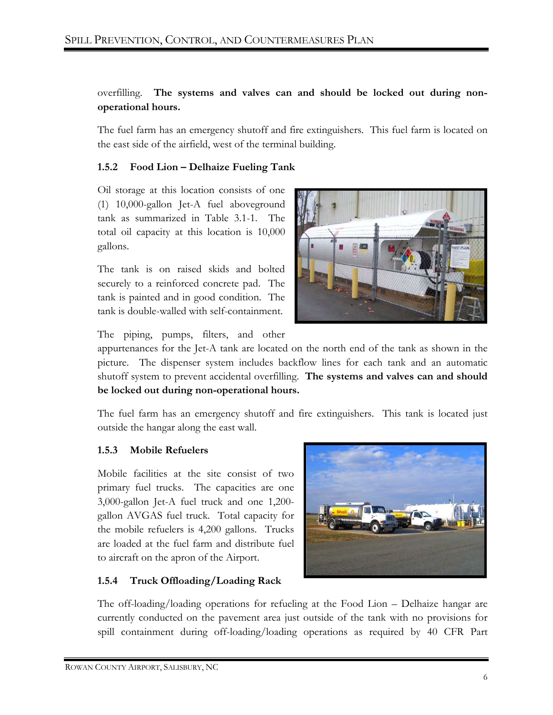#### overfilling. **The systems and valves can and should be locked out during nonoperational hours.**

The fuel farm has an emergency shutoff and fire extinguishers. This fuel farm is located on the east side of the airfield, west of the terminal building.

#### <span id="page-65-0"></span>**1.5.2 Food Lion – Delhaize Fueling Tank**

Oil storage at this location consists of one (1) 10,000-gallon Jet-A fuel aboveground tank as summarized in Table 3.1-1. The total oil capacity at this location is 10,000 gallons.

The tank is on raised skids and bolted securely to a reinforced concrete pad. The tank is painted and in good condition. The tank is double-walled with self-containment.



The piping, pumps, filters, and other

appurtenances for the Jet-A tank are located on the north end of the tank as shown in the picture. The dispenser system includes backflow lines for each tank and an automatic shutoff system to prevent accidental overfilling. **The systems and valves can and should be locked out during non-operational hours.**

The fuel farm has an emergency shutoff and fire extinguishers. This tank is located just outside the hangar along the east wall.

#### <span id="page-65-1"></span>**1.5.3 Mobile Refuelers**

Mobile facilities at the site consist of two primary fuel trucks. The capacities are one 3,000-gallon Jet-A fuel truck and one 1,200 gallon AVGAS fuel truck. Total capacity for the mobile refuelers is 4,200 gallons. Trucks are loaded at the fuel farm and distribute fuel to aircraft on the apron of the Airport.



#### <span id="page-65-2"></span>**1.5.4 Truck Offloading/Loading Rack**

The off-loading/loading operations for refueling at the Food Lion – Delhaize hangar are currently conducted on the pavement area just outside of the tank with no provisions for spill containment during off-loading/loading operations as required by 40 CFR Part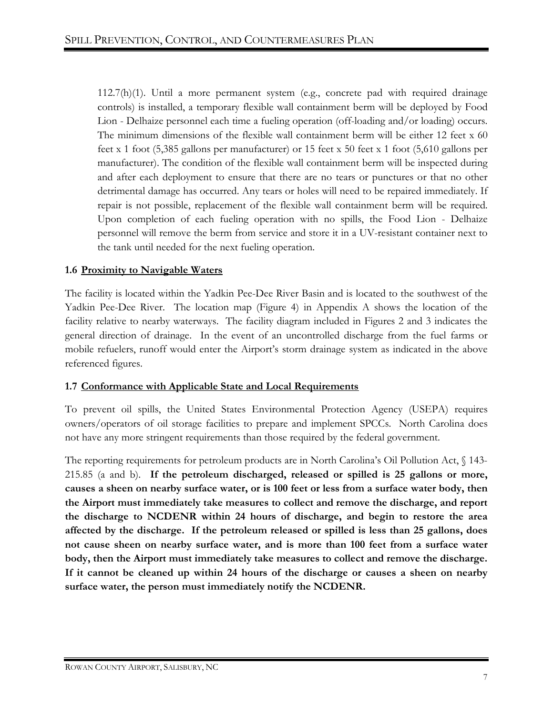112.7(h)(1). Until a more permanent system (e.g., concrete pad with required drainage controls) is installed, a temporary flexible wall containment berm will be deployed by Food Lion - Delhaize personnel each time a fueling operation (off-loading and/or loading) occurs. The minimum dimensions of the flexible wall containment berm will be either 12 feet x 60 feet x 1 foot (5,385 gallons per manufacturer) or 15 feet x 50 feet x 1 foot (5,610 gallons per manufacturer). The condition of the flexible wall containment berm will be inspected during and after each deployment to ensure that there are no tears or punctures or that no other detrimental damage has occurred. Any tears or holes will need to be repaired immediately. If repair is not possible, replacement of the flexible wall containment berm will be required. Upon completion of each fueling operation with no spills, the Food Lion - Delhaize personnel will remove the berm from service and store it in a UV-resistant container next to the tank until needed for the next fueling operation.

#### <span id="page-66-0"></span>**1.6 Proximity to Navigable Waters**

The facility is located within the Yadkin Pee-Dee River Basin and is located to the southwest of the Yadkin Pee-Dee River. The location map (Figure 4) in Appendix A shows the location of the facility relative to nearby waterways. The facility diagram included in Figures 2 and 3 indicates the general direction of drainage. In the event of an uncontrolled discharge from the fuel farms or mobile refuelers, runoff would enter the Airport's storm drainage system as indicated in the above referenced figures.

#### <span id="page-66-1"></span>**1.7 Conformance with Applicable State and Local Requirements**

To prevent oil spills, the United States Environmental Protection Agency (USEPA) requires owners/operators of oil storage facilities to prepare and implement SPCCs. North Carolina does not have any more stringent requirements than those required by the federal government.

The reporting requirements for petroleum products are in North Carolina's Oil Pollution Act, § 143-215.85 (a and b). **If the petroleum discharged, released or spilled is 25 gallons or more, causes a sheen on nearby surface water, or is 100 feet or less from a surface water body, then the Airport must immediately take measures to collect and remove the discharge, and report the discharge to NCDENR within 24 hours of discharge, and begin to restore the area affected by the discharge. If the petroleum released or spilled is less than 25 gallons, does not cause sheen on nearby surface water, and is more than 100 feet from a surface water body, then the Airport must immediately take measures to collect and remove the discharge. If it cannot be cleaned up within 24 hours of the discharge or causes a sheen on nearby surface water, the person must immediately notify the NCDENR.**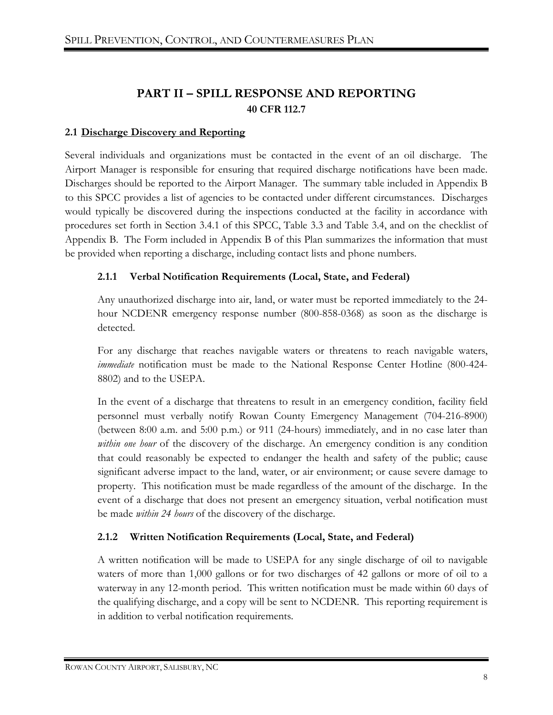## **PART II – SPILL RESPONSE AND REPORTING 40 CFR 112.7**

#### <span id="page-67-1"></span><span id="page-67-0"></span>**2.1 Discharge Discovery and Reporting**

Several individuals and organizations must be contacted in the event of an oil discharge. The Airport Manager is responsible for ensuring that required discharge notifications have been made. Discharges should be reported to the Airport Manager. The summary table included in Appendix B to this SPCC provides a list of agencies to be contacted under different circumstances. Discharges would typically be discovered during the inspections conducted at the facility in accordance with procedures set forth in Section 3.4.1 of this SPCC, Table 3.3 and Table 3.4, and on the checklist of Appendix B. The Form included in Appendix B of this Plan summarizes the information that must be provided when reporting a discharge, including contact lists and phone numbers.

#### <span id="page-67-2"></span>**2.1.1 Verbal Notification Requirements (Local, State, and Federal)**

Any unauthorized discharge into air, land, or water must be reported immediately to the 24 hour NCDENR emergency response number (800-858-0368) as soon as the discharge is detected.

For any discharge that reaches navigable waters or threatens to reach navigable waters, *immediate* notification must be made to the National Response Center Hotline (800-424- 8802) and to the USEPA.

In the event of a discharge that threatens to result in an emergency condition, facility field personnel must verbally notify Rowan County Emergency Management (704-216-8900) (between 8:00 a.m. and 5:00 p.m.) or 911 (24-hours) immediately, and in no case later than *within one hour* of the discovery of the discharge. An emergency condition is any condition that could reasonably be expected to endanger the health and safety of the public; cause significant adverse impact to the land, water, or air environment; or cause severe damage to property. This notification must be made regardless of the amount of the discharge. In the event of a discharge that does not present an emergency situation, verbal notification must be made *within 24 hours* of the discovery of the discharge.

#### <span id="page-67-3"></span>**2.1.2 Written Notification Requirements (Local, State, and Federal)**

A written notification will be made to USEPA for any single discharge of oil to navigable waters of more than 1,000 gallons or for two discharges of 42 gallons or more of oil to a waterway in any 12-month period. This written notification must be made within 60 days of the qualifying discharge, and a copy will be sent to NCDENR. This reporting requirement is in addition to verbal notification requirements.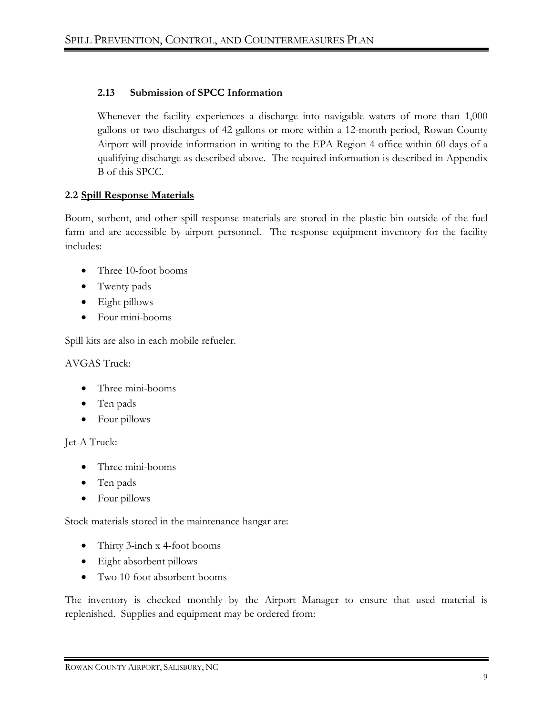#### <span id="page-68-0"></span>**2.13 Submission of SPCC Information**

Whenever the facility experiences a discharge into navigable waters of more than 1,000 gallons or two discharges of 42 gallons or more within a 12-month period, Rowan County Airport will provide information in writing to the EPA Region 4 office within 60 days of a qualifying discharge as described above. The required information is described in Appendix B of this SPCC.

#### <span id="page-68-1"></span>**2.2 Spill Response Materials**

Boom, sorbent, and other spill response materials are stored in the plastic bin outside of the fuel farm and are accessible by airport personnel. The response equipment inventory for the facility includes:

- Three 10-foot booms
- Twenty pads
- Eight pillows
- Four mini-booms

Spill kits are also in each mobile refueler.

AVGAS Truck:

- Three mini-booms
- Ten pads
- Four pillows

Jet-A Truck:

- Three mini-booms
- Ten pads
- Four pillows

Stock materials stored in the maintenance hangar are:

- Thirty 3-inch x 4-foot booms
- Eight absorbent pillows
- Two 10-foot absorbent booms

The inventory is checked monthly by the Airport Manager to ensure that used material is replenished. Supplies and equipment may be ordered from: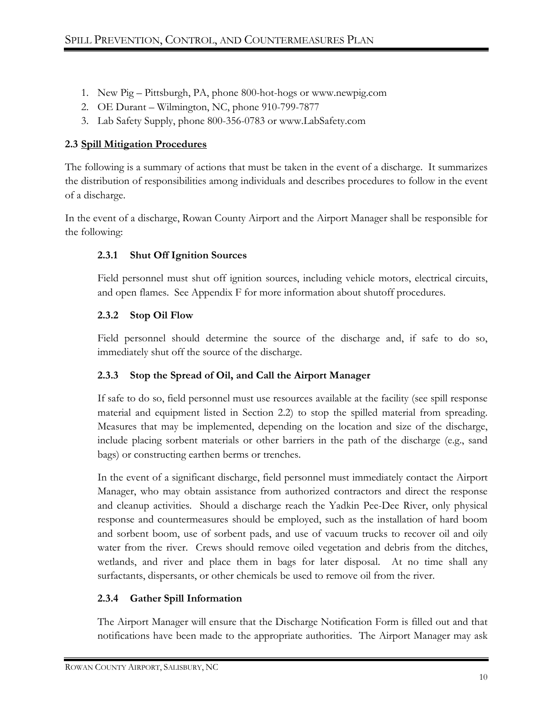- 1. New Pig Pittsburgh, PA, phone 800-hot-hogs or [www.newpig.com](http://www.newpig.com/)
- 2. OE Durant Wilmington, NC, phone 910-799-7877
- 3. Lab Safety Supply, phone 800-356-0783 or [www.LabSafety.com](http://www.labsafety.com/)

#### <span id="page-69-0"></span>**2.3 Spill Mitigation Procedures**

The following is a summary of actions that must be taken in the event of a discharge. It summarizes the distribution of responsibilities among individuals and describes procedures to follow in the event of a discharge.

In the event of a discharge, Rowan County Airport and the Airport Manager shall be responsible for the following:

#### <span id="page-69-1"></span>**2.3.1 Shut Off Ignition Sources**

Field personnel must shut off ignition sources, including vehicle motors, electrical circuits, and open flames. See Appendix F for more information about shutoff procedures.

#### <span id="page-69-2"></span>**2.3.2 Stop Oil Flow**

Field personnel should determine the source of the discharge and, if safe to do so, immediately shut off the source of the discharge.

#### <span id="page-69-3"></span>**2.3.3 Stop the Spread of Oil, and Call the Airport Manager**

If safe to do so, field personnel must use resources available at the facility (see spill response material and equipment listed in Section 2.2) to stop the spilled material from spreading. Measures that may be implemented, depending on the location and size of the discharge, include placing sorbent materials or other barriers in the path of the discharge (e.g., sand bags) or constructing earthen berms or trenches.

In the event of a significant discharge, field personnel must immediately contact the Airport Manager, who may obtain assistance from authorized contractors and direct the response and cleanup activities. Should a discharge reach the Yadkin Pee-Dee River, only physical response and countermeasures should be employed, such as the installation of hard boom and sorbent boom, use of sorbent pads, and use of vacuum trucks to recover oil and oily water from the river. Crews should remove oiled vegetation and debris from the ditches, wetlands, and river and place them in bags for later disposal. At no time shall any surfactants, dispersants, or other chemicals be used to remove oil from the river.

#### <span id="page-69-4"></span>**2.3.4 Gather Spill Information**

The Airport Manager will ensure that the Discharge Notification Form is filled out and that notifications have been made to the appropriate authorities. The Airport Manager may ask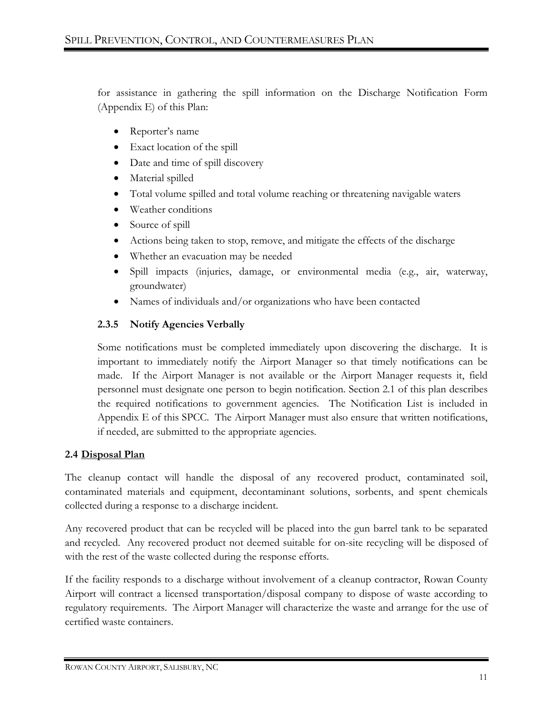for assistance in gathering the spill information on the Discharge Notification Form (Appendix E) of this Plan:

- Reporter's name
- Exact location of the spill
- Date and time of spill discovery
- Material spilled
- Total volume spilled and total volume reaching or threatening navigable waters
- Weather conditions
- Source of spill
- Actions being taken to stop, remove, and mitigate the effects of the discharge
- Whether an evacuation may be needed
- Spill impacts (injuries, damage, or environmental media (e.g., air, waterway, groundwater)
- Names of individuals and/or organizations who have been contacted

### <span id="page-70-0"></span>**2.3.5 Notify Agencies Verbally**

Some notifications must be completed immediately upon discovering the discharge. It is important to immediately notify the Airport Manager so that timely notifications can be made. If the Airport Manager is not available or the Airport Manager requests it, field personnel must designate one person to begin notification. Section 2.1 of this plan describes the required notifications to government agencies. The Notification List is included in Appendix E of this SPCC. The Airport Manager must also ensure that written notifications, if needed, are submitted to the appropriate agencies.

#### <span id="page-70-1"></span>**2.4 Disposal Plan**

The cleanup contact will handle the disposal of any recovered product, contaminated soil, contaminated materials and equipment, decontaminant solutions, sorbents, and spent chemicals collected during a response to a discharge incident.

Any recovered product that can be recycled will be placed into the gun barrel tank to be separated and recycled. Any recovered product not deemed suitable for on-site recycling will be disposed of with the rest of the waste collected during the response efforts.

If the facility responds to a discharge without involvement of a cleanup contractor, Rowan County Airport will contract a licensed transportation/disposal company to dispose of waste according to regulatory requirements. The Airport Manager will characterize the waste and arrange for the use of certified waste containers.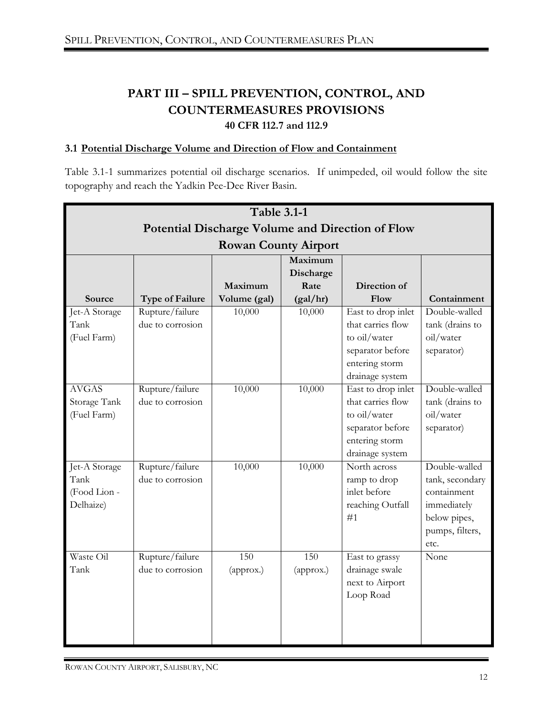## **PART III – SPILL PREVENTION, CONTROL, AND COUNTERMEASURES PROVISIONS 40 CFR 112.7 and 112.9**

#### <span id="page-71-1"></span><span id="page-71-0"></span>**3.1 Potential Discharge Volume and Direction of Flow and Containment**

Table 3.1-1 summarizes potential oil discharge scenarios. If unimpeded, oil would follow the site topography and reach the Yadkin Pee-Dee River Basin.

| <b>Table 3.1-1</b>                                      |                        |                        |                  |                      |                 |
|---------------------------------------------------------|------------------------|------------------------|------------------|----------------------|-----------------|
| <b>Potential Discharge Volume and Direction of Flow</b> |                        |                        |                  |                      |                 |
| <b>Rowan County Airport</b>                             |                        |                        |                  |                      |                 |
|                                                         |                        |                        | Maximum          |                      |                 |
|                                                         |                        |                        | Discharge        |                      |                 |
| Source                                                  | <b>Type of Failure</b> | Maximum                | Rate<br>(gal/hr) | Direction of<br>Flow | Containment     |
| Jet-A Storage                                           | Rupture/failure        | Volume (gal)<br>10,000 | 10,000           | East to drop inlet   | Double-walled   |
| Tank                                                    | due to corrosion       |                        |                  | that carries flow    | tank (drains to |
| (Fuel Farm)                                             |                        |                        |                  | to oil/water         | oil/water       |
|                                                         |                        |                        |                  | separator before     | separator)      |
|                                                         |                        |                        |                  | entering storm       |                 |
|                                                         |                        |                        |                  | drainage system      |                 |
| <b>AVGAS</b>                                            | Rupture/failure        | 10,000                 | 10,000           | East to drop inlet   | Double-walled   |
| Storage Tank                                            | due to corrosion       |                        |                  | that carries flow    | tank (drains to |
| (Fuel Farm)                                             |                        |                        |                  | to oil/water         | oil/water       |
|                                                         |                        |                        |                  | separator before     | separator)      |
|                                                         |                        |                        |                  | entering storm       |                 |
|                                                         |                        |                        |                  | drainage system      |                 |
| Jet-A Storage                                           | Rupture/failure        | 10,000                 | 10,000           | North across         | Double-walled   |
| Tank                                                    | due to corrosion       |                        |                  | ramp to drop         | tank, secondary |
| (Food Lion -                                            |                        |                        |                  | inlet before         | containment     |
| Delhaize)                                               |                        |                        |                  | reaching Outfall     | immediately     |
|                                                         |                        |                        |                  | #1                   | below pipes,    |
|                                                         |                        |                        |                  |                      | pumps, filters, |
|                                                         |                        |                        |                  |                      | etc.            |
| Waste Oil                                               | Rupture/failure        | 150                    | 150              | East to grassy       | None            |
| Tank                                                    | due to corrosion       | (approx.)              | (approx.)        | drainage swale       |                 |
|                                                         |                        |                        |                  | next to Airport      |                 |
|                                                         |                        |                        |                  | Loop Road            |                 |
|                                                         |                        |                        |                  |                      |                 |
|                                                         |                        |                        |                  |                      |                 |
|                                                         |                        |                        |                  |                      |                 |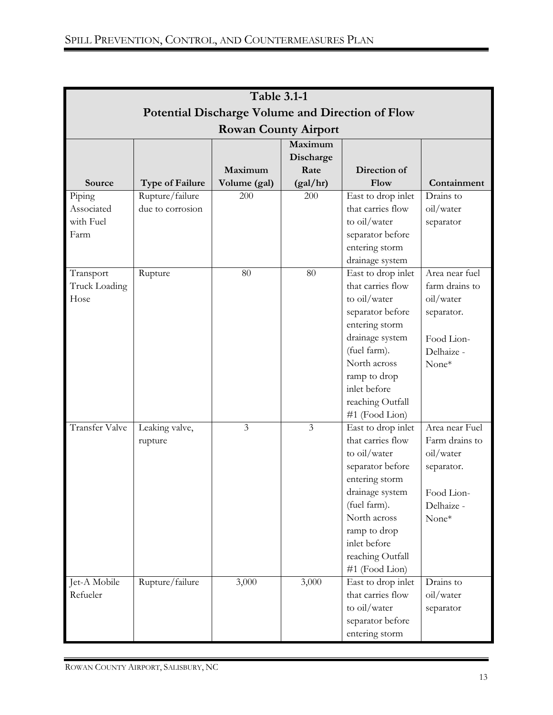| <b>Table 3.1-1</b>                                      |                        |                         |                   |                                      |                |  |
|---------------------------------------------------------|------------------------|-------------------------|-------------------|--------------------------------------|----------------|--|
| <b>Potential Discharge Volume and Direction of Flow</b> |                        |                         |                   |                                      |                |  |
| <b>Rowan County Airport</b>                             |                        |                         |                   |                                      |                |  |
|                                                         |                        |                         | Maximum           |                                      |                |  |
|                                                         |                        |                         | Discharge<br>Rate | Direction of                         |                |  |
| Source                                                  | <b>Type of Failure</b> | Maximum<br>Volume (gal) | (gal/hr)          | Flow                                 | Containment    |  |
| Piping                                                  | Rupture/failure        | 200                     | 200               | East to drop inlet                   | Drains to      |  |
| Associated                                              | due to corrosion       |                         |                   | that carries flow                    | oil/water      |  |
| with Fuel                                               |                        |                         |                   | to oil/water                         | separator      |  |
| Farm                                                    |                        |                         |                   | separator before                     |                |  |
|                                                         |                        |                         |                   | entering storm                       |                |  |
|                                                         |                        |                         |                   | drainage system                      |                |  |
| Transport                                               | Rupture                | 80                      | 80                | East to drop inlet                   | Area near fuel |  |
| Truck Loading                                           |                        |                         |                   | that carries flow                    | farm drains to |  |
| Hose                                                    |                        |                         |                   | to oil/water                         | oil/water      |  |
|                                                         |                        |                         |                   | separator before                     | separator.     |  |
|                                                         |                        |                         |                   | entering storm                       |                |  |
|                                                         |                        |                         |                   | drainage system                      | Food Lion-     |  |
|                                                         |                        |                         |                   | (fuel farm).                         | Delhaize -     |  |
|                                                         |                        |                         |                   | North across                         | None*          |  |
|                                                         |                        |                         |                   | ramp to drop                         |                |  |
|                                                         |                        |                         |                   | inlet before                         |                |  |
|                                                         |                        |                         |                   | reaching Outfall                     |                |  |
|                                                         |                        |                         |                   | #1 (Food Lion)                       |                |  |
| <b>Transfer Valve</b>                                   | Leaking valve,         | 3                       | $\mathfrak{Z}$    | East to drop inlet                   | Area near Fuel |  |
|                                                         | rupture                |                         |                   | that carries flow                    | Farm drains to |  |
|                                                         |                        |                         |                   | to oil/water                         | oil/water      |  |
|                                                         |                        |                         |                   | separator before                     | separator.     |  |
|                                                         |                        |                         |                   | entering storm                       |                |  |
|                                                         |                        |                         |                   | drainage system                      | Food Lion-     |  |
|                                                         |                        |                         |                   | (fuel farm).                         | Delhaize -     |  |
|                                                         |                        |                         |                   | North across                         | None*          |  |
|                                                         |                        |                         |                   | ramp to drop                         |                |  |
|                                                         |                        |                         |                   | inlet before                         |                |  |
|                                                         |                        |                         |                   | reaching Outfall                     |                |  |
| Jet-A Mobile                                            | Rupture/failure        | 3,000                   | 3,000             | #1 (Food Lion)<br>East to drop inlet | Drains to      |  |
| Refueler                                                |                        |                         |                   | that carries flow                    | oil/water      |  |
|                                                         |                        |                         |                   | to oil/water                         |                |  |
|                                                         |                        |                         |                   | separator before                     | separator      |  |
|                                                         |                        |                         |                   | entering storm                       |                |  |
|                                                         |                        |                         |                   |                                      |                |  |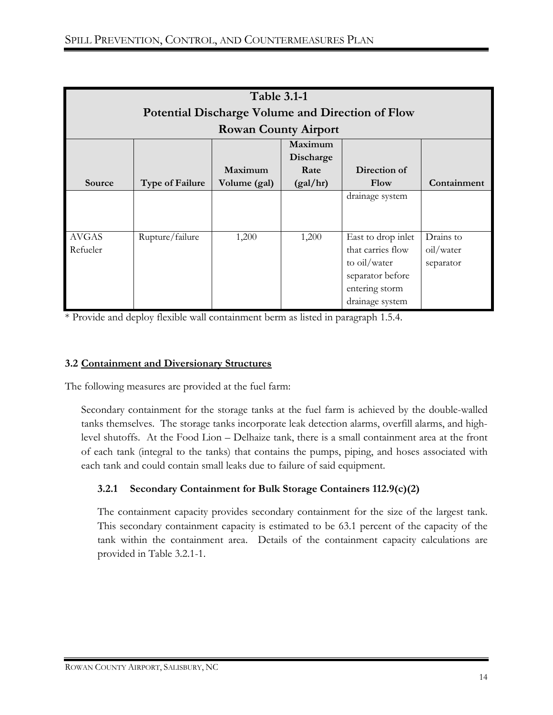| <b>Table 3.1-1</b> |                        |                             |           |                                                         |             |  |
|--------------------|------------------------|-----------------------------|-----------|---------------------------------------------------------|-------------|--|
|                    |                        |                             |           | <b>Potential Discharge Volume and Direction of Flow</b> |             |  |
|                    |                        | <b>Rowan County Airport</b> |           |                                                         |             |  |
|                    | Maximum                |                             |           |                                                         |             |  |
|                    |                        |                             | Discharge |                                                         |             |  |
|                    |                        | Maximum                     | Rate      | Direction of                                            |             |  |
| Source             | <b>Type of Failure</b> | Volume (gal)                | (gal/hr)  | Flow                                                    | Containment |  |
|                    |                        |                             |           | drainage system                                         |             |  |
|                    |                        |                             |           |                                                         |             |  |
|                    |                        |                             |           |                                                         |             |  |
| <b>AVGAS</b>       | Rupture/failure        | 1,200                       | 1,200     | East to drop inlet                                      | Drains to   |  |
| Refueler           |                        |                             |           | that carries flow                                       | oil/water   |  |
|                    |                        |                             |           | to oil/water                                            | separator   |  |
|                    |                        |                             |           | separator before                                        |             |  |
|                    |                        |                             |           | entering storm                                          |             |  |
|                    |                        |                             |           | drainage system                                         |             |  |

\* Provide and deploy flexible wall containment berm as listed in paragraph 1.5.4.

#### **3.2 Containment and Diversionary Structures**

The following measures are provided at the fuel farm:

Secondary containment for the storage tanks at the fuel farm is achieved by the double-walled tanks themselves. The storage tanks incorporate leak detection alarms, overfill alarms, and highlevel shutoffs. At the Food Lion – Delhaize tank, there is a small containment area at the front of each tank (integral to the tanks) that contains the pumps, piping, and hoses associated with each tank and could contain small leaks due to failure of said equipment.

### **3.2.1 Secondary Containment for Bulk Storage Containers 112.9(c)(2)**

The containment capacity provides secondary containment for the size of the largest tank. This secondary containment capacity is estimated to be 63.1 percent of the capacity of the tank within the containment area. Details of the containment capacity calculations are provided in Table 3.2.1-1.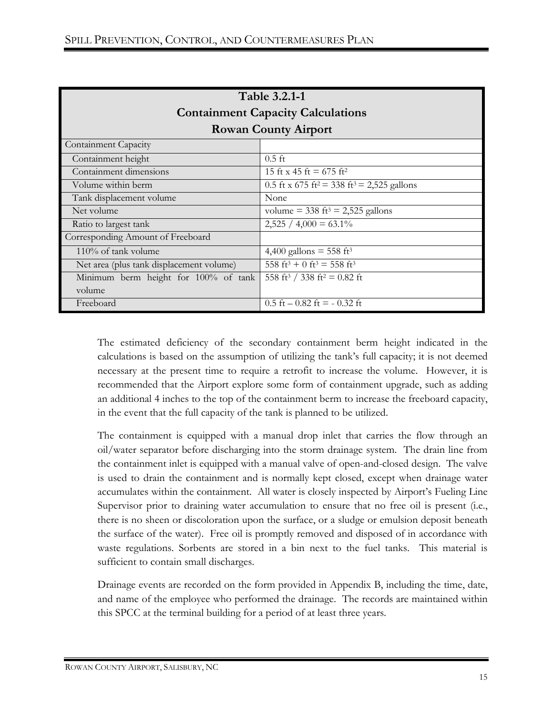| <b>Table 3.2.1-1</b>                     |                                                                    |  |  |  |  |
|------------------------------------------|--------------------------------------------------------------------|--|--|--|--|
| <b>Containment Capacity Calculations</b> |                                                                    |  |  |  |  |
| <b>Rowan County Airport</b>              |                                                                    |  |  |  |  |
| <b>Containment Capacity</b>              |                                                                    |  |  |  |  |
| Containment height                       | $0.5 \text{ ft}$                                                   |  |  |  |  |
| Containment dimensions                   | 15 ft x 45 ft = 675 ft <sup>2</sup>                                |  |  |  |  |
| Volume within berm                       | 0.5 ft x 675 ft <sup>2</sup> = 338 ft <sup>3</sup> = 2,525 gallons |  |  |  |  |
| Tank displacement volume                 | None                                                               |  |  |  |  |
| Net volume                               | volume = $338 \text{ ft}^3$ = 2,525 gallons                        |  |  |  |  |
| Ratio to largest tank                    | $2,525 / 4,000 = 63.1\%$                                           |  |  |  |  |
| Corresponding Amount of Freeboard        |                                                                    |  |  |  |  |
| 110% of tank volume                      | 4,400 gallons = $558$ ft <sup>3</sup>                              |  |  |  |  |
| Net area (plus tank displacement volume) | 558 ft <sup>3</sup> + 0 ft <sup>3</sup> = 558 ft <sup>3</sup>      |  |  |  |  |
| Minimum berm height for 100% of tank     | 558 ft <sup>3</sup> / 338 ft <sup>2</sup> = 0.82 ft                |  |  |  |  |
| volume                                   |                                                                    |  |  |  |  |
| Freeboard                                | $0.5$ ft $-0.82$ ft $=$ $-0.32$ ft                                 |  |  |  |  |

The estimated deficiency of the secondary containment berm height indicated in the calculations is based on the assumption of utilizing the tank's full capacity; it is not deemed necessary at the present time to require a retrofit to increase the volume. However, it is recommended that the Airport explore some form of containment upgrade, such as adding an additional 4 inches to the top of the containment berm to increase the freeboard capacity, in the event that the full capacity of the tank is planned to be utilized.

The containment is equipped with a manual drop inlet that carries the flow through an oil/water separator before discharging into the storm drainage system. The drain line from the containment inlet is equipped with a manual valve of open-and-closed design. The valve is used to drain the containment and is normally kept closed, except when drainage water accumulates within the containment. All water is closely inspected by Airport's Fueling Line Supervisor prior to draining water accumulation to ensure that no free oil is present (i.e., there is no sheen or discoloration upon the surface, or a sludge or emulsion deposit beneath the surface of the water). Free oil is promptly removed and disposed of in accordance with waste regulations. Sorbents are stored in a bin next to the fuel tanks. This material is sufficient to contain small discharges.

Drainage events are recorded on the form provided in Appendix B, including the time, date, and name of the employee who performed the drainage. The records are maintained within this SPCC at the terminal building for a period of at least three years.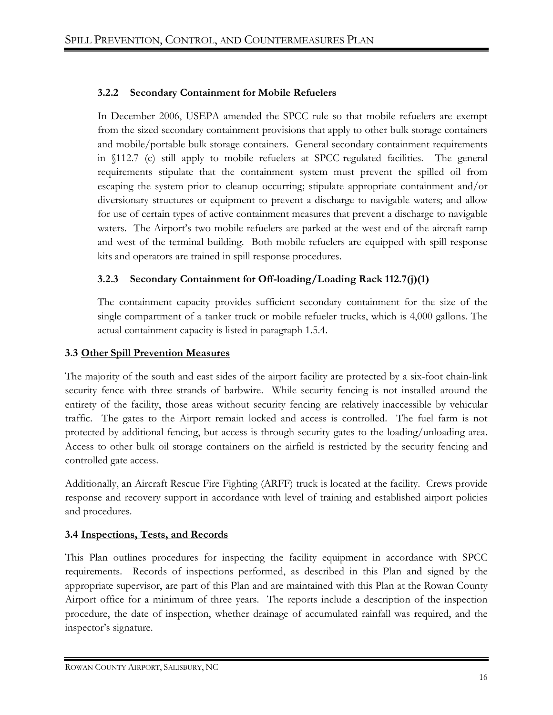#### **3.2.2 Secondary Containment for Mobile Refuelers**

In December 2006, USEPA amended the SPCC rule so that mobile refuelers are exempt from the sized secondary containment provisions that apply to other bulk storage containers and mobile/portable bulk storage containers. General secondary containment requirements in §112.7 (c) still apply to mobile refuelers at SPCC-regulated facilities. The general requirements stipulate that the containment system must prevent the spilled oil from escaping the system prior to cleanup occurring; stipulate appropriate containment and/or diversionary structures or equipment to prevent a discharge to navigable waters; and allow for use of certain types of active containment measures that prevent a discharge to navigable waters. The Airport's two mobile refuelers are parked at the west end of the aircraft ramp and west of the terminal building. Both mobile refuelers are equipped with spill response kits and operators are trained in spill response procedures.

#### **3.2.3 Secondary Containment for Off-loading/Loading Rack 112.7(j)(1)**

The containment capacity provides sufficient secondary containment for the size of the single compartment of a tanker truck or mobile refueler trucks, which is 4,000 gallons. The actual containment capacity is listed in paragraph 1.5.4.

#### **3.3 Other Spill Prevention Measures**

The majority of the south and east sides of the airport facility are protected by a six-foot chain-link security fence with three strands of barbwire. While security fencing is not installed around the entirety of the facility, those areas without security fencing are relatively inaccessible by vehicular traffic. The gates to the Airport remain locked and access is controlled. The fuel farm is not protected by additional fencing, but access is through security gates to the loading/unloading area. Access to other bulk oil storage containers on the airfield is restricted by the security fencing and controlled gate access.

Additionally, an Aircraft Rescue Fire Fighting (ARFF) truck is located at the facility. Crews provide response and recovery support in accordance with level of training and established airport policies and procedures.

#### **3.4 Inspections, Tests, and Records**

This Plan outlines procedures for inspecting the facility equipment in accordance with SPCC requirements. Records of inspections performed, as described in this Plan and signed by the appropriate supervisor, are part of this Plan and are maintained with this Plan at the Rowan County Airport office for a minimum of three years. The reports include a description of the inspection procedure, the date of inspection, whether drainage of accumulated rainfall was required, and the inspector's signature.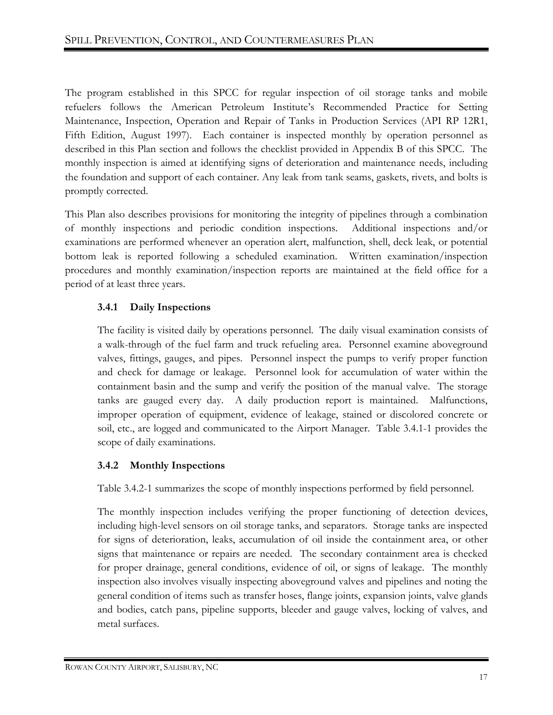The program established in this SPCC for regular inspection of oil storage tanks and mobile refuelers follows the American Petroleum Institute's Recommended Practice for Setting Maintenance, Inspection, Operation and Repair of Tanks in Production Services (API RP 12R1, Fifth Edition, August 1997). Each container is inspected monthly by operation personnel as described in this Plan section and follows the checklist provided in Appendix B of this SPCC. The monthly inspection is aimed at identifying signs of deterioration and maintenance needs, including the foundation and support of each container. Any leak from tank seams, gaskets, rivets, and bolts is promptly corrected.

This Plan also describes provisions for monitoring the integrity of pipelines through a combination of monthly inspections and periodic condition inspections. Additional inspections and/or examinations are performed whenever an operation alert, malfunction, shell, deck leak, or potential bottom leak is reported following a scheduled examination. Written examination/inspection procedures and monthly examination/inspection reports are maintained at the field office for a period of at least three years.

## **3.4.1 Daily Inspections**

The facility is visited daily by operations personnel. The daily visual examination consists of a walk-through of the fuel farm and truck refueling area. Personnel examine aboveground valves, fittings, gauges, and pipes. Personnel inspect the pumps to verify proper function and check for damage or leakage. Personnel look for accumulation of water within the containment basin and the sump and verify the position of the manual valve. The storage tanks are gauged every day. A daily production report is maintained. Malfunctions, improper operation of equipment, evidence of leakage, stained or discolored concrete or soil, etc., are logged and communicated to the Airport Manager. Table 3.4.1-1 provides the scope of daily examinations.

### **3.4.2 Monthly Inspections**

Table 3.4.2-1 summarizes the scope of monthly inspections performed by field personnel.

The monthly inspection includes verifying the proper functioning of detection devices, including high-level sensors on oil storage tanks, and separators. Storage tanks are inspected for signs of deterioration, leaks, accumulation of oil inside the containment area, or other signs that maintenance or repairs are needed. The secondary containment area is checked for proper drainage, general conditions, evidence of oil, or signs of leakage. The monthly inspection also involves visually inspecting aboveground valves and pipelines and noting the general condition of items such as transfer hoses, flange joints, expansion joints, valve glands and bodies, catch pans, pipeline supports, bleeder and gauge valves, locking of valves, and metal surfaces.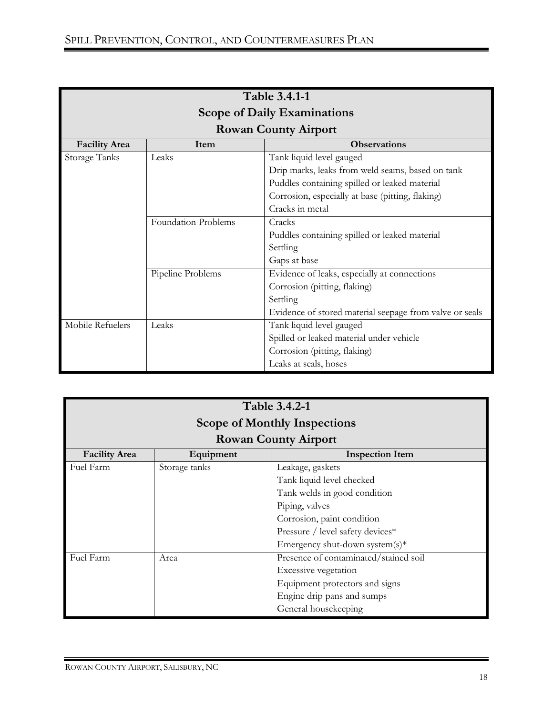| <b>Table 3.4.1-1</b> |                     |                                                         |  |  |  |  |
|----------------------|---------------------|---------------------------------------------------------|--|--|--|--|
|                      |                     |                                                         |  |  |  |  |
|                      |                     | <b>Scope of Daily Examinations</b>                      |  |  |  |  |
|                      |                     | <b>Rowan County Airport</b>                             |  |  |  |  |
| <b>Facility Area</b> | Item                | <b>Observations</b>                                     |  |  |  |  |
| Storage Tanks        | Leaks               | Tank liquid level gauged                                |  |  |  |  |
|                      |                     | Drip marks, leaks from weld seams, based on tank        |  |  |  |  |
|                      |                     | Puddles containing spilled or leaked material           |  |  |  |  |
|                      |                     | Corrosion, especially at base (pitting, flaking)        |  |  |  |  |
|                      |                     | Cracks in metal                                         |  |  |  |  |
|                      | Foundation Problems | Cracks                                                  |  |  |  |  |
|                      |                     | Puddles containing spilled or leaked material           |  |  |  |  |
|                      |                     | Settling                                                |  |  |  |  |
|                      |                     | Gaps at base                                            |  |  |  |  |
|                      | Pipeline Problems   | Evidence of leaks, especially at connections            |  |  |  |  |
|                      |                     | Corrosion (pitting, flaking)                            |  |  |  |  |
|                      |                     | Settling                                                |  |  |  |  |
|                      |                     | Evidence of stored material seepage from valve or seals |  |  |  |  |
| Mobile Refuelers     | Leaks               | Tank liquid level gauged                                |  |  |  |  |
|                      |                     | Spilled or leaked material under vehicle                |  |  |  |  |
|                      |                     | Corrosion (pitting, flaking)                            |  |  |  |  |
|                      |                     | Leaks at seals, hoses                                   |  |  |  |  |

| Table 3.4.2-1<br><b>Scope of Monthly Inspections</b> |                             |                                       |  |  |  |
|------------------------------------------------------|-----------------------------|---------------------------------------|--|--|--|
|                                                      | <b>Rowan County Airport</b> |                                       |  |  |  |
| <b>Facility Area</b>                                 | Equipment                   | <b>Inspection Item</b>                |  |  |  |
| Fuel Farm                                            | Storage tanks               | Leakage, gaskets                      |  |  |  |
|                                                      |                             | Tank liquid level checked             |  |  |  |
|                                                      |                             | Tank welds in good condition          |  |  |  |
|                                                      |                             | Piping, valves                        |  |  |  |
|                                                      |                             | Corrosion, paint condition            |  |  |  |
|                                                      |                             | Pressure / level safety devices*      |  |  |  |
|                                                      |                             | Emergency shut-down system(s)*        |  |  |  |
| Fuel Farm                                            | Area                        | Presence of contaminated/stained soil |  |  |  |
|                                                      |                             | Excessive vegetation                  |  |  |  |
|                                                      |                             | Equipment protectors and signs        |  |  |  |
|                                                      |                             | Engine drip pans and sumps            |  |  |  |
|                                                      |                             | General housekeeping                  |  |  |  |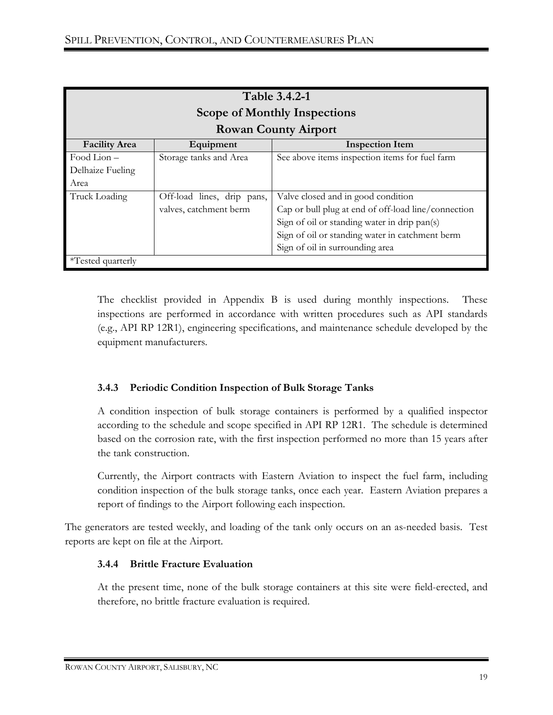| <b>Table 3.4.2-1</b><br><b>Scope of Monthly Inspections</b><br><b>Rowan County Airport</b> |                                 |                                                     |  |  |  |  |
|--------------------------------------------------------------------------------------------|---------------------------------|-----------------------------------------------------|--|--|--|--|
| <b>Facility Area</b>                                                                       | Equipment                       | <b>Inspection Item</b>                              |  |  |  |  |
| Food Lion-                                                                                 | Storage tanks and Area          | See above items inspection items for fuel farm      |  |  |  |  |
| Delhaize Fueling                                                                           |                                 |                                                     |  |  |  |  |
| Area                                                                                       |                                 |                                                     |  |  |  |  |
| Truck Loading                                                                              | Off-load lines, drip pans,      | Valve closed and in good condition                  |  |  |  |  |
|                                                                                            | valves, catchment berm          | Cap or bull plug at end of off-load line/connection |  |  |  |  |
|                                                                                            |                                 | Sign of oil or standing water in drip pan(s)        |  |  |  |  |
|                                                                                            |                                 | Sign of oil or standing water in catchment berm     |  |  |  |  |
|                                                                                            | Sign of oil in surrounding area |                                                     |  |  |  |  |
| *Tested quarterly                                                                          |                                 |                                                     |  |  |  |  |

The checklist provided in Appendix B is used during monthly inspections. These inspections are performed in accordance with written procedures such as API standards (e.g., API RP 12R1), engineering specifications, and maintenance schedule developed by the equipment manufacturers.

### **3.4.3 Periodic Condition Inspection of Bulk Storage Tanks**

A condition inspection of bulk storage containers is performed by a qualified inspector according to the schedule and scope specified in API RP 12R1. The schedule is determined based on the corrosion rate, with the first inspection performed no more than 15 years after the tank construction.

Currently, the Airport contracts with Eastern Aviation to inspect the fuel farm, including condition inspection of the bulk storage tanks, once each year. Eastern Aviation prepares a report of findings to the Airport following each inspection.

The generators are tested weekly, and loading of the tank only occurs on an as-needed basis. Test reports are kept on file at the Airport.

### **3.4.4 Brittle Fracture Evaluation**

At the present time, none of the bulk storage containers at this site were field-erected, and therefore, no brittle fracture evaluation is required.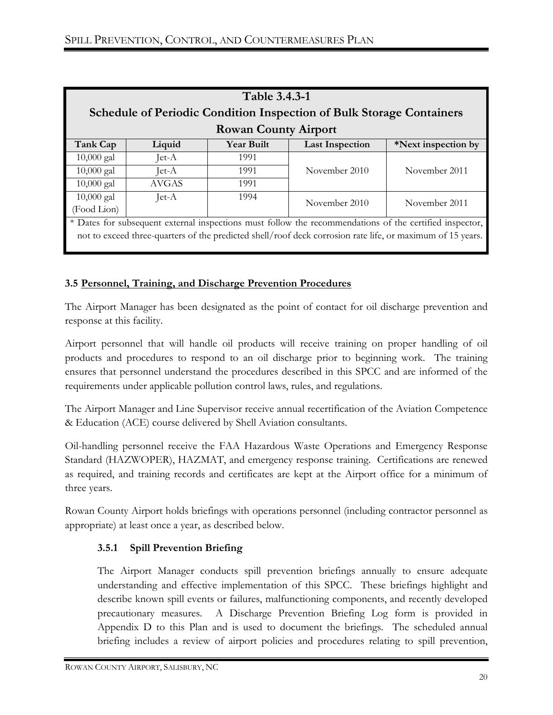|                                                                                                         | Table 3.4.3-1                                                               |                             |                                                                                                            |                     |  |  |
|---------------------------------------------------------------------------------------------------------|-----------------------------------------------------------------------------|-----------------------------|------------------------------------------------------------------------------------------------------------|---------------------|--|--|
|                                                                                                         | <b>Schedule of Periodic Condition Inspection of Bulk Storage Containers</b> |                             |                                                                                                            |                     |  |  |
|                                                                                                         |                                                                             | <b>Rowan County Airport</b> |                                                                                                            |                     |  |  |
| Tank Cap                                                                                                | Liquid                                                                      | <b>Year Built</b>           | <b>Last Inspection</b>                                                                                     | *Next inspection by |  |  |
| $10,000$ gal                                                                                            | Jet-A                                                                       | 1991                        |                                                                                                            |                     |  |  |
| $10,000$ gal                                                                                            | Jet-A                                                                       | 1991                        | November 2010                                                                                              | November 2011       |  |  |
| $10,000$ gal                                                                                            | <b>AVGAS</b>                                                                | 1991                        |                                                                                                            |                     |  |  |
| $10,000$ gal                                                                                            | Jet- $A$                                                                    | 1994                        | November 2010                                                                                              | November 2011       |  |  |
| (Food Lion)                                                                                             |                                                                             |                             |                                                                                                            |                     |  |  |
| * Dates for subsequent external inspections must follow the recommendations of the certified inspector, |                                                                             |                             |                                                                                                            |                     |  |  |
|                                                                                                         |                                                                             |                             | not to exceed three-quarters of the predicted shell/roof deck corrosion rate life, or maximum of 15 years. |                     |  |  |
|                                                                                                         |                                                                             |                             |                                                                                                            |                     |  |  |

### **3.5 Personnel, Training, and Discharge Prevention Procedures**

The Airport Manager has been designated as the point of contact for oil discharge prevention and response at this facility.

Airport personnel that will handle oil products will receive training on proper handling of oil products and procedures to respond to an oil discharge prior to beginning work. The training ensures that personnel understand the procedures described in this SPCC and are informed of the requirements under applicable pollution control laws, rules, and regulations.

The Airport Manager and Line Supervisor receive annual recertification of the Aviation Competence & Education (ACE) course delivered by Shell Aviation consultants.

Oil-handling personnel receive the FAA Hazardous Waste Operations and Emergency Response Standard (HAZWOPER), HAZMAT, and emergency response training. Certifications are renewed as required, and training records and certificates are kept at the Airport office for a minimum of three years.

Rowan County Airport holds briefings with operations personnel (including contractor personnel as appropriate) at least once a year, as described below.

### **3.5.1 Spill Prevention Briefing**

The Airport Manager conducts spill prevention briefings annually to ensure adequate understanding and effective implementation of this SPCC. These briefings highlight and describe known spill events or failures, malfunctioning components, and recently developed precautionary measures. A Discharge Prevention Briefing Log form is provided in Appendix D to this Plan and is used to document the briefings. The scheduled annual briefing includes a review of airport policies and procedures relating to spill prevention,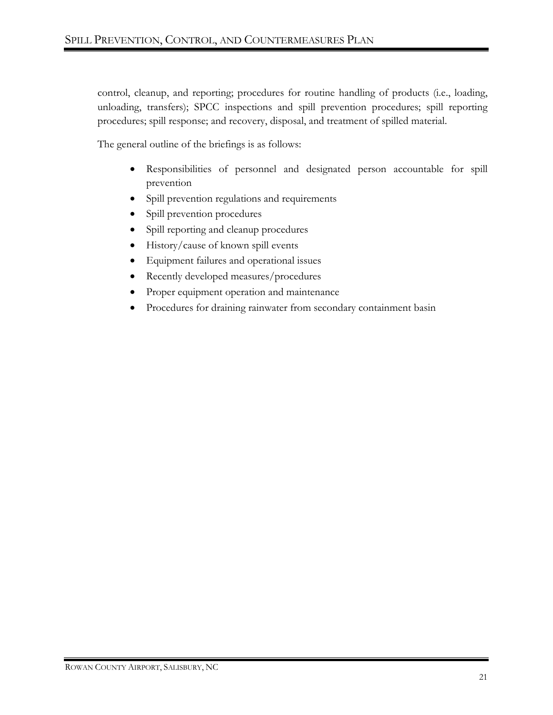control, cleanup, and reporting; procedures for routine handling of products (i.e., loading, unloading, transfers); SPCC inspections and spill prevention procedures; spill reporting procedures; spill response; and recovery, disposal, and treatment of spilled material.

The general outline of the briefings is as follows:

- Responsibilities of personnel and designated person accountable for spill prevention
- Spill prevention regulations and requirements
- Spill prevention procedures
- Spill reporting and cleanup procedures
- History/cause of known spill events
- Equipment failures and operational issues
- Recently developed measures/procedures
- Proper equipment operation and maintenance
- Procedures for draining rainwater from secondary containment basin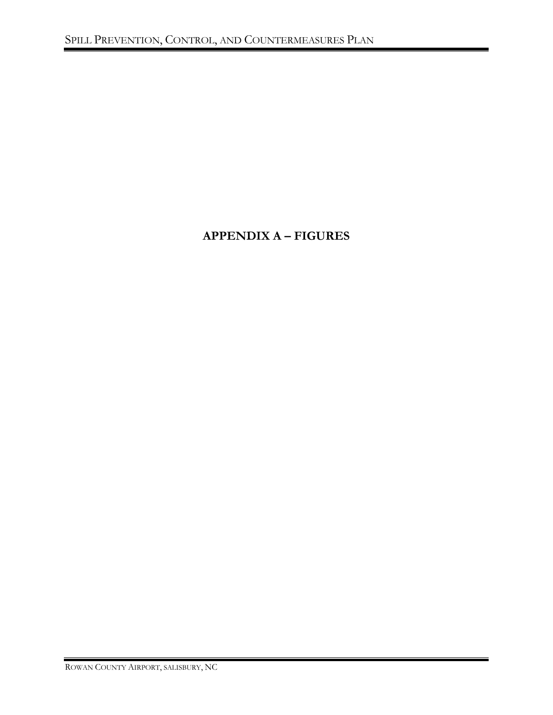# **APPENDIX A – FIGURES**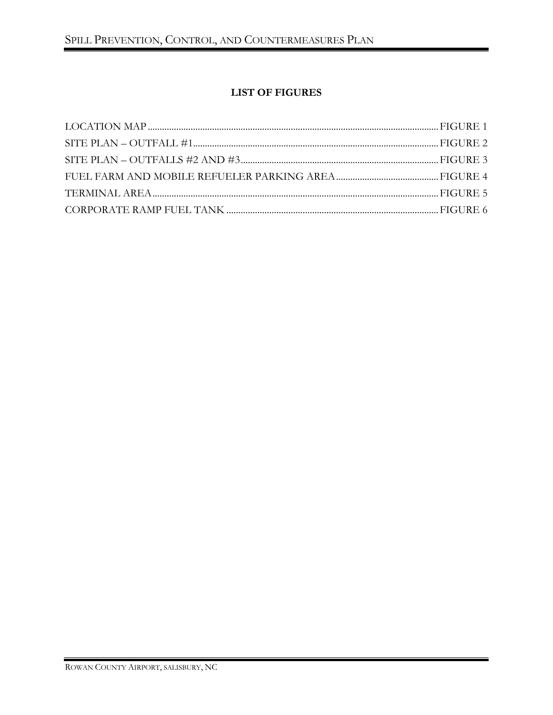## **LIST OF FIGURES**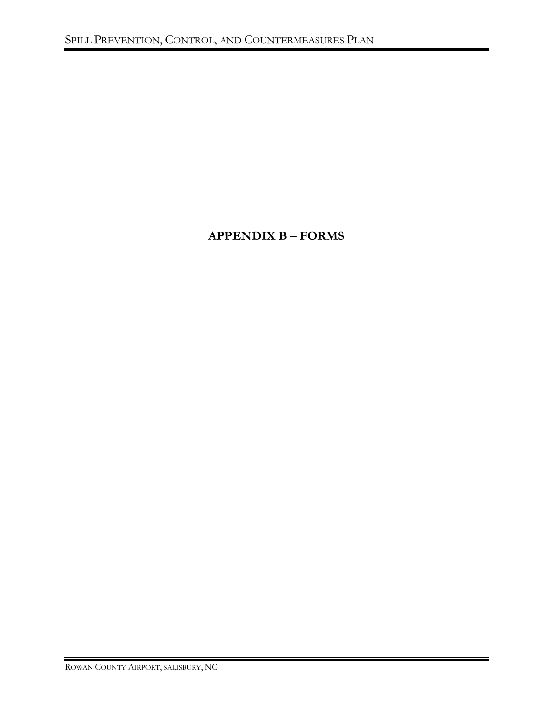# **APPENDIX B – FORMS**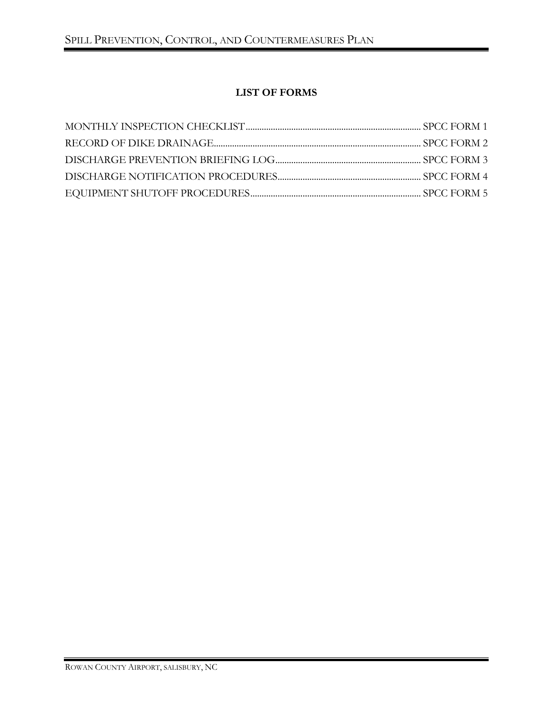## **LIST OF FORMS**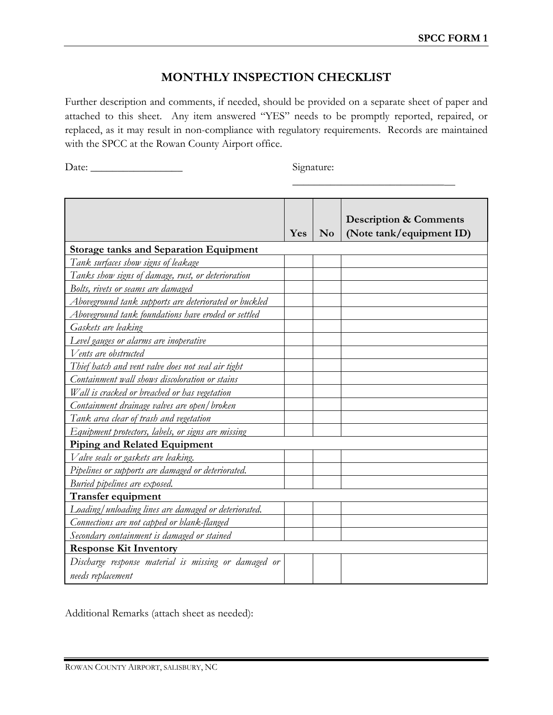## **MONTHLY INSPECTION CHECKLIST**

Further description and comments, if needed, should be provided on a separate sheet of paper and attached to this sheet. Any item answered "YES" needs to be promptly reported, repaired, or replaced, as it may result in non-compliance with regulatory requirements. Records are maintained with the SPCC at the Rowan County Airport office.

Date: \_\_\_\_\_\_\_\_\_\_\_\_\_\_\_\_\_ Signature:

\_\_\_\_\_\_\_\_\_\_\_\_\_\_\_\_\_\_\_\_\_\_\_\_\_\_\_\_

|                                                       | Yes | N <sub>o</sub> | <b>Description &amp; Comments</b><br>(Note tank/equipment ID) |  |
|-------------------------------------------------------|-----|----------------|---------------------------------------------------------------|--|
| <b>Storage tanks and Separation Equipment</b>         |     |                |                                                               |  |
| Tank surfaces show signs of leakage                   |     |                |                                                               |  |
| Tanks show signs of damage, rust, or deterioration    |     |                |                                                               |  |
| Bolts, rivets or seams are damaged                    |     |                |                                                               |  |
| Aboveground tank supports are deteriorated or buckled |     |                |                                                               |  |
| Aboveground tank foundations have eroded or settled   |     |                |                                                               |  |
| Gaskets are leaking                                   |     |                |                                                               |  |
| Level gauges or alarms are inoperative                |     |                |                                                               |  |
| Vents are obstructed                                  |     |                |                                                               |  |
| Thief hatch and vent valve does not seal air tight    |     |                |                                                               |  |
| Containment wall shows discoloration or stains        |     |                |                                                               |  |
| Wall is cracked or breached or has vegetation         |     |                |                                                               |  |
| Containment drainage valves are open/broken           |     |                |                                                               |  |
| Tank area clear of trash and vegetation               |     |                |                                                               |  |
| Equipment protectors, labels, or signs are missing    |     |                |                                                               |  |
| Piping and Related Equipment                          |     |                |                                                               |  |
| Valve seals or gaskets are leaking.                   |     |                |                                                               |  |
| Pipelines or supports are damaged or deteriorated.    |     |                |                                                               |  |
| Buried pipelines are exposed.                         |     |                |                                                               |  |
| Transfer equipment                                    |     |                |                                                               |  |
| Loading/unloading lines are damaged or deteriorated.  |     |                |                                                               |  |
| Connections are not capped or blank-flanged           |     |                |                                                               |  |
| Secondary containment is damaged or stained           |     |                |                                                               |  |
| <b>Response Kit Inventory</b>                         |     |                |                                                               |  |
| Discharge response material is missing or damaged or  |     |                |                                                               |  |
| needs replacement                                     |     |                |                                                               |  |

Additional Remarks (attach sheet as needed):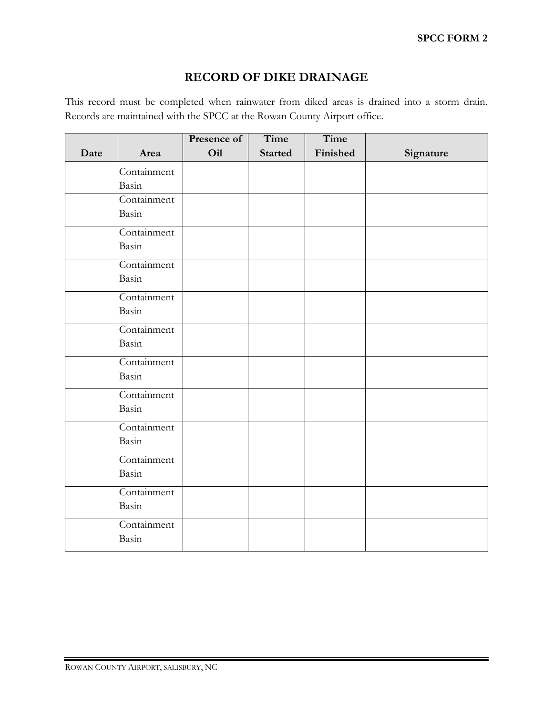## **RECORD OF DIKE DRAINAGE**

This record must be completed when rainwater from diked areas is drained into a storm drain. Records are maintained with the SPCC at the Rowan County Airport office.

|      |                      | Presence of | Time           | Time     |           |
|------|----------------------|-------------|----------------|----------|-----------|
| Date | Area                 | Oil         | <b>Started</b> | Finished | Signature |
|      | Containment<br>Basin |             |                |          |           |
|      | Containment<br>Basin |             |                |          |           |
|      | Containment<br>Basin |             |                |          |           |
|      | Containment<br>Basin |             |                |          |           |
|      | Containment<br>Basin |             |                |          |           |
|      | Containment<br>Basin |             |                |          |           |
|      | Containment<br>Basin |             |                |          |           |
|      | Containment<br>Basin |             |                |          |           |
|      | Containment<br>Basin |             |                |          |           |
|      | Containment<br>Basin |             |                |          |           |
|      | Containment<br>Basin |             |                |          |           |
|      | Containment<br>Basin |             |                |          |           |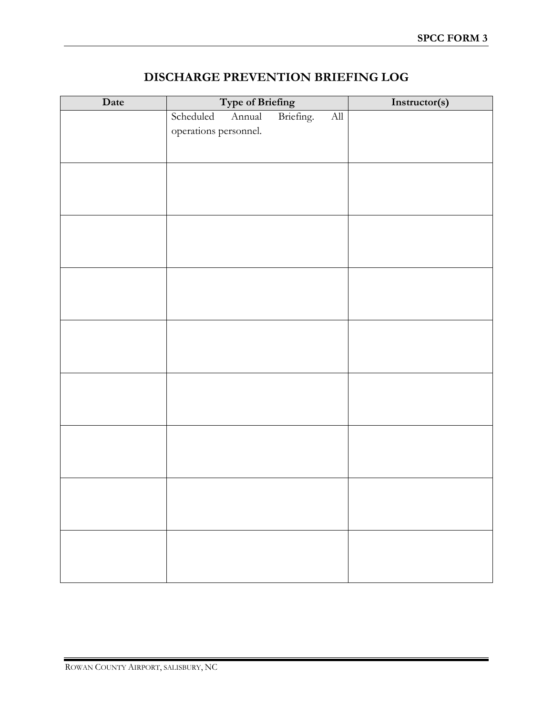| Date | <b>Type of Briefing</b> |                                          | Instructor(s) |
|------|-------------------------|------------------------------------------|---------------|
|      | Annual<br>Scheduled     | Briefing.<br>$\mathop{\rm All}\nolimits$ |               |
|      | operations personnel.   |                                          |               |
|      |                         |                                          |               |
|      |                         |                                          |               |
|      |                         |                                          |               |
|      |                         |                                          |               |
|      |                         |                                          |               |
|      |                         |                                          |               |
|      |                         |                                          |               |
|      |                         |                                          |               |
|      |                         |                                          |               |
|      |                         |                                          |               |
|      |                         |                                          |               |
|      |                         |                                          |               |
|      |                         |                                          |               |
|      |                         |                                          |               |
|      |                         |                                          |               |
|      |                         |                                          |               |
|      |                         |                                          |               |
|      |                         |                                          |               |
|      |                         |                                          |               |
|      |                         |                                          |               |
|      |                         |                                          |               |
|      |                         |                                          |               |
|      |                         |                                          |               |
|      |                         |                                          |               |
|      |                         |                                          |               |

# **DISCHARGE PREVENTION BRIEFING LOG**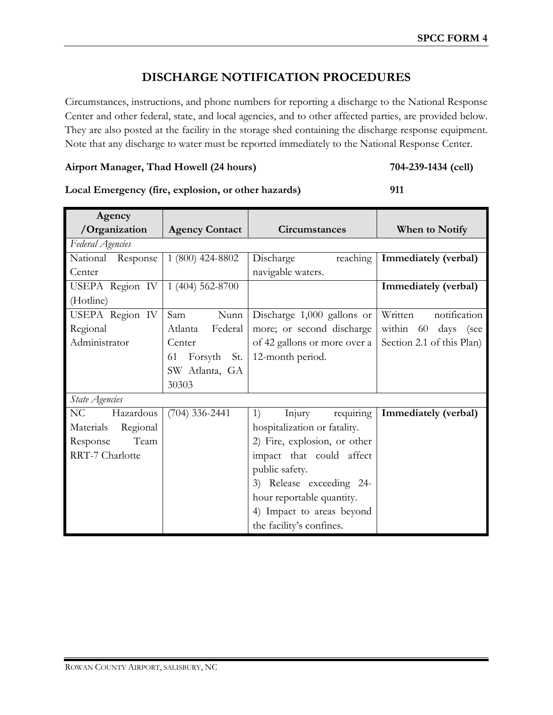## **DISCHARGE NOTIFICATION PROCEDURES**

Circumstances, instructions, and phone numbers for reporting a discharge to the National Response Center and other federal, state, and local agencies, and to other affected parties, are provided below. They are also posted at the facility in the storage shed containing the discharge response equipment. Note that any discharge to water must be reported immediately to the National Response Center.

#### **Airport Manager, Thad Howell (24 hours) 704-239-1434 (cell)**

#### **Local Emergency (fire, explosion, or other hazards) 911**

| Agency                |                       |                              |                             |  |  |
|-----------------------|-----------------------|------------------------------|-----------------------------|--|--|
| /Organization         | <b>Agency Contact</b> | Circumstances                | When to Notify              |  |  |
| Federal Agencies      |                       |                              |                             |  |  |
| Response<br>National  | 1 (800) 424-8802      | reaching<br>Discharge        | Immediately (verbal)        |  |  |
| Center                |                       | navigable waters.            |                             |  |  |
| USEPA Region IV       | 1 (404) 562-8700      |                              | <b>Immediately</b> (verbal) |  |  |
| (Hotline)             |                       |                              |                             |  |  |
| USEPA Region IV       | Sam<br>Nunn           | Discharge 1,000 gallons or   | Written<br>notification     |  |  |
| Regional              | Federal<br>Atlanta    | more; or second discharge    | within 60 days (see         |  |  |
| Administrator         | Center                | of 42 gallons or more over a | Section 2.1 of this Plan)   |  |  |
|                       | 61<br>Forsyth St.     | 12-month period.             |                             |  |  |
|                       | SW Atlanta, GA        |                              |                             |  |  |
|                       | 30303                 |                              |                             |  |  |
| State Agencies        |                       |                              |                             |  |  |
| NC<br>Hazardous       | $(704)$ 336-2441      | requiring<br>1)<br>Injury    | Immediately (verbal)        |  |  |
| Regional<br>Materials |                       | hospitalization or fatality. |                             |  |  |
| Team<br>Response      |                       | 2) Fire, explosion, or other |                             |  |  |
| RRT-7 Charlotte       |                       | impact that could affect     |                             |  |  |
|                       |                       | public safety.               |                             |  |  |
|                       |                       | 3) Release exceeding 24-     |                             |  |  |
|                       |                       | hour reportable quantity.    |                             |  |  |
|                       |                       | 4) Impact to areas beyond    |                             |  |  |
|                       |                       | the facility's confines.     |                             |  |  |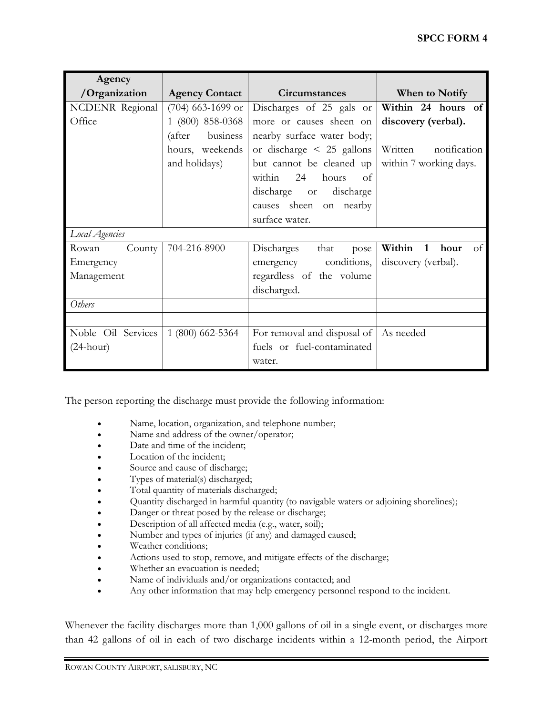| Agency              |                       |                                |                           |
|---------------------|-----------------------|--------------------------------|---------------------------|
| /Organization       | <b>Agency Contact</b> | <b>Circumstances</b>           | When to Notify            |
| NCDENR Regional     | $(704)$ 663-1699 or   | Discharges of 25 gals or       | Within 24 hours of        |
| Office              | 1 (800) 858-0368      | more or causes sheen on        | discovery (verbal).       |
|                     | (after<br>business    | nearby surface water body;     |                           |
|                     | hours, weekends       | or discharge $\leq$ 25 gallons | Written<br>notification   |
|                     | and holidays)         | but cannot be cleaned up       | within 7 working days.    |
|                     |                       | within<br>24<br>hours<br>of    |                           |
|                     |                       | discharge or<br>discharge      |                           |
|                     |                       | causes sheen on nearby         |                           |
|                     |                       | surface water.                 |                           |
| Local Agencies      |                       |                                |                           |
| County<br>Rowan     | 704-216-8900          | Discharges<br>that<br>pose     | Within<br>of<br>hour<br>1 |
| Emergency           |                       | emergency conditions,          | discovery (verbal).       |
| Management          |                       | regardless of the volume       |                           |
|                     |                       | discharged.                    |                           |
| Others              |                       |                                |                           |
|                     |                       |                                |                           |
| Noble Oil Services  | 1 (800) 662-5364      | For removal and disposal of    | As needed                 |
| $(24 \text{-hour})$ |                       | fuels or fuel-contaminated     |                           |
|                     |                       | water.                         |                           |

The person reporting the discharge must provide the following information:

- Name, location, organization, and telephone number;
- Name and address of the owner/operator;
- Date and time of the incident;
- Location of the incident;
- Source and cause of discharge;
- Types of material(s) discharged;
- Total quantity of materials discharged;
- Quantity discharged in harmful quantity (to navigable waters or adjoining shorelines);
- Danger or threat posed by the release or discharge;
- Description of all affected media (e.g., water, soil);
- Number and types of injuries (if any) and damaged caused;
- Weather conditions;
- Actions used to stop, remove, and mitigate effects of the discharge;
- Whether an evacuation is needed;
- Name of individuals and/or organizations contacted; and
- Any other information that may help emergency personnel respond to the incident.

Whenever the facility discharges more than 1,000 gallons of oil in a single event, or discharges more than 42 gallons of oil in each of two discharge incidents within a 12-month period, the Airport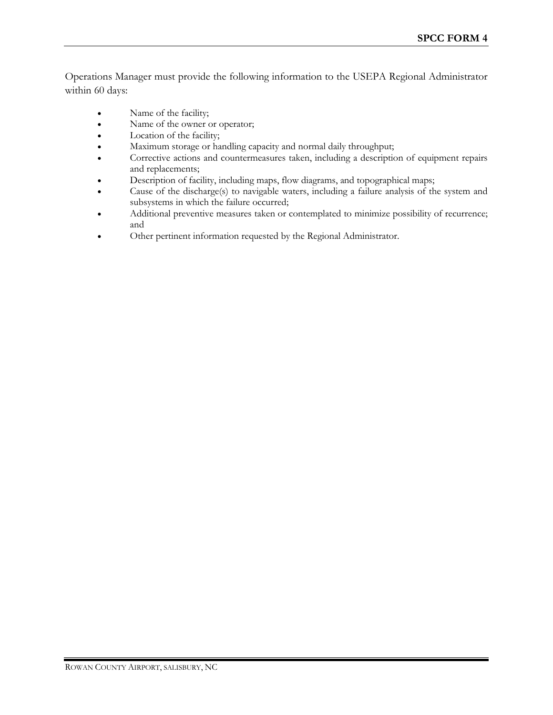Operations Manager must provide the following information to the USEPA Regional Administrator within 60 days:

- Name of the facility;
- Name of the owner or operator;
- Location of the facility;
- Maximum storage or handling capacity and normal daily throughput;
- Corrective actions and countermeasures taken, including a description of equipment repairs and replacements;
- Description of facility, including maps, flow diagrams, and topographical maps;
- Cause of the discharge(s) to navigable waters, including a failure analysis of the system and subsystems in which the failure occurred;
- Additional preventive measures taken or contemplated to minimize possibility of recurrence; and
- Other pertinent information requested by the Regional Administrator.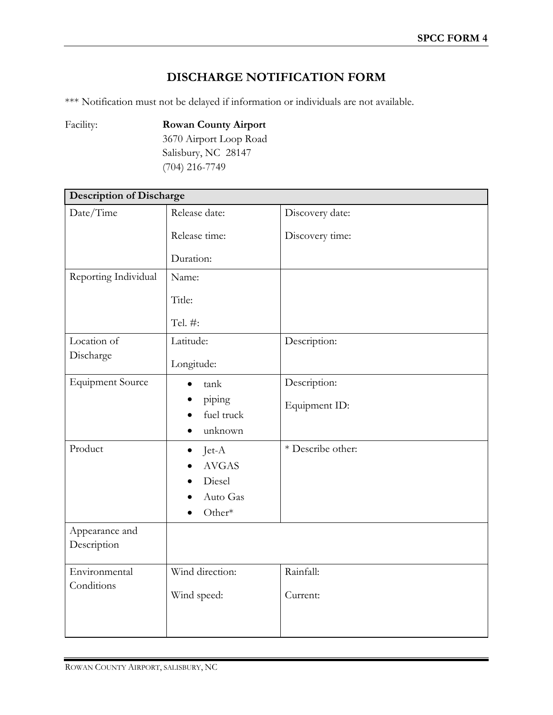# **DISCHARGE NOTIFICATION FORM**

\*\*\* Notification must not be delayed if information or individuals are not available.

Facility: **Rowan County Airport** 3670 Airport Loop Road Salisbury, NC 28147 (704) 216-7749

| <b>Description of Discharge</b> |                                                                         |                               |  |
|---------------------------------|-------------------------------------------------------------------------|-------------------------------|--|
| Date/Time                       | Release date:                                                           | Discovery date:               |  |
|                                 | Release time:                                                           | Discovery time:               |  |
|                                 | Duration:                                                               |                               |  |
| Reporting Individual            | Name:                                                                   |                               |  |
|                                 | Title:                                                                  |                               |  |
|                                 | Tel. #:                                                                 |                               |  |
| Location of                     | Latitude:                                                               | Description:                  |  |
| Discharge                       | Longitude:                                                              |                               |  |
| <b>Equipment Source</b>         | tank<br>piping<br>fuel truck<br>unknown                                 | Description:<br>Equipment ID: |  |
| Product                         | Jet-A<br>$\bullet$<br><b>AVGAS</b><br>Diesel<br>Auto Gas<br>Other*<br>● | * Describe other:             |  |
| Appearance and<br>Description   |                                                                         |                               |  |
| Environmental<br>Conditions     | Wind direction:<br>Wind speed:                                          | Rainfall:<br>Current:         |  |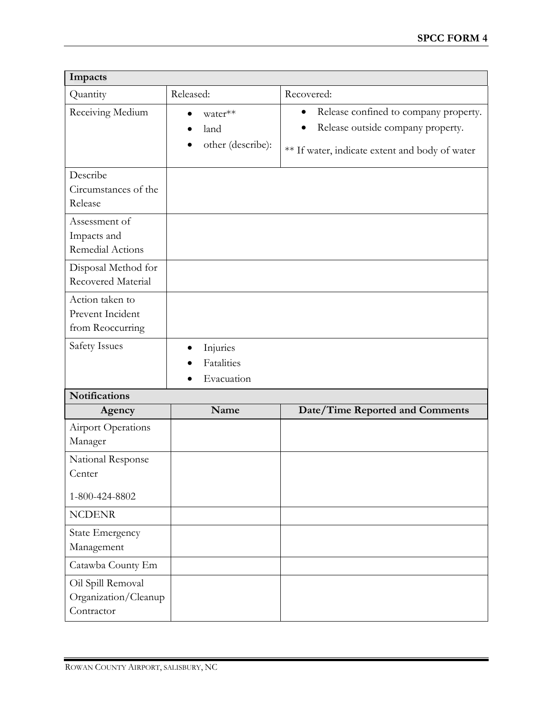| Impacts                                                 |                                      |                                                                                                                                           |  |  |
|---------------------------------------------------------|--------------------------------------|-------------------------------------------------------------------------------------------------------------------------------------------|--|--|
| Quantity                                                | Released:                            | Recovered:                                                                                                                                |  |  |
| Receiving Medium                                        | water**<br>land<br>other (describe): | Release confined to company property.<br>$\bullet$<br>Release outside company property.<br>** If water, indicate extent and body of water |  |  |
| Describe<br>Circumstances of the<br>Release             |                                      |                                                                                                                                           |  |  |
| Assessment of<br>Impacts and<br>Remedial Actions        |                                      |                                                                                                                                           |  |  |
| Disposal Method for<br>Recovered Material               |                                      |                                                                                                                                           |  |  |
| Action taken to<br>Prevent Incident<br>from Reoccurring |                                      |                                                                                                                                           |  |  |
| <b>Safety Issues</b>                                    | Injuries<br>Fatalities<br>Evacuation |                                                                                                                                           |  |  |
|                                                         | <b>Notifications</b>                 |                                                                                                                                           |  |  |
| Agency                                                  | Name                                 | Date/Time Reported and Comments                                                                                                           |  |  |
| <b>Airport Operations</b><br>Manager                    |                                      |                                                                                                                                           |  |  |
| National Response<br>Center                             |                                      |                                                                                                                                           |  |  |
| 1-800-424-8802                                          |                                      |                                                                                                                                           |  |  |
| <b>NCDENR</b>                                           |                                      |                                                                                                                                           |  |  |
| <b>State Emergency</b><br>Management                    |                                      |                                                                                                                                           |  |  |
| Catawba County Em                                       |                                      |                                                                                                                                           |  |  |
| Oil Spill Removal<br>Organization/Cleanup<br>Contractor |                                      |                                                                                                                                           |  |  |